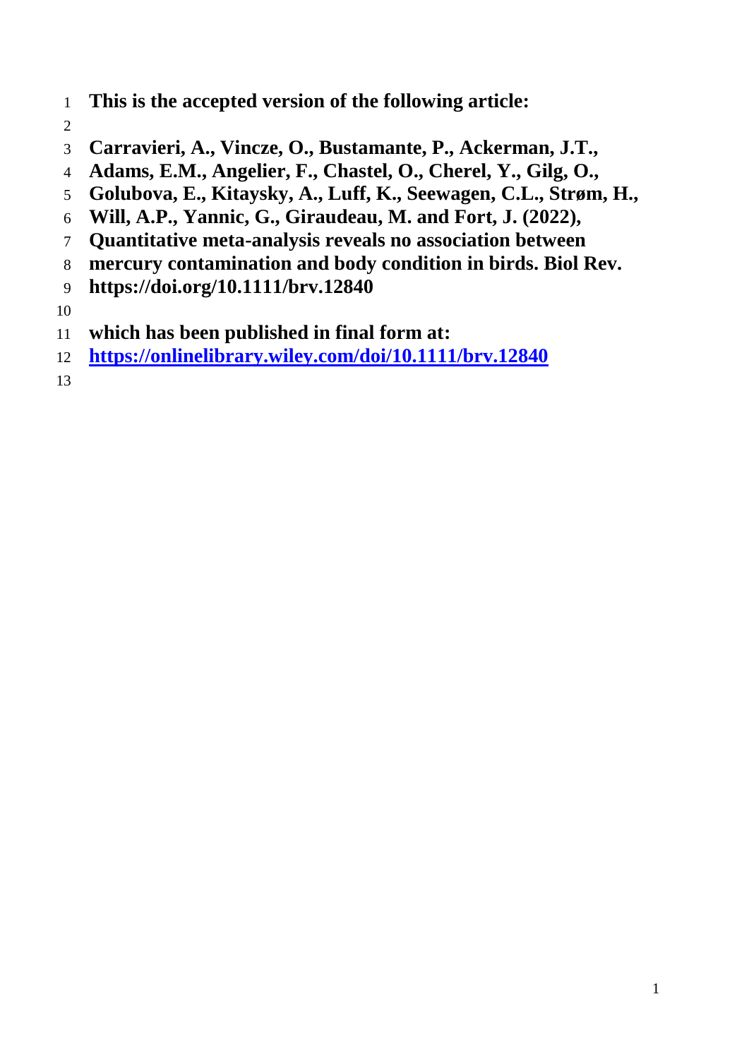- **This is the accepted version of the following article:**
- 
- **Carravieri, A., Vincze, O., Bustamante, P., Ackerman, J.T.,**
- **Adams, E.M., Angelier, F., Chastel, O., Cherel, Y., Gilg, O.,**
- **Golubova, E., Kitaysky, A., Luff, K., Seewagen, C.L., Strøm, H.,**
- **Will, A.P., Yannic, G., Giraudeau, M. and Fort, J. (2022),**
- **Quantitative meta-analysis reveals no association between**
- **mercury contamination and body condition in birds. Biol Rev.**
- **https://doi.org/10.1111/brv.12840**

- **which has been published in final form at:**
- **<https://onlinelibrary.wiley.com/doi/10.1111/brv.12840>**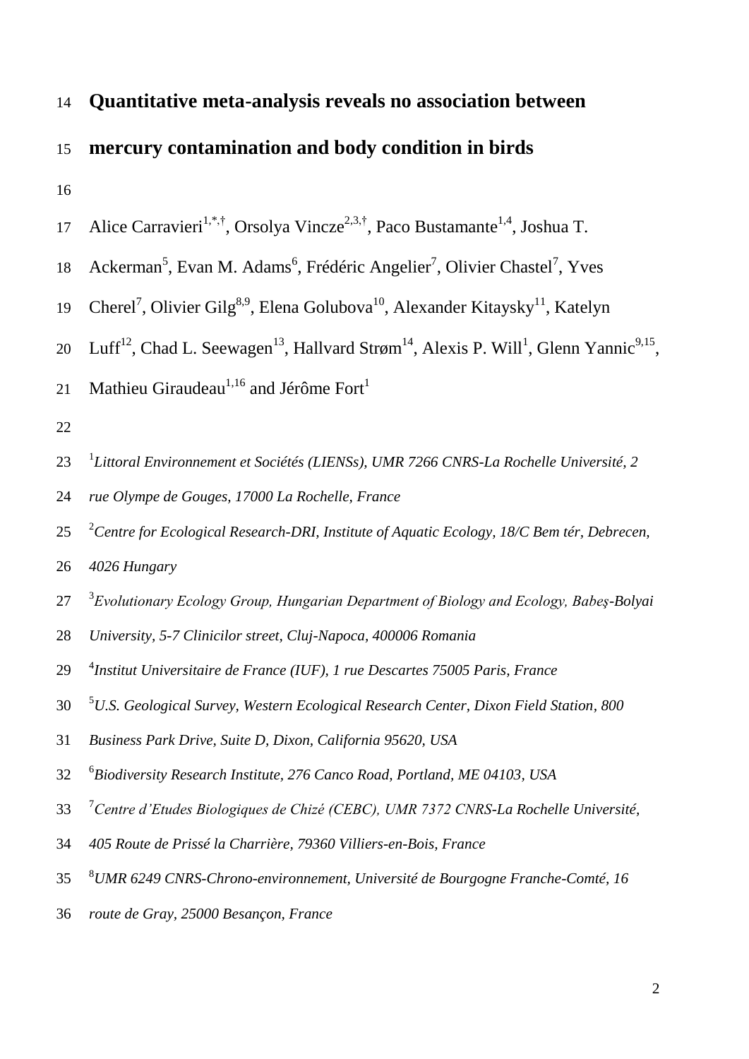# **Quantitative meta-analysis reveals no association between mercury contamination and body condition in birds**

- 17 Alice Carravieri<sup>1,\*,†</sup>, Orsolya Vincze<sup>2,3,†</sup>, Paco Bustamante<sup>1,4</sup>, Joshua T.
- 18 Ackerman<sup>5</sup>, Evan M. Adams<sup>6</sup>, Frédéric Angelier<sup>7</sup>, Olivier Chastel<sup>7</sup>, Yves
- 19 Cherel<sup>7</sup>, Olivier Gilg<sup>8,9</sup>, Elena Golubova<sup>10</sup>, Alexander Kitaysky<sup>11</sup>, Katelyn
- 20 Luff<sup>12</sup>, Chad L. Seewagen<sup>13</sup>, Hallvard Strøm<sup>14</sup>, Alexis P. Will<sup>1</sup>, Glenn Yannic<sup>9,15</sup>,
- Mathieu Giraudeau<sup>1,16</sup> and Jérôme Fort<sup>1</sup>
- 
- 1 *Littoral Environnement et Sociétés (LIENSs), UMR 7266 CNRS-La Rochelle Université, 2*
- *rue Olympe de Gouges, 17000 La Rochelle, France*
- 2 *Centre for Ecological Research-DRI, Institute of Aquatic Ecology, 18/C Bem tér, Debrecen,*
- *4026 Hungary*
- 3 *Evolutionary Ecology Group, Hungarian Department of Biology and Ecology, Babeş-Bolyai*
- *University, 5-7 Clinicilor street, Cluj-Napoca, 400006 Romania*
- 4 *Institut Universitaire de France (IUF), 1 rue Descartes 75005 Paris, France*
- 5 *U.S. Geological Survey, Western Ecological Research Center, Dixon Field Station, 800*
- *Business Park Drive, Suite D, Dixon, California 95620, USA*
- 6 *Biodiversity Research Institute, 276 Canco Road, Portland, ME 04103, USA*
- 7 *Centre d'Etudes Biologiques de Chizé (CEBC), UMR 7372 CNRS-La Rochelle Université,*
- *405 Route de Prissé la Charrière, 79360 Villiers-en-Bois, France*
- 8 *UMR 6249 CNRS-Chrono-environnement, Université de Bourgogne Franche-Comté, 16*
- *route de Gray, 25000 Besançon, France*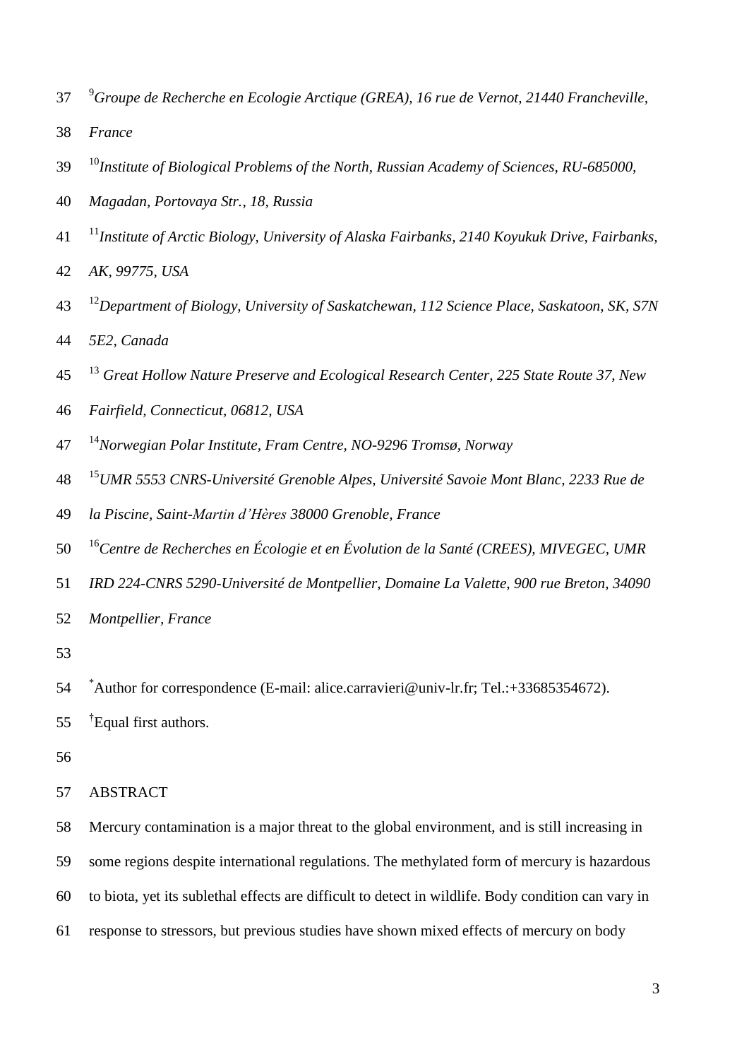- 9 *Groupe de Recherche en Ecologie Arctique (GREA), 16 rue de Vernot, 21440 Francheville,*
- *France*
- <sup>10</sup> *Institute of Biological Problems of the North, Russian Academy of Sciences, RU-685000,*
- *Magadan, Portovaya Str., 18, Russia*
- 11 *Institute of Arctic Biology, University of Alaska Fairbanks, 2140 Koyukuk Drive, Fairbanks,*
- *AK, 99775, USA*
- 12 *Department of Biology, University of Saskatchewan, 112 Science Place, Saskatoon, SK, S7N 5E2, Canada*
- 13 *Great Hollow Nature Preserve and Ecological Research Center, 225 State Route 37, New*
- *Fairfield, Connecticut, 06812, USA*
- 14 *Norwegian Polar Institute, Fram Centre, NO-9296 Tromsø, Norway*
- 15 *UMR 5553 CNRS-Université Grenoble Alpes, Université Savoie Mont Blanc, 2233 Rue de*
- *la Piscine, Saint-Martin d'Hères 38000 Grenoble, France*
- <sup>16</sup> *Centre de Recherches en Écologie et en Évolution de la Santé (CREES), MIVEGEC, UMR*
- *IRD 224-CNRS 5290-Université de Montpellier, Domaine La Valette, 900 rue Breton, 34090*
- *Montpellier, France*
- 
- 54 \*Author for correspondence (E-mail: alice.carravieri@univ-lr.fr; Tel.:+33685354672).
- 55 <sup>†</sup>Equal first authors.
- 
- ABSTRACT

Mercury contamination is a major threat to the global environment, and is still increasing in

- some regions despite international regulations. The methylated form of mercury is hazardous
- to biota, yet its sublethal effects are difficult to detect in wildlife. Body condition can vary in
- response to stressors, but previous studies have shown mixed effects of mercury on body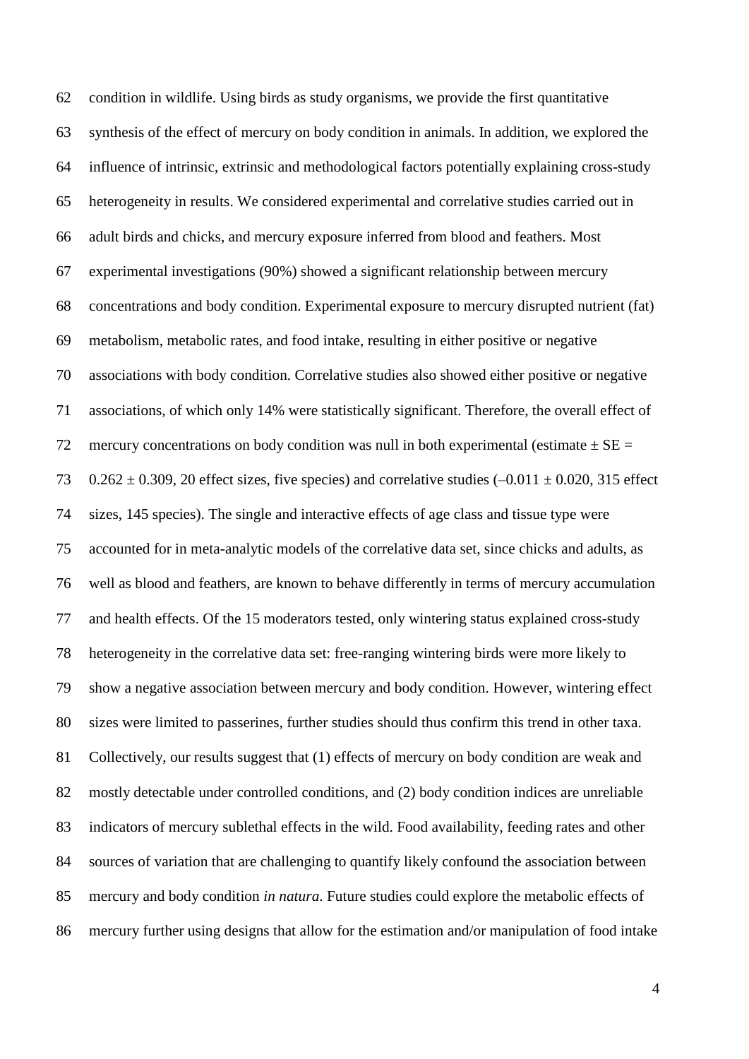condition in wildlife. Using birds as study organisms, we provide the first quantitative synthesis of the effect of mercury on body condition in animals. In addition, we explored the influence of intrinsic, extrinsic and methodological factors potentially explaining cross-study heterogeneity in results. We considered experimental and correlative studies carried out in adult birds and chicks, and mercury exposure inferred from blood and feathers. Most experimental investigations (90%) showed a significant relationship between mercury concentrations and body condition. Experimental exposure to mercury disrupted nutrient (fat) metabolism, metabolic rates, and food intake, resulting in either positive or negative associations with body condition. Correlative studies also showed either positive or negative associations, of which only 14% were statistically significant. Therefore, the overall effect of 72 mercury concentrations on body condition was null in both experimental (estimate  $\pm$  SE = 73 0.262  $\pm$  0.309, 20 effect sizes, five species) and correlative studies (-0.011  $\pm$  0.020, 315 effect sizes, 145 species). The single and interactive effects of age class and tissue type were accounted for in meta-analytic models of the correlative data set, since chicks and adults, as well as blood and feathers, are known to behave differently in terms of mercury accumulation and health effects. Of the 15 moderators tested, only wintering status explained cross-study heterogeneity in the correlative data set: free-ranging wintering birds were more likely to show a negative association between mercury and body condition. However, wintering effect sizes were limited to passerines, further studies should thus confirm this trend in other taxa. Collectively, our results suggest that (1) effects of mercury on body condition are weak and mostly detectable under controlled conditions, and (2) body condition indices are unreliable indicators of mercury sublethal effects in the wild. Food availability, feeding rates and other sources of variation that are challenging to quantify likely confound the association between mercury and body condition *in natura*. Future studies could explore the metabolic effects of mercury further using designs that allow for the estimation and/or manipulation of food intake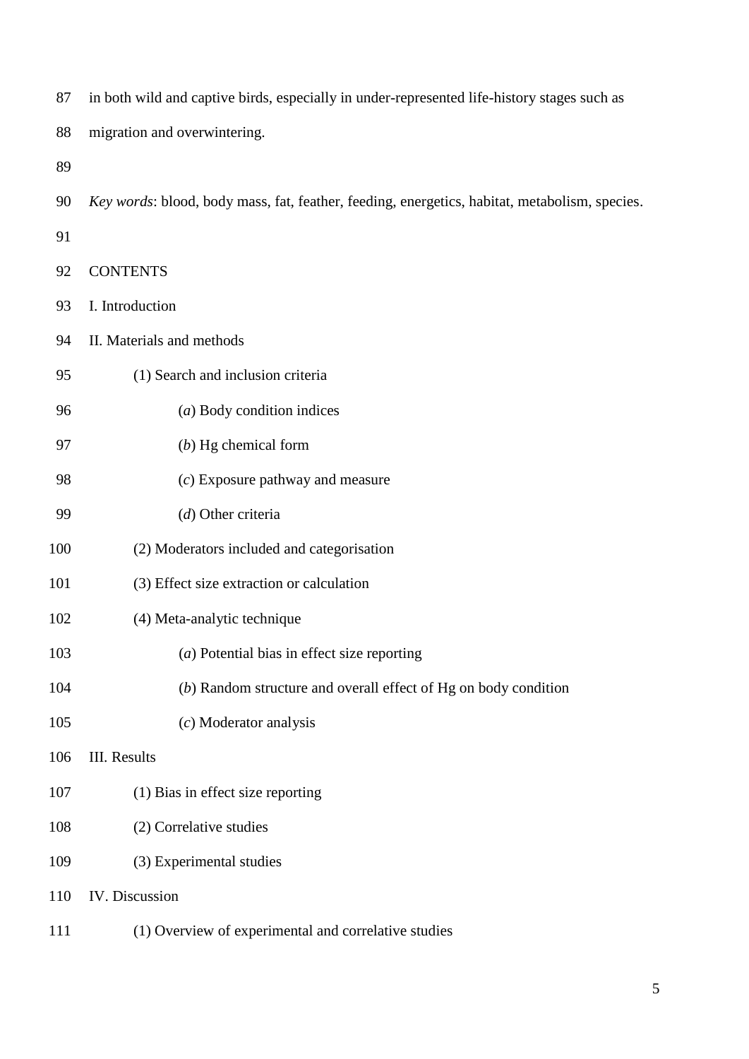| 87  | in both wild and captive birds, especially in under-represented life-history stages such as   |  |  |  |  |
|-----|-----------------------------------------------------------------------------------------------|--|--|--|--|
| 88  | migration and overwintering.                                                                  |  |  |  |  |
| 89  |                                                                                               |  |  |  |  |
| 90  | Key words: blood, body mass, fat, feather, feeding, energetics, habitat, metabolism, species. |  |  |  |  |
| 91  |                                                                                               |  |  |  |  |
| 92  | <b>CONTENTS</b>                                                                               |  |  |  |  |
| 93  | I. Introduction                                                                               |  |  |  |  |
| 94  | II. Materials and methods                                                                     |  |  |  |  |
| 95  | (1) Search and inclusion criteria                                                             |  |  |  |  |
| 96  | $(a)$ Body condition indices                                                                  |  |  |  |  |
| 97  | $(b)$ Hg chemical form                                                                        |  |  |  |  |
| 98  | $(c)$ Exposure pathway and measure                                                            |  |  |  |  |
| 99  | (d) Other criteria                                                                            |  |  |  |  |
| 100 | (2) Moderators included and categorisation                                                    |  |  |  |  |
| 101 | (3) Effect size extraction or calculation                                                     |  |  |  |  |
| 102 | (4) Meta-analytic technique                                                                   |  |  |  |  |
| 103 | $(a)$ Potential bias in effect size reporting                                                 |  |  |  |  |
| 104 | (b) Random structure and overall effect of Hg on body condition                               |  |  |  |  |
| 105 | $(c)$ Moderator analysis                                                                      |  |  |  |  |
| 106 | <b>III.</b> Results                                                                           |  |  |  |  |
| 107 | (1) Bias in effect size reporting                                                             |  |  |  |  |
| 108 | (2) Correlative studies                                                                       |  |  |  |  |
| 109 | (3) Experimental studies                                                                      |  |  |  |  |
| 110 | IV. Discussion                                                                                |  |  |  |  |
| 111 | (1) Overview of experimental and correlative studies                                          |  |  |  |  |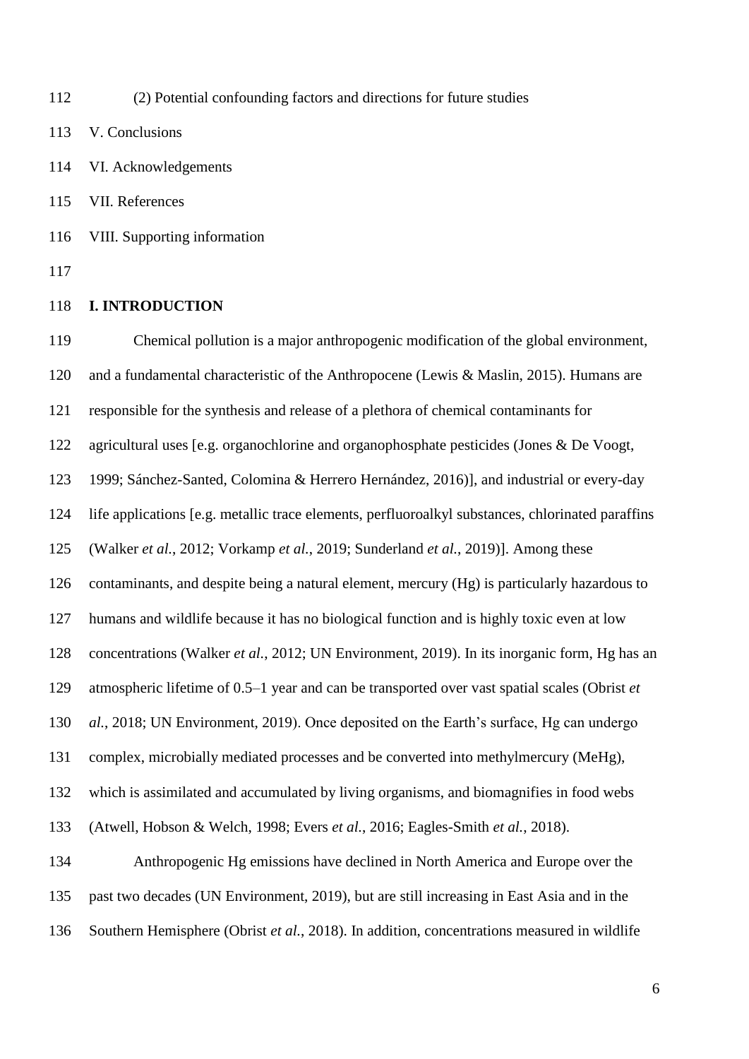(2) Potential confounding factors and directions for future studies

V. Conclusions

VI. Acknowledgements

VII. References

VIII. Supporting information

#### **I. INTRODUCTION**

 Chemical pollution is a major anthropogenic modification of the global environment, and a fundamental characteristic of the Anthropocene (Lewis & Maslin, 2015). Humans are responsible for the synthesis and release of a plethora of chemical contaminants for agricultural uses [e.g. organochlorine and organophosphate pesticides (Jones & De Voogt, 1999; Sánchez-Santed, Colomina & Herrero Hernández, 2016)], and industrial or every-day life applications [e.g. metallic trace elements, perfluoroalkyl substances, chlorinated paraffins (Walker *et al.*, 2012; Vorkamp *et al.*, 2019; Sunderland *et al.*, 2019)]. Among these contaminants, and despite being a natural element, mercury (Hg) is particularly hazardous to humans and wildlife because it has no biological function and is highly toxic even at low concentrations (Walker *et al.*, 2012; UN Environment, 2019). In its inorganic form, Hg has an atmospheric lifetime of 0.5–1 year and can be transported over vast spatial scales (Obrist *et al.*, 2018; UN Environment, 2019). Once deposited on the Earth's surface, Hg can undergo complex, microbially mediated processes and be converted into methylmercury (MeHg), which is assimilated and accumulated by living organisms, and biomagnifies in food webs (Atwell, Hobson & Welch, 1998; Evers *et al.*, 2016; Eagles-Smith *et al.*, 2018). Anthropogenic Hg emissions have declined in North America and Europe over the past two decades (UN Environment, 2019), but are still increasing in East Asia and in the Southern Hemisphere (Obrist *et al.*, 2018). In addition, concentrations measured in wildlife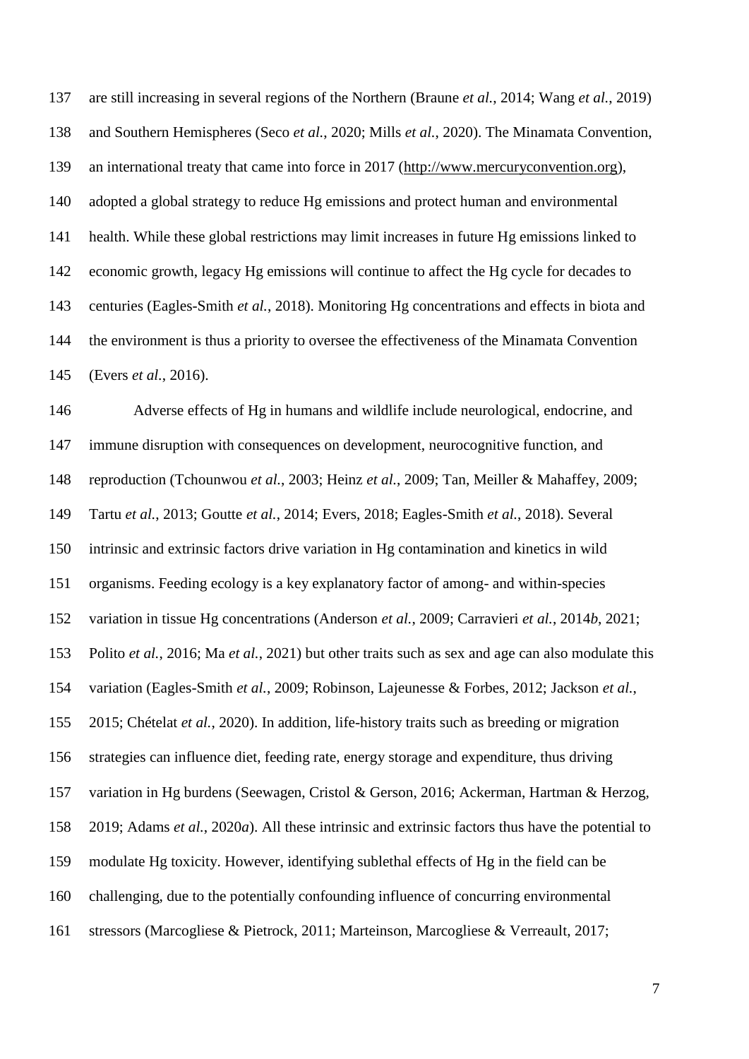are still increasing in several regions of the Northern (Braune *et al.*, 2014; Wang *et al.*, 2019) and Southern Hemispheres (Seco *et al.*, 2020; Mills *et al.*, 2020). The Minamata Convention, an international treaty that came into force in 2017 [\(http://www.mercuryconvention.org\)](http://www.mercuryconvention.org/DNNAdmin/AllENGLISHNewsEntry/tabid/3444/articleType/ArticleView/articleId/160102/language/en-US/The-Minamata-Convention-has-entered-into-force.aspx), adopted a global strategy to reduce Hg emissions and protect human and environmental health. While these global restrictions may limit increases in future Hg emissions linked to economic growth, legacy Hg emissions will continue to affect the Hg cycle for decades to centuries (Eagles-Smith *et al.*, 2018). Monitoring Hg concentrations and effects in biota and the environment is thus a priority to oversee the effectiveness of the Minamata Convention (Evers *et al.*, 2016).

 Adverse effects of Hg in humans and wildlife include neurological, endocrine, and immune disruption with consequences on development, neurocognitive function, and reproduction (Tchounwou *et al.*, 2003; Heinz *et al.*, 2009; Tan, Meiller & Mahaffey, 2009; Tartu *et al.*, 2013; Goutte *et al.*, 2014; Evers, 2018; Eagles-Smith *et al.*, 2018). Several intrinsic and extrinsic factors drive variation in Hg contamination and kinetics in wild organisms. Feeding ecology is a key explanatory factor of among- and within-species variation in tissue Hg concentrations (Anderson *et al.*, 2009; Carravieri *et al.*, 2014*b*, 2021; Polito *et al.*, 2016; Ma *et al.*, 2021) but other traits such as sex and age can also modulate this variation (Eagles-Smith *et al.*, 2009; Robinson, Lajeunesse & Forbes, 2012; Jackson *et al.*, 2015; Chételat *et al.*, 2020). In addition, life-history traits such as breeding or migration strategies can influence diet, feeding rate, energy storage and expenditure, thus driving variation in Hg burdens (Seewagen, Cristol & Gerson, 2016; Ackerman, Hartman & Herzog, 2019; Adams *et al.*, 2020*a*). All these intrinsic and extrinsic factors thus have the potential to modulate Hg toxicity. However, identifying sublethal effects of Hg in the field can be challenging, due to the potentially confounding influence of concurring environmental stressors (Marcogliese & Pietrock, 2011; Marteinson, Marcogliese & Verreault, 2017;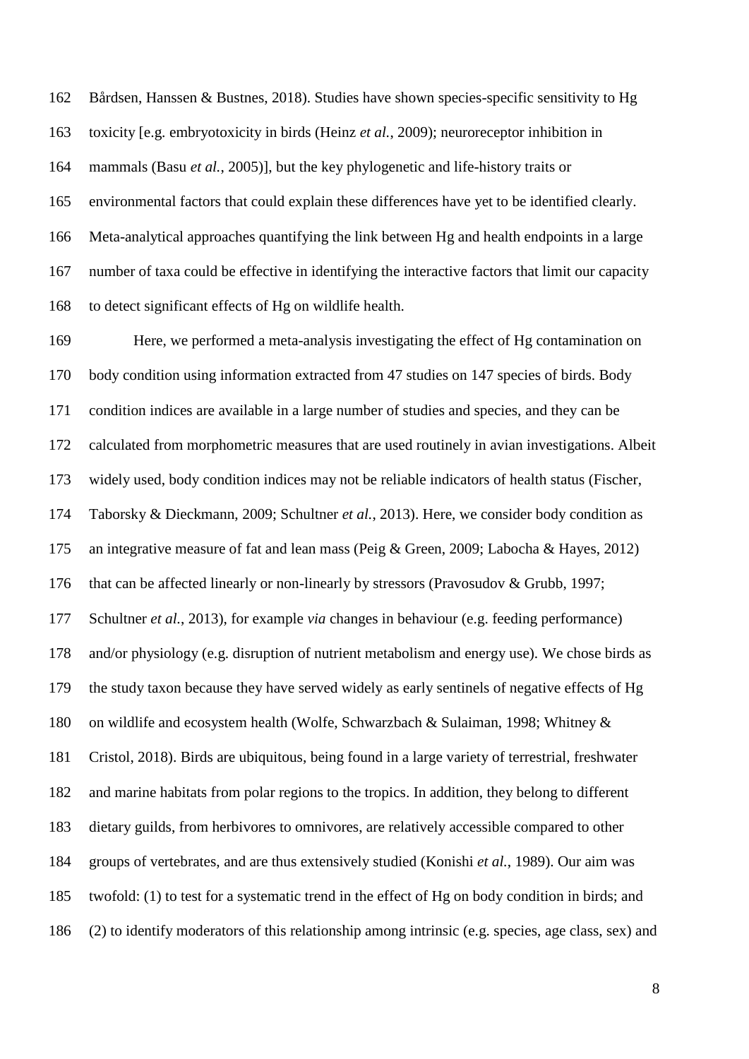Bårdsen, Hanssen & Bustnes, 2018). Studies have shown species-specific sensitivity to Hg toxicity [e.g. embryotoxicity in birds (Heinz *et al.*, 2009); neuroreceptor inhibition in mammals (Basu *et al.*, 2005)], but the key phylogenetic and life-history traits or environmental factors that could explain these differences have yet to be identified clearly. Meta-analytical approaches quantifying the link between Hg and health endpoints in a large number of taxa could be effective in identifying the interactive factors that limit our capacity to detect significant effects of Hg on wildlife health.

 Here, we performed a meta-analysis investigating the effect of Hg contamination on body condition using information extracted from 47 studies on 147 species of birds. Body condition indices are available in a large number of studies and species, and they can be calculated from morphometric measures that are used routinely in avian investigations. Albeit widely used, body condition indices may not be reliable indicators of health status (Fischer, Taborsky & Dieckmann, 2009; Schultner *et al.*, 2013). Here, we consider body condition as an integrative measure of fat and lean mass (Peig & Green, 2009; Labocha & Hayes, 2012) that can be affected linearly or non-linearly by stressors (Pravosudov & Grubb, 1997; Schultner *et al.*, 2013), for example *via* changes in behaviour (e.g. feeding performance) and/or physiology (e.g. disruption of nutrient metabolism and energy use). We chose birds as the study taxon because they have served widely as early sentinels of negative effects of Hg on wildlife and ecosystem health (Wolfe, Schwarzbach & Sulaiman, 1998; Whitney & Cristol, 2018). Birds are ubiquitous, being found in a large variety of terrestrial, freshwater and marine habitats from polar regions to the tropics. In addition, they belong to different dietary guilds, from herbivores to omnivores, are relatively accessible compared to other groups of vertebrates, and are thus extensively studied (Konishi *et al.*, 1989). Our aim was twofold: (1) to test for a systematic trend in the effect of Hg on body condition in birds; and (2) to identify moderators of this relationship among intrinsic (e.g. species, age class, sex) and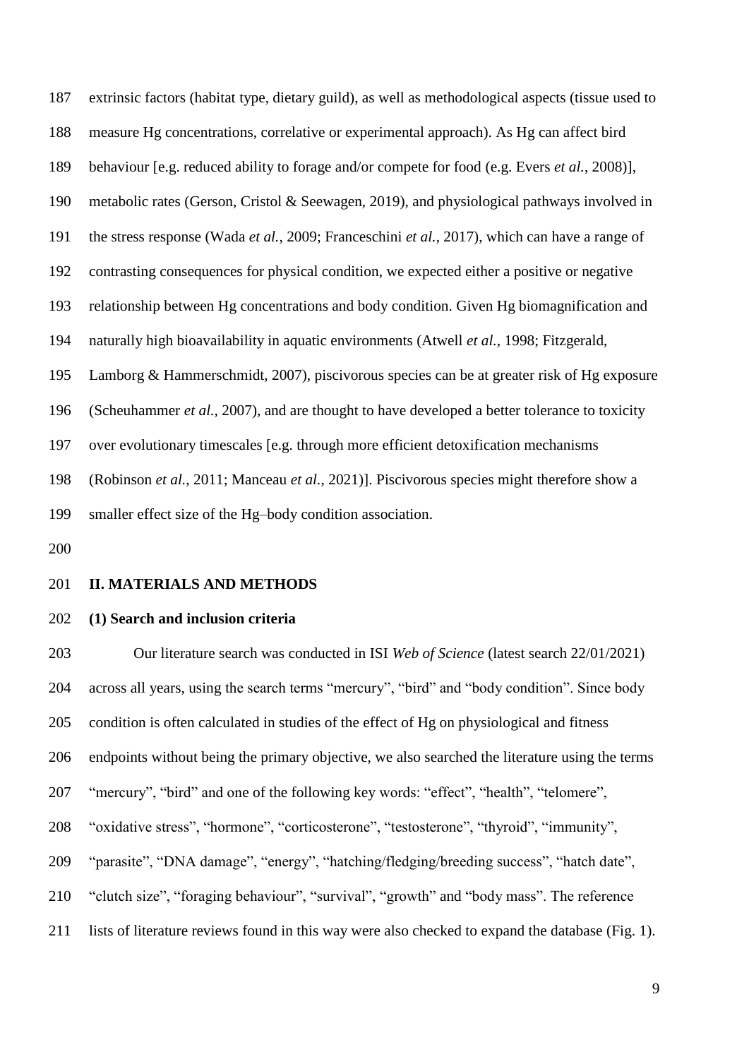extrinsic factors (habitat type, dietary guild), as well as methodological aspects (tissue used to measure Hg concentrations, correlative or experimental approach). As Hg can affect bird behaviour [e.g. reduced ability to forage and/or compete for food (e.g. Evers *et al.*, 2008)], metabolic rates (Gerson, Cristol & Seewagen, 2019), and physiological pathways involved in the stress response (Wada *et al.*, 2009; Franceschini *et al.*, 2017), which can have a range of contrasting consequences for physical condition, we expected either a positive or negative relationship between Hg concentrations and body condition. Given Hg biomagnification and naturally high bioavailability in aquatic environments (Atwell *et al.*, 1998; Fitzgerald, Lamborg & Hammerschmidt, 2007), piscivorous species can be at greater risk of Hg exposure (Scheuhammer *et al.*, 2007), and are thought to have developed a better tolerance to toxicity over evolutionary timescales [e.g. through more efficient detoxification mechanisms (Robinson *et al.*, 2011; Manceau *et al.*, 2021)]. Piscivorous species might therefore show a smaller effect size of the Hg–body condition association.

#### **II. MATERIALS AND METHODS**

#### **(1) Search and inclusion criteria**

 Our literature search was conducted in ISI *Web of Science* (latest search 22/01/2021) across all years, using the search terms "mercury", "bird" and "body condition". Since body condition is often calculated in studies of the effect of Hg on physiological and fitness endpoints without being the primary objective, we also searched the literature using the terms "mercury", "bird" and one of the following key words: "effect", "health", "telomere", "oxidative stress", "hormone", "corticosterone", "testosterone", "thyroid", "immunity", "parasite", "DNA damage", "energy", "hatching/fledging/breeding success", "hatch date", "clutch size", "foraging behaviour", "survival", "growth" and "body mass". The reference lists of literature reviews found in this way were also checked to expand the database (Fig. 1).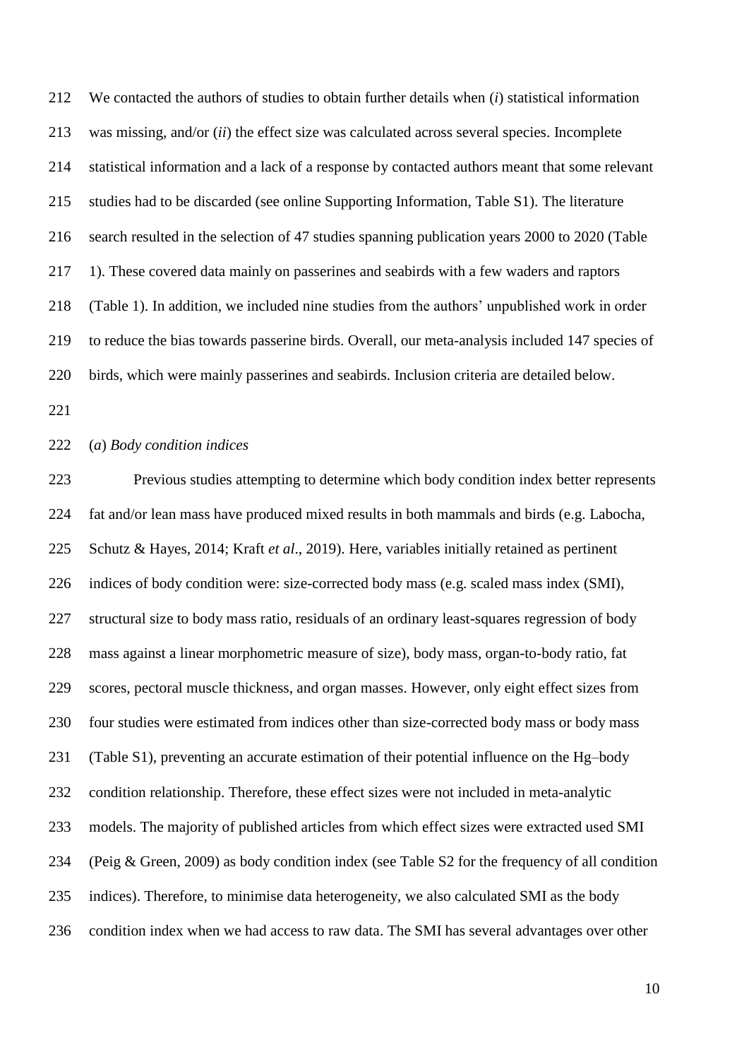We contacted the authors of studies to obtain further details when (*i*) statistical information was missing, and/or (*ii*) the effect size was calculated across several species. Incomplete statistical information and a lack of a response by contacted authors meant that some relevant studies had to be discarded (see online Supporting Information, Table S1). The literature search resulted in the selection of 47 studies spanning publication years 2000 to 2020 (Table 1). These covered data mainly on passerines and seabirds with a few waders and raptors (Table 1). In addition, we included nine studies from the authors' unpublished work in order to reduce the bias towards passerine birds. Overall, our meta-analysis included 147 species of birds, which were mainly passerines and seabirds. Inclusion criteria are detailed below.

#### (*a*) *Body condition indices*

 Previous studies attempting to determine which body condition index better represents fat and/or lean mass have produced mixed results in both mammals and birds (e.g. Labocha, Schutz & Hayes, 2014; Kraft *et al*., 2019). Here, variables initially retained as pertinent indices of body condition were: size-corrected body mass (e.g. scaled mass index (SMI), structural size to body mass ratio, residuals of an ordinary least-squares regression of body mass against a linear morphometric measure of size), body mass, organ-to-body ratio, fat scores, pectoral muscle thickness, and organ masses. However, only eight effect sizes from four studies were estimated from indices other than size-corrected body mass or body mass (Table S1), preventing an accurate estimation of their potential influence on the Hg–body condition relationship. Therefore, these effect sizes were not included in meta-analytic models. The majority of published articles from which effect sizes were extracted used SMI (Peig & Green, 2009) as body condition index (see Table S2 for the frequency of all condition indices). Therefore, to minimise data heterogeneity, we also calculated SMI as the body condition index when we had access to raw data. The SMI has several advantages over other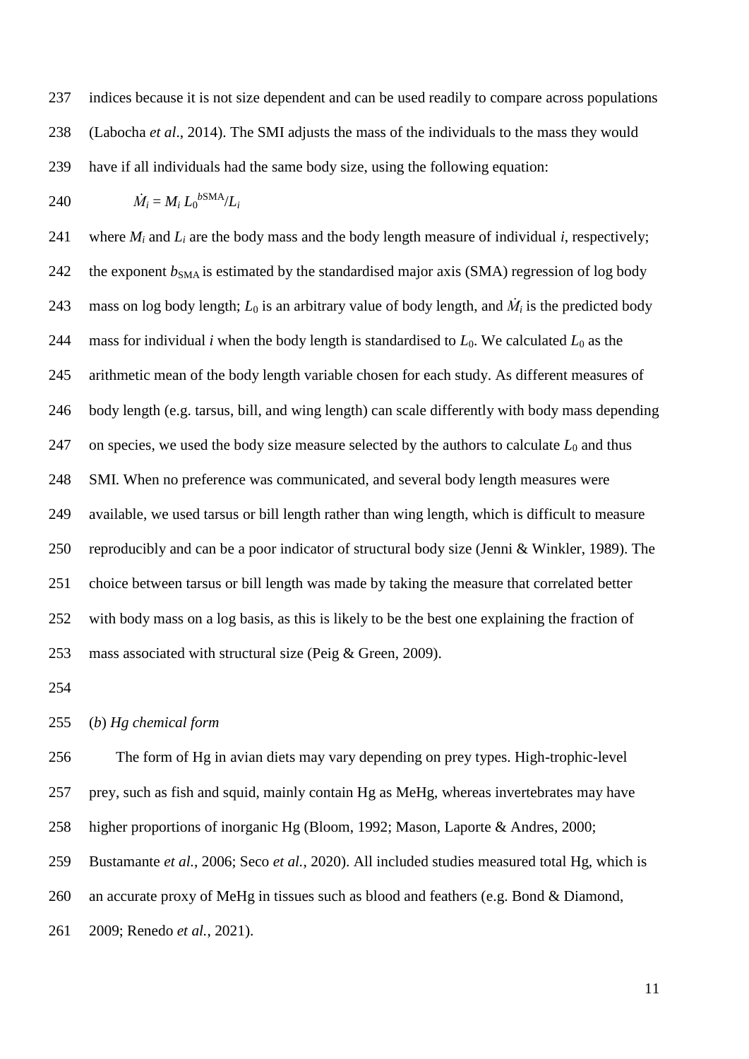indices because it is not size dependent and can be used readily to compare across populations (Labocha *et al*., 2014). The SMI adjusts the mass of the individuals to the mass they would have if all individuals had the same body size, using the following equation:

$$
240 \qquad \dot{M}_i = M_i L_0^{\text{bSMA}} / L_i
$$

241 where  $M_i$  and  $L_i$  are the body mass and the body length measure of individual *i*, respectively; 242 the exponent  $b_{\text{SMA}}$  is estimated by the standardised major axis (SMA) regression of log body 243 mass on log body length;  $L_0$  is an arbitrary value of body length, and  $\dot{M}_i$  is the predicted body 244 mass for individual *i* when the body length is standardised to  $L_0$ . We calculated  $L_0$  as the arithmetic mean of the body length variable chosen for each study. As different measures of body length (e.g. tarsus, bill, and wing length) can scale differently with body mass depending 247 on species, we used the body size measure selected by the authors to calculate  $L_0$  and thus SMI. When no preference was communicated, and several body length measures were available, we used tarsus or bill length rather than wing length, which is difficult to measure reproducibly and can be a poor indicator of structural body size (Jenni & Winkler, 1989). The choice between tarsus or bill length was made by taking the measure that correlated better with body mass on a log basis, as this is likely to be the best one explaining the fraction of mass associated with structural size (Peig & Green, 2009).

#### (*b*) *Hg chemical form*

 The form of Hg in avian diets may vary depending on prey types. High-trophic-level prey, such as fish and squid, mainly contain Hg as MeHg, whereas invertebrates may have higher proportions of inorganic Hg (Bloom, 1992; Mason, Laporte & Andres, 2000; Bustamante *et al.*, 2006; Seco *et al.*, 2020). All included studies measured total Hg, which is an accurate proxy of MeHg in tissues such as blood and feathers (e.g. Bond & Diamond, 2009; Renedo *et al.*, 2021).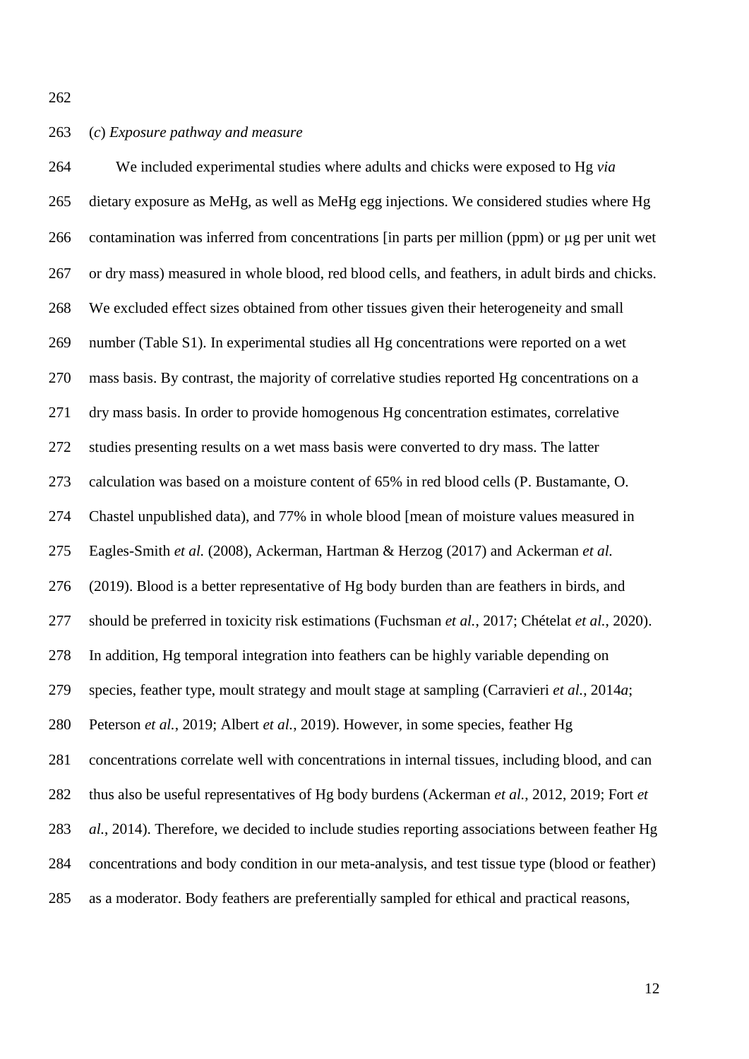# (*c*) *Exposure pathway and measure*

 We included experimental studies where adults and chicks were exposed to Hg *via* dietary exposure as MeHg, as well as MeHg egg injections. We considered studies where Hg 266 contamination was inferred from concentrations [in parts per million (ppm) or  $\mu$ g per unit wet or dry mass) measured in whole blood, red blood cells, and feathers, in adult birds and chicks. We excluded effect sizes obtained from other tissues given their heterogeneity and small number (Table S1). In experimental studies all Hg concentrations were reported on a wet mass basis. By contrast, the majority of correlative studies reported Hg concentrations on a dry mass basis. In order to provide homogenous Hg concentration estimates, correlative studies presenting results on a wet mass basis were converted to dry mass. The latter calculation was based on a moisture content of 65% in red blood cells (P. Bustamante, O. Chastel unpublished data), and 77% in whole blood [mean of moisture values measured in Eagles-Smith *et al.* (2008), Ackerman, Hartman & Herzog (2017) and Ackerman *et al.* (2019). Blood is a better representative of Hg body burden than are feathers in birds, and should be preferred in toxicity risk estimations (Fuchsman *et al.*, 2017; Chételat *et al.*, 2020). In addition, Hg temporal integration into feathers can be highly variable depending on species, feather type, moult strategy and moult stage at sampling (Carravieri *et al.*, 2014*a*; Peterson *et al.*, 2019; Albert *et al.*, 2019). However, in some species, feather Hg concentrations correlate well with concentrations in internal tissues, including blood, and can thus also be useful representatives of Hg body burdens (Ackerman *et al.*, 2012, 2019; Fort *et al.*, 2014). Therefore, we decided to include studies reporting associations between feather Hg concentrations and body condition in our meta-analysis, and test tissue type (blood or feather) as a moderator. Body feathers are preferentially sampled for ethical and practical reasons,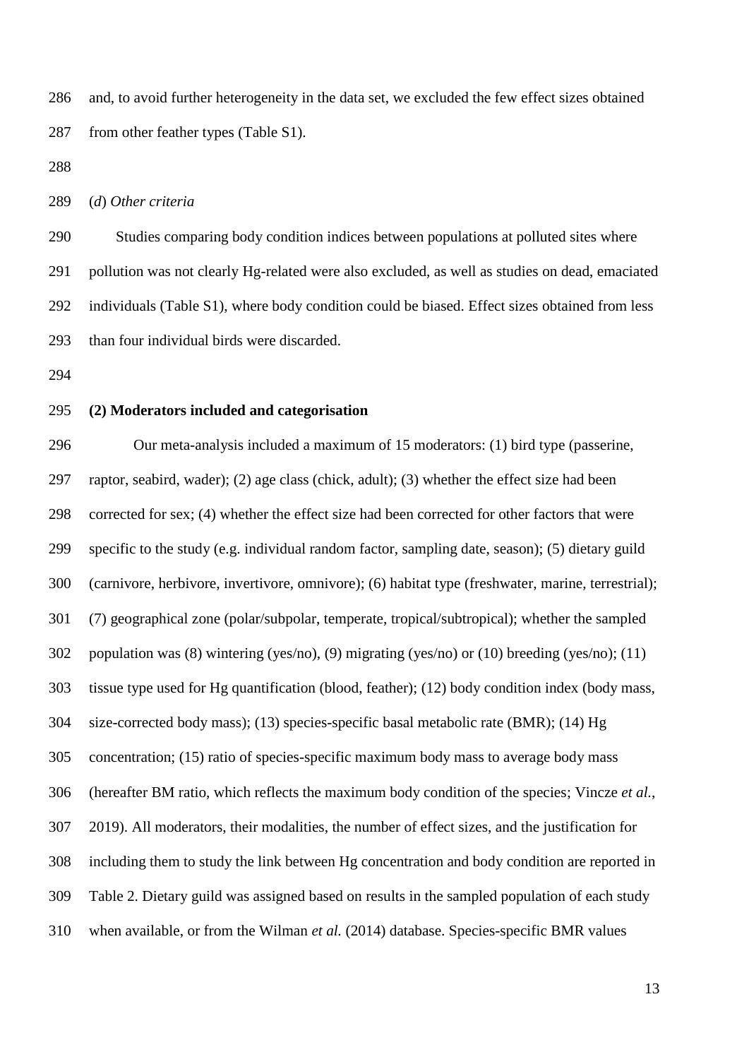and, to avoid further heterogeneity in the data set, we excluded the few effect sizes obtained from other feather types (Table S1).

(*d*) *Other criteria*

 Studies comparing body condition indices between populations at polluted sites where pollution was not clearly Hg-related were also excluded, as well as studies on dead, emaciated individuals (Table S1), where body condition could be biased. Effect sizes obtained from less than four individual birds were discarded.

# **(2) Moderators included and categorisation**

 Our meta-analysis included a maximum of 15 moderators: (1) bird type (passerine, raptor, seabird, wader); (2) age class (chick, adult); (3) whether the effect size had been corrected for sex; (4) whether the effect size had been corrected for other factors that were specific to the study (e.g. individual random factor, sampling date, season); (5) dietary guild (carnivore, herbivore, invertivore, omnivore); (6) habitat type (freshwater, marine, terrestrial); (7) geographical zone (polar/subpolar, temperate, tropical/subtropical); whether the sampled population was (8) wintering (yes/no), (9) migrating (yes/no) or (10) breeding (yes/no); (11) tissue type used for Hg quantification (blood, feather); (12) body condition index (body mass, size-corrected body mass); (13) species-specific basal metabolic rate (BMR); (14) Hg concentration; (15) ratio of species-specific maximum body mass to average body mass (hereafter BM ratio, which reflects the maximum body condition of the species; Vincze *et al.*, 2019). All moderators, their modalities, the number of effect sizes, and the justification for including them to study the link between Hg concentration and body condition are reported in Table 2. Dietary guild was assigned based on results in the sampled population of each study when available, or from the Wilman *et al.* (2014) database. Species-specific BMR values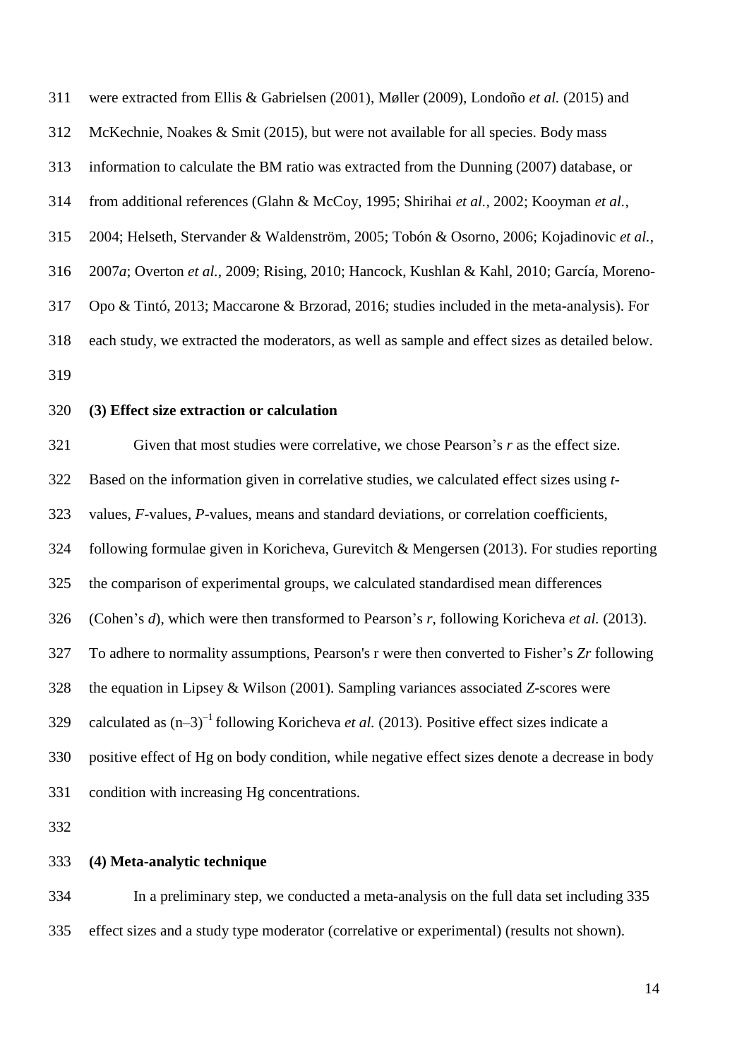| 311 | were extracted from Ellis & Gabrielsen (2001), Møller (2009), Londoño et al. (2015) and               |
|-----|-------------------------------------------------------------------------------------------------------|
| 312 | McKechnie, Noakes & Smit (2015), but were not available for all species. Body mass                    |
| 313 | information to calculate the BM ratio was extracted from the Dunning (2007) database, or              |
| 314 | from additional references (Glahn & McCoy, 1995; Shirihai et al., 2002; Kooyman et al.,               |
| 315 | 2004; Helseth, Stervander & Waldenström, 2005; Tobón & Osorno, 2006; Kojadinovic et al.,              |
| 316 | 2007a; Overton et al., 2009; Rising, 2010; Hancock, Kushlan & Kahl, 2010; García, Moreno-             |
| 317 | Opo & Tintó, 2013; Maccarone & Brzorad, 2016; studies included in the meta-analysis). For             |
| 318 | each study, we extracted the moderators, as well as sample and effect sizes as detailed below.        |
| 319 |                                                                                                       |
| 320 | (3) Effect size extraction or calculation                                                             |
| 321 | Given that most studies were correlative, we chose Pearson's r as the effect size.                    |
| 322 | Based on the information given in correlative studies, we calculated effect sizes using t-            |
| 323 | values, F-values, P-values, means and standard deviations, or correlation coefficients,               |
| 324 | following formulae given in Koricheva, Gurevitch & Mengersen (2013). For studies reporting            |
| 325 | the comparison of experimental groups, we calculated standardised mean differences                    |
| 326 | (Cohen's d), which were then transformed to Pearson's r, following Koricheva et al. (2013).           |
| 327 | To adhere to normality assumptions, Pearson's r were then converted to Fisher's Zr following          |
| 328 | the equation in Lipsey & Wilson (2001). Sampling variances associated Z-scores were                   |
| 329 | calculated as $(n-3)^{-1}$ following Koricheva <i>et al.</i> (2013). Positive effect sizes indicate a |
| 330 | positive effect of Hg on body condition, while negative effect sizes denote a decrease in body        |
| 331 | condition with increasing Hg concentrations.                                                          |
| 332 |                                                                                                       |
| 333 | (4) Meta-analytic technique                                                                           |
|     |                                                                                                       |

 In a preliminary step, we conducted a meta-analysis on the full data set including 335 effect sizes and a study type moderator (correlative or experimental) (results not shown).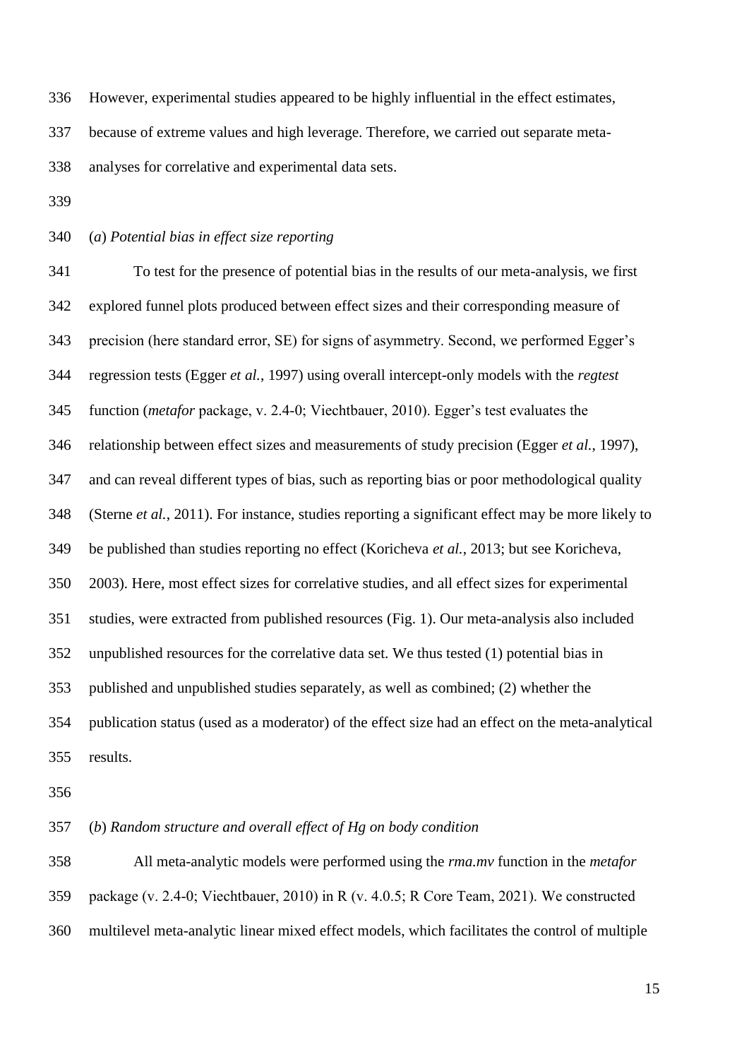However, experimental studies appeared to be highly influential in the effect estimates,

because of extreme values and high leverage. Therefore, we carried out separate meta-

analyses for correlative and experimental data sets.

(*a*) *Potential bias in effect size reporting*

 To test for the presence of potential bias in the results of our meta-analysis, we first explored funnel plots produced between effect sizes and their corresponding measure of precision (here standard error, SE) for signs of asymmetry. Second, we performed Egger's regression tests (Egger *et al.*, 1997) using overall intercept-only models with the *regtest* function (*metafor* package, v. 2.4‐0; Viechtbauer, 2010). Egger's test evaluates the relationship between effect sizes and measurements of study precision (Egger *et al.*, 1997), and can reveal different types of bias, such as reporting bias or poor methodological quality (Sterne *et al.*, 2011). For instance, studies reporting a significant effect may be more likely to be published than studies reporting no effect (Koricheva *et al.*, 2013; but see Koricheva, 2003). Here, most effect sizes for correlative studies, and all effect sizes for experimental studies, were extracted from published resources (Fig. 1). Our meta-analysis also included unpublished resources for the correlative data set. We thus tested (1) potential bias in published and unpublished studies separately, as well as combined; (2) whether the publication status (used as a moderator) of the effect size had an effect on the meta-analytical results.

(*b*) *Random structure and overall effect of Hg on body condition*

 All meta-analytic models were performed using the *rma.mv* function in the *metafor* package (v. 2.4‐0; Viechtbauer, 2010) in R (v. 4.0.5; R Core Team, 2021). We constructed multilevel meta-analytic linear mixed effect models, which facilitates the control of multiple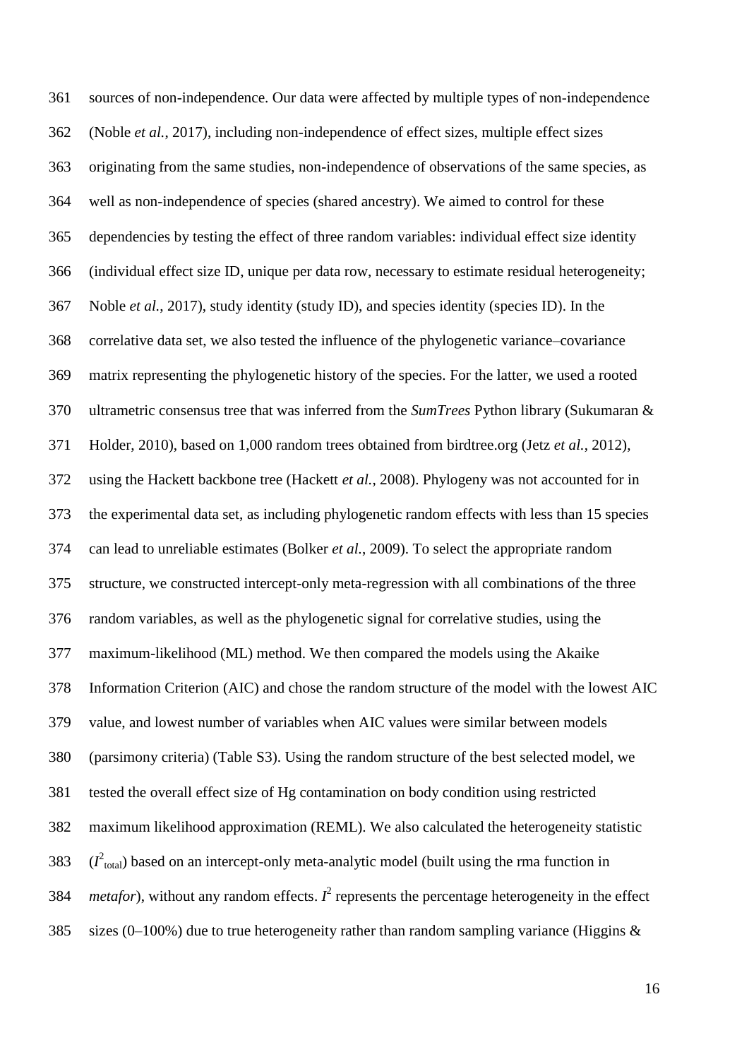sources of non-independence. Our data were affected by multiple types of non‐independence (Noble *et al.*, 2017), including non-independence of effect sizes, multiple effect sizes originating from the same studies, non-independence of observations of the same species, as well as non-independence of species (shared ancestry). We aimed to control for these dependencies by testing the effect of three random variables: individual effect size identity (individual effect size ID, unique per data row, necessary to estimate residual heterogeneity; Noble *et al.*, 2017), study identity (study ID), and species identity (species ID). In the correlative data set, we also tested the influence of the phylogenetic variance–covariance matrix representing the phylogenetic history of the species. For the latter, we used a rooted ultrametric consensus tree that was inferred from the *SumTrees* Python library (Sukumaran & Holder, 2010), based on 1,000 random trees obtained from birdtree.org (Jetz *et al.*, 2012), using the Hackett backbone tree (Hackett *et al.*, 2008). Phylogeny was not accounted for in the experimental data set, as including phylogenetic random effects with less than 15 species can lead to unreliable estimates (Bolker *et al.*, 2009). To select the appropriate random structure, we constructed intercept-only meta-regression with all combinations of the three random variables, as well as the phylogenetic signal for correlative studies, using the maximum-likelihood (ML) method. We then compared the models using the Akaike Information Criterion (AIC) and chose the random structure of the model with the lowest AIC value, and lowest number of variables when AIC values were similar between models (parsimony criteria) (Table S3). Using the random structure of the best selected model, we tested the overall effect size of Hg contamination on body condition using restricted maximum likelihood approximation (REML). We also calculated the heterogeneity statistic  $(I<sup>2</sup><sub>total</sub>)$  based on an intercept-only meta-analytic model (built using the rma function in *metafor*), without any random effects.  $I^2$  represents the percentage heterogeneity in the effect 385 sizes (0–100%) due to true heterogeneity rather than random sampling variance (Higgins  $\&$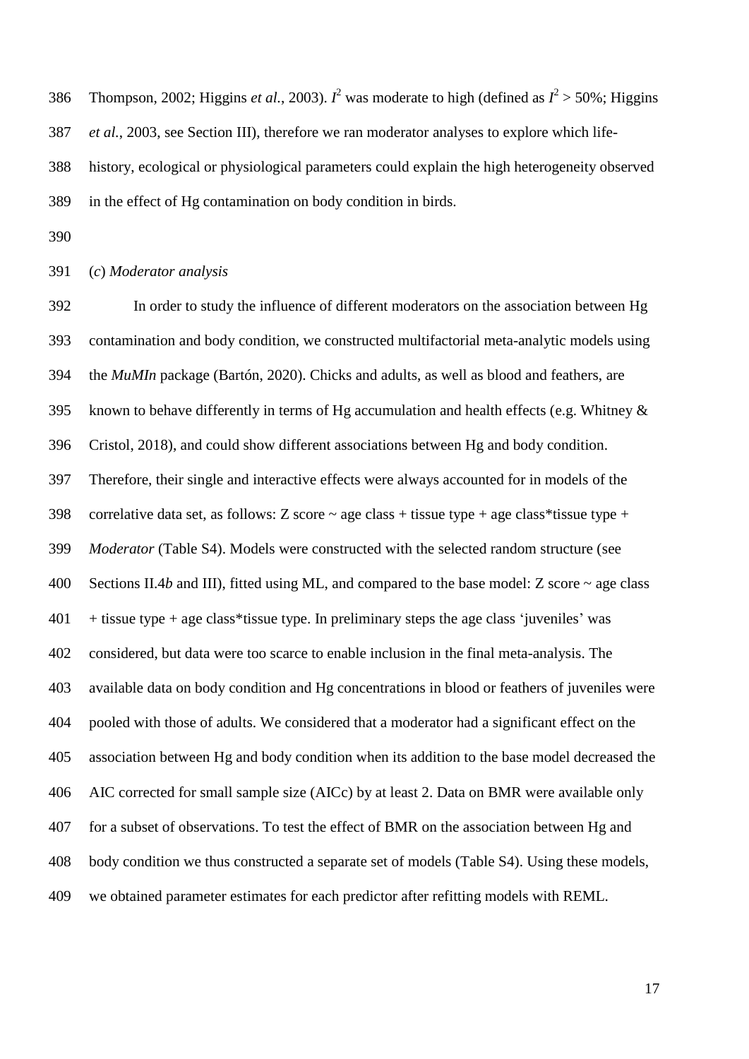386 Thompson, 2002; Higgins *et al.*, 2003).  $I^2$  was moderate to high (defined as  $I^2 > 50\%$ ; Higgins *et al.*, 2003, see Section III), therefore we ran moderator analyses to explore which life- history, ecological or physiological parameters could explain the high heterogeneity observed in the effect of Hg contamination on body condition in birds.

(*c*) *Moderator analysis*

 In order to study the influence of different moderators on the association between Hg contamination and body condition, we constructed multifactorial meta-analytic models using the *MuMIn* package (Bartón, 2020). Chicks and adults, as well as blood and feathers, are 395 known to behave differently in terms of Hg accumulation and health effects (e.g. Whitney  $\&$  Cristol, 2018), and could show different associations between Hg and body condition. Therefore, their single and interactive effects were always accounted for in models of the 398 correlative data set, as follows: Z score  $\sim$  age class + tissue type + age class\*tissue type + *Moderator* (Table S4). Models were constructed with the selected random structure (see 400 Sections II.4*b* and III), fitted using ML, and compared to the base model: Z score  $\sim$  age class + tissue type + age class\*tissue type. In preliminary steps the age class 'juveniles' was considered, but data were too scarce to enable inclusion in the final meta-analysis. The available data on body condition and Hg concentrations in blood or feathers of juveniles were pooled with those of adults. We considered that a moderator had a significant effect on the association between Hg and body condition when its addition to the base model decreased the AIC corrected for small sample size (AICc) by at least 2. Data on BMR were available only for a subset of observations. To test the effect of BMR on the association between Hg and body condition we thus constructed a separate set of models (Table S4). Using these models, we obtained parameter estimates for each predictor after refitting models with REML.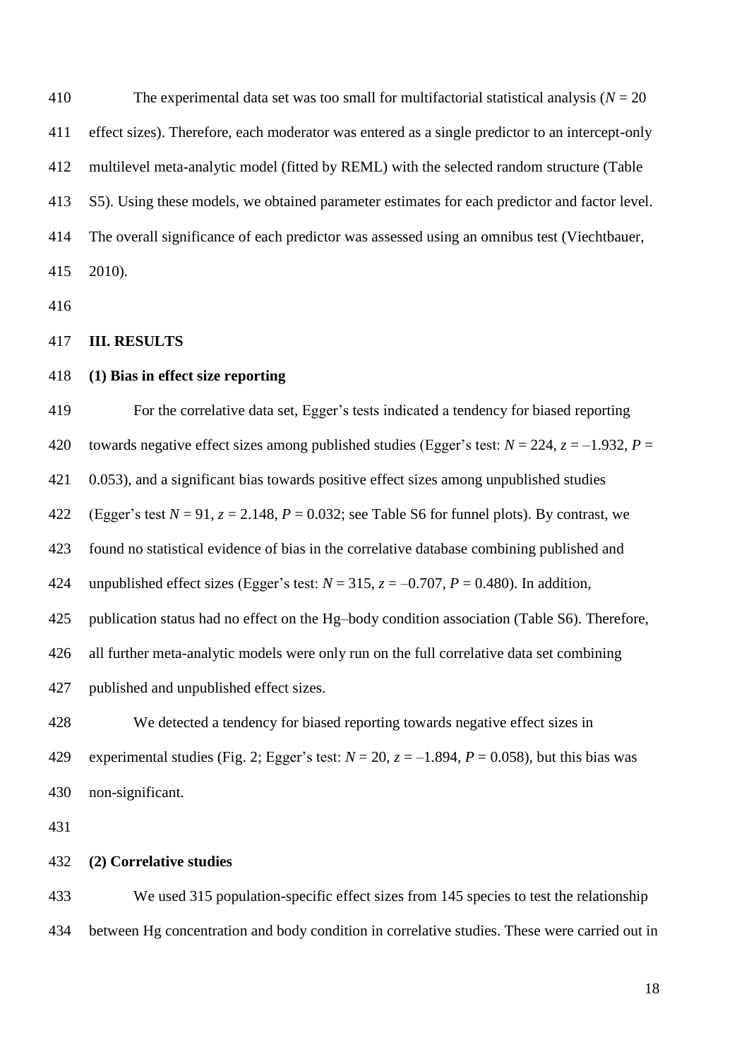The experimental data set was too small for multifactorial statistical analysis (*N* = 20 effect sizes). Therefore, each moderator was entered as a single predictor to an intercept-only multilevel meta-analytic model (fitted by REML) with the selected random structure (Table S5). Using these models, we obtained parameter estimates for each predictor and factor level. The overall significance of each predictor was assessed using an omnibus test (Viechtbauer, 2010).

# **III. RESULTS**

# **(1) Bias in effect size reporting**

For the correlative data set, Egger's tests indicated a tendency for biased reporting

420 towards negative effect sizes among published studies (Egger's test:  $N = 224$ ,  $z = -1.932$ ,  $P =$ 

0.053), and a significant bias towards positive effect sizes among unpublished studies

422 (Egger's test  $N = 91$ ,  $z = 2.148$ ,  $P = 0.032$ ; see Table S6 for funnel plots). By contrast, we

found no statistical evidence of bias in the correlative database combining published and

424 unpublished effect sizes (Egger's test:  $N = 315$ ,  $z = -0.707$ ,  $P = 0.480$ ). In addition,

publication status had no effect on the Hg–body condition association (Table S6). Therefore,

all further meta-analytic models were only run on the full correlative data set combining

published and unpublished effect sizes.

 We detected a tendency for biased reporting towards negative effect sizes in 429 experimental studies (Fig. 2; Egger's test:  $N = 20$ ,  $z = -1.894$ ,  $P = 0.058$ ), but this bias was

non-significant.

#### **(2) Correlative studies**

 We used 315 population-specific effect sizes from 145 species to test the relationship between Hg concentration and body condition in correlative studies. These were carried out in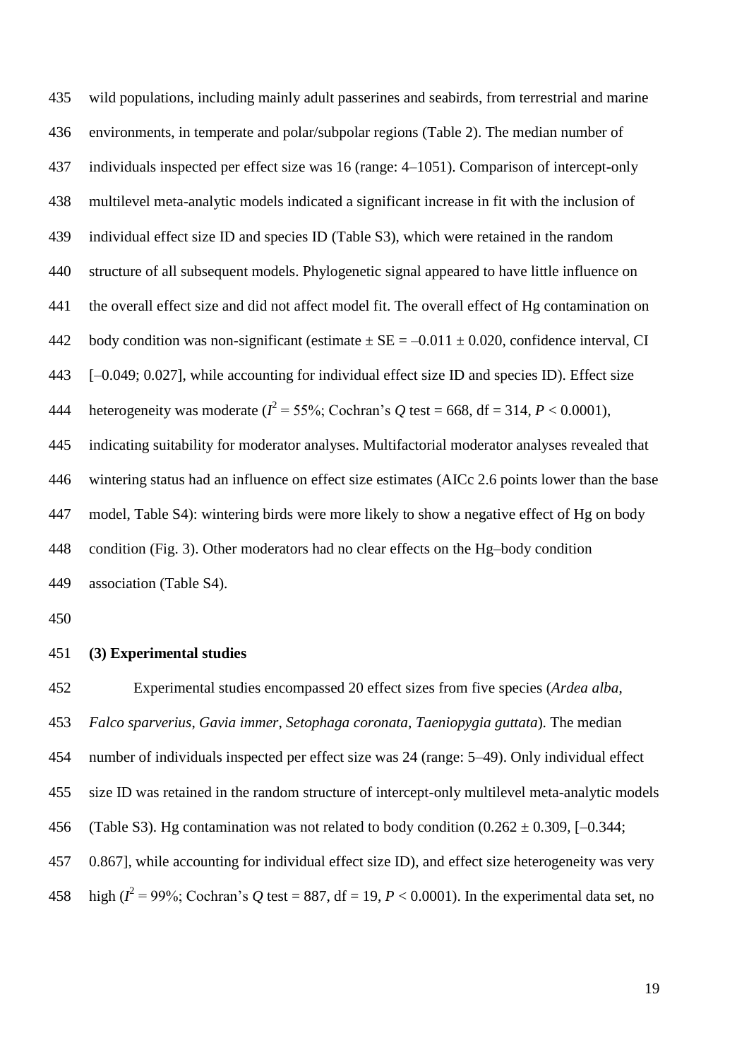wild populations, including mainly adult passerines and seabirds, from terrestrial and marine environments, in temperate and polar/subpolar regions (Table 2). The median number of individuals inspected per effect size was 16 (range: 4–1051). Comparison of intercept-only multilevel meta-analytic models indicated a significant increase in fit with the inclusion of individual effect size ID and species ID (Table S3), which were retained in the random structure of all subsequent models. Phylogenetic signal appeared to have little influence on the overall effect size and did not affect model fit. The overall effect of Hg contamination on 442 body condition was non-significant (estimate  $\pm$  SE = -0.011  $\pm$  0.020, confidence interval, CI [–0.049; 0.027], while accounting for individual effect size ID and species ID). Effect size 444 heterogeneity was moderate  $(I^2 = 55\%;$  Cochran's Q test = 668, df = 314,  $P < 0.0001$ ), indicating suitability for moderator analyses. Multifactorial moderator analyses revealed that wintering status had an influence on effect size estimates (AICc 2.6 points lower than the base model, Table S4): wintering birds were more likely to show a negative effect of Hg on body condition (Fig. 3). Other moderators had no clear effects on the Hg–body condition association (Table S4).

# **(3) Experimental studies**

 Experimental studies encompassed 20 effect sizes from five species (*Ardea alba*, *Falco sparverius*, *Gavia immer*, *Setophaga coronata*, *Taeniopygia guttata*). The median number of individuals inspected per effect size was 24 (range: 5–49). Only individual effect size ID was retained in the random structure of intercept-only multilevel meta-analytic models 456 (Table S3). Hg contamination was not related to body condition  $(0.262 \pm 0.309, [-0.344;$  0.867], while accounting for individual effect size ID), and effect size heterogeneity was very 458 high ( $I^2 = 99\%$ ; Cochran's Q test = 887, df = 19,  $P < 0.0001$ ). In the experimental data set, no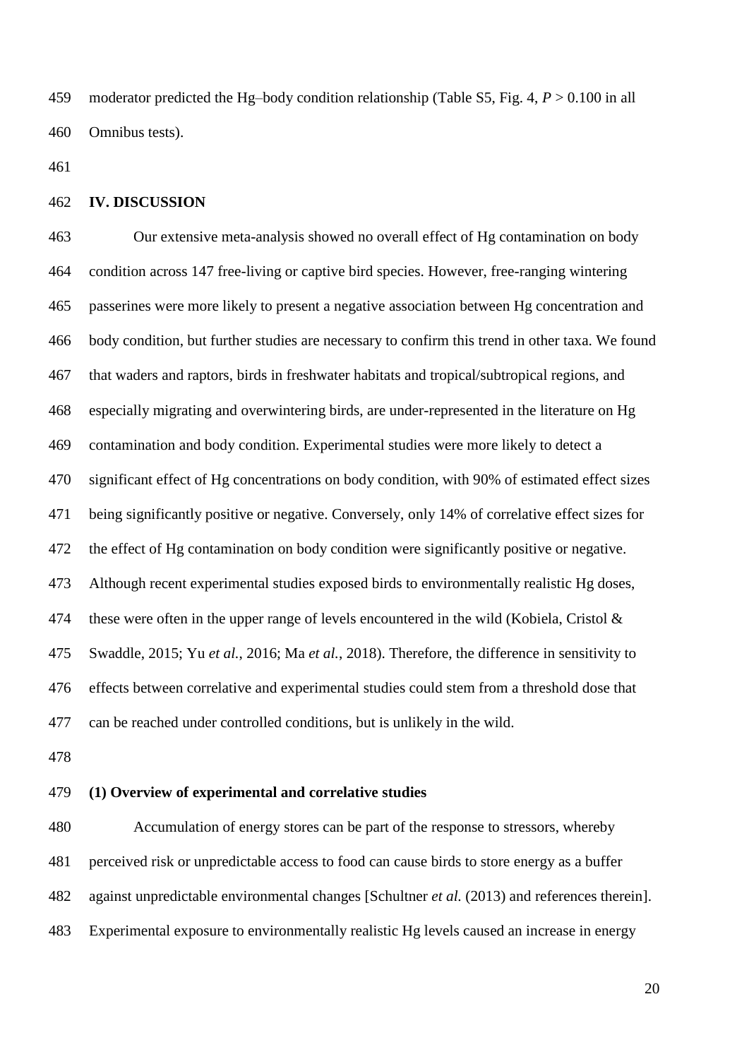moderator predicted the Hg–body condition relationship (Table S5, Fig. 4, *P* > 0.100 in all Omnibus tests).

#### **IV. DISCUSSION**

 Our extensive meta-analysis showed no overall effect of Hg contamination on body condition across 147 free-living or captive bird species. However, free-ranging wintering passerines were more likely to present a negative association between Hg concentration and body condition, but further studies are necessary to confirm this trend in other taxa. We found that waders and raptors, birds in freshwater habitats and tropical/subtropical regions, and especially migrating and overwintering birds, are under-represented in the literature on Hg contamination and body condition. Experimental studies were more likely to detect a significant effect of Hg concentrations on body condition, with 90% of estimated effect sizes being significantly positive or negative. Conversely, only 14% of correlative effect sizes for the effect of Hg contamination on body condition were significantly positive or negative. Although recent experimental studies exposed birds to environmentally realistic Hg doses, 474 these were often in the upper range of levels encountered in the wild (Kobiela, Cristol  $\&$  Swaddle, 2015; Yu *et al.*, 2016; Ma *et al.*, 2018). Therefore, the difference in sensitivity to effects between correlative and experimental studies could stem from a threshold dose that can be reached under controlled conditions, but is unlikely in the wild.

# **(1) Overview of experimental and correlative studies**

 Accumulation of energy stores can be part of the response to stressors, whereby perceived risk or unpredictable access to food can cause birds to store energy as a buffer against unpredictable environmental changes [Schultner *et al.* (2013) and references therein]. Experimental exposure to environmentally realistic Hg levels caused an increase in energy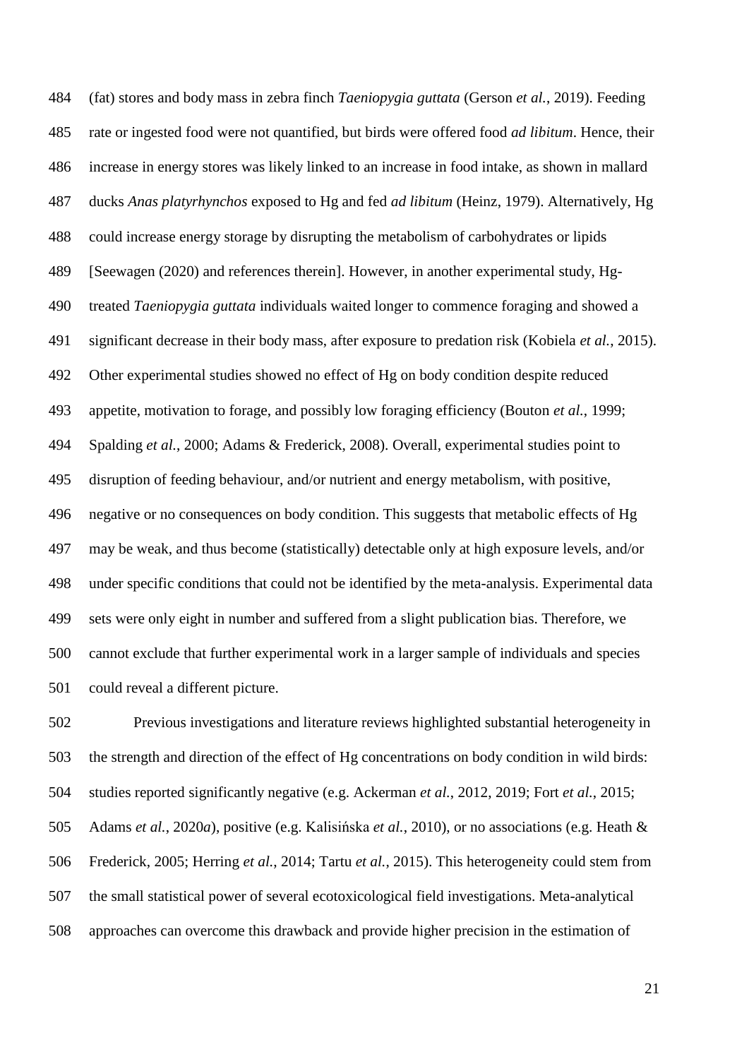(fat) stores and body mass in zebra finch *Taeniopygia guttata* (Gerson *et al.*, 2019). Feeding rate or ingested food were not quantified, but birds were offered food *ad libitum*. Hence, their increase in energy stores was likely linked to an increase in food intake, as shown in mallard ducks *Anas platyrhynchos* exposed to Hg and fed *ad libitum* (Heinz, 1979). Alternatively, Hg could increase energy storage by disrupting the metabolism of carbohydrates or lipids [Seewagen (2020) and references therein]. However, in another experimental study, Hg- treated *Taeniopygia guttata* individuals waited longer to commence foraging and showed a significant decrease in their body mass, after exposure to predation risk (Kobiela *et al.*, 2015). Other experimental studies showed no effect of Hg on body condition despite reduced appetite, motivation to forage, and possibly low foraging efficiency (Bouton *et al.*, 1999; Spalding *et al.*, 2000; Adams & Frederick, 2008). Overall, experimental studies point to disruption of feeding behaviour, and/or nutrient and energy metabolism, with positive, negative or no consequences on body condition. This suggests that metabolic effects of Hg may be weak, and thus become (statistically) detectable only at high exposure levels, and/or under specific conditions that could not be identified by the meta-analysis. Experimental data sets were only eight in number and suffered from a slight publication bias. Therefore, we cannot exclude that further experimental work in a larger sample of individuals and species could reveal a different picture.

 Previous investigations and literature reviews highlighted substantial heterogeneity in the strength and direction of the effect of Hg concentrations on body condition in wild birds: studies reported significantly negative (e.g. Ackerman *et al.*, 2012, 2019; Fort *et al.*, 2015; Adams *et al.*, 2020*a*), positive (e.g. Kalisińska *et al.*, 2010), or no associations (e.g. Heath & Frederick, 2005; Herring *et al.*, 2014; Tartu *et al.*, 2015). This heterogeneity could stem from the small statistical power of several ecotoxicological field investigations. Meta-analytical approaches can overcome this drawback and provide higher precision in the estimation of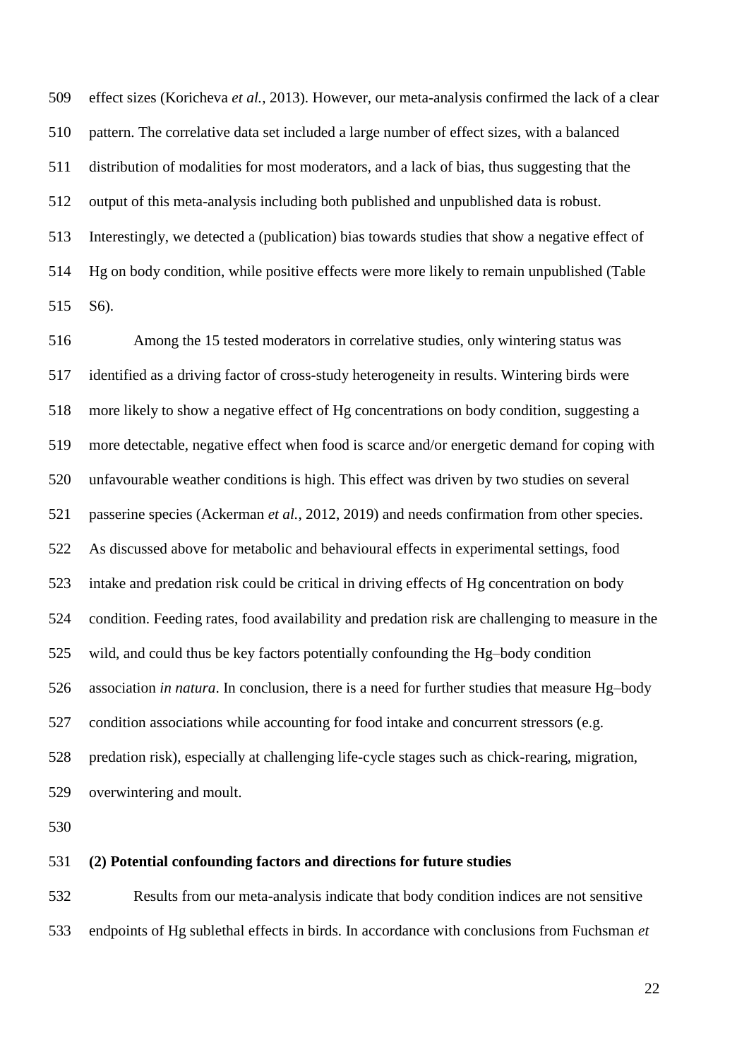effect sizes (Koricheva *et al.*, 2013). However, our meta-analysis confirmed the lack of a clear pattern. The correlative data set included a large number of effect sizes, with a balanced distribution of modalities for most moderators, and a lack of bias, thus suggesting that the output of this meta-analysis including both published and unpublished data is robust. Interestingly, we detected a (publication) bias towards studies that show a negative effect of Hg on body condition, while positive effects were more likely to remain unpublished (Table S6).

 Among the 15 tested moderators in correlative studies, only wintering status was identified as a driving factor of cross-study heterogeneity in results. Wintering birds were more likely to show a negative effect of Hg concentrations on body condition, suggesting a more detectable, negative effect when food is scarce and/or energetic demand for coping with unfavourable weather conditions is high. This effect was driven by two studies on several passerine species (Ackerman *et al.*, 2012, 2019) and needs confirmation from other species. As discussed above for metabolic and behavioural effects in experimental settings, food intake and predation risk could be critical in driving effects of Hg concentration on body condition. Feeding rates, food availability and predation risk are challenging to measure in the wild, and could thus be key factors potentially confounding the Hg–body condition association *in natura*. In conclusion, there is a need for further studies that measure Hg–body condition associations while accounting for food intake and concurrent stressors (e.g. predation risk), especially at challenging life-cycle stages such as chick-rearing, migration, overwintering and moult.

#### **(2) Potential confounding factors and directions for future studies**

 Results from our meta-analysis indicate that body condition indices are not sensitive endpoints of Hg sublethal effects in birds. In accordance with conclusions from Fuchsman *et*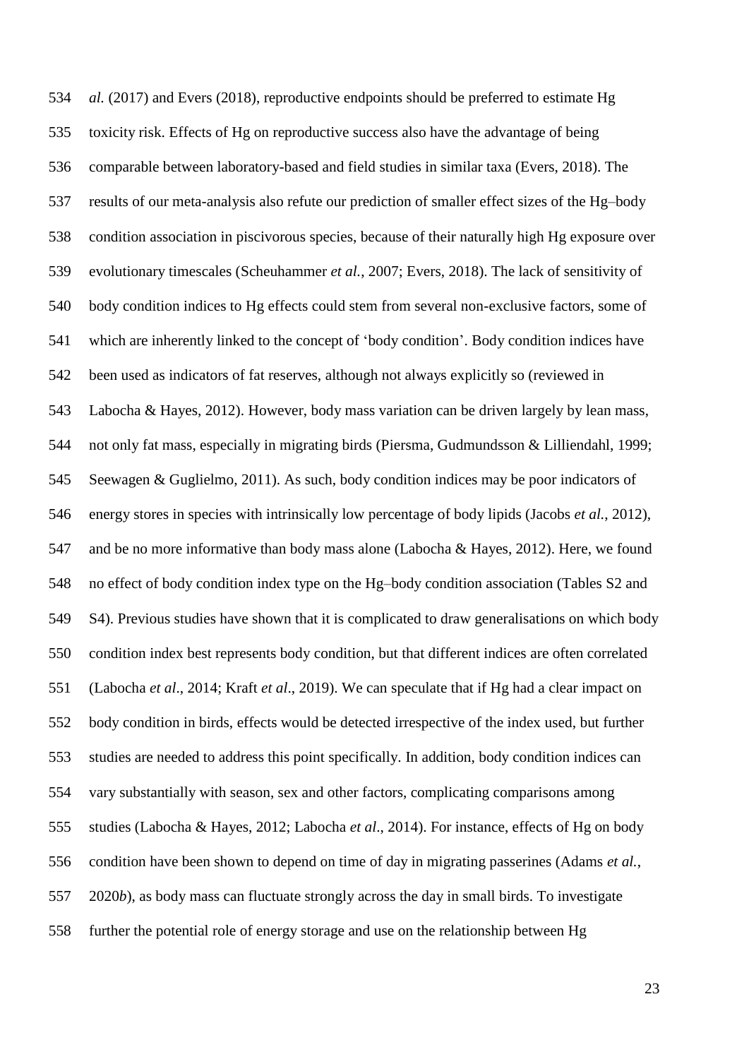*al.* (2017) and Evers (2018), reproductive endpoints should be preferred to estimate Hg toxicity risk. Effects of Hg on reproductive success also have the advantage of being comparable between laboratory-based and field studies in similar taxa (Evers, 2018). The results of our meta-analysis also refute our prediction of smaller effect sizes of the Hg–body condition association in piscivorous species, because of their naturally high Hg exposure over evolutionary timescales (Scheuhammer *et al.*, 2007; Evers, 2018). The lack of sensitivity of body condition indices to Hg effects could stem from several non-exclusive factors, some of which are inherently linked to the concept of 'body condition'. Body condition indices have been used as indicators of fat reserves, although not always explicitly so (reviewed in Labocha & Hayes, 2012). However, body mass variation can be driven largely by lean mass, not only fat mass, especially in migrating birds (Piersma, Gudmundsson & Lilliendahl, 1999; Seewagen & Guglielmo, 2011). As such, body condition indices may be poor indicators of energy stores in species with intrinsically low percentage of body lipids (Jacobs *et al.*, 2012), and be no more informative than body mass alone (Labocha & Hayes, 2012). Here, we found no effect of body condition index type on the Hg–body condition association (Tables S2 and S4). Previous studies have shown that it is complicated to draw generalisations on which body condition index best represents body condition, but that different indices are often correlated (Labocha *et al*., 2014; Kraft *et al*., 2019). We can speculate that if Hg had a clear impact on body condition in birds, effects would be detected irrespective of the index used, but further studies are needed to address this point specifically. In addition, body condition indices can vary substantially with season, sex and other factors, complicating comparisons among studies (Labocha & Hayes, 2012; Labocha *et al*., 2014). For instance, effects of Hg on body condition have been shown to depend on time of day in migrating passerines (Adams *et al.*, 2020*b*), as body mass can fluctuate strongly across the day in small birds. To investigate further the potential role of energy storage and use on the relationship between Hg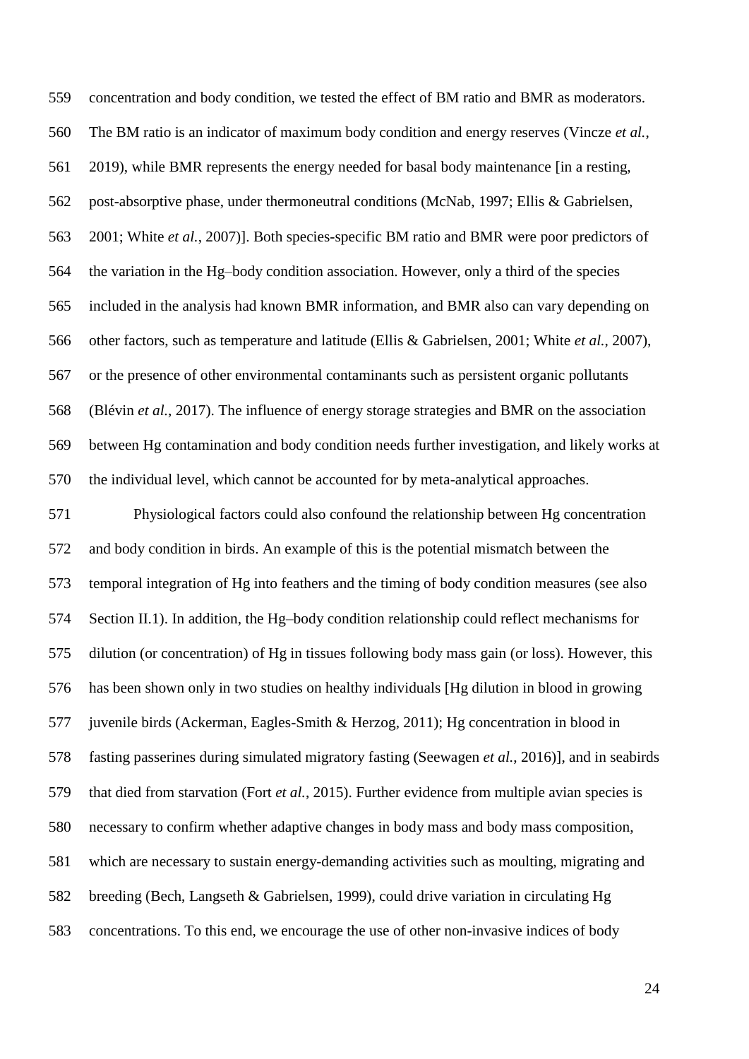concentration and body condition, we tested the effect of BM ratio and BMR as moderators. The BM ratio is an indicator of maximum body condition and energy reserves (Vincze *et al.*, 2019), while BMR represents the energy needed for basal body maintenance [in a resting, post-absorptive phase, under thermoneutral conditions (McNab, 1997; Ellis & Gabrielsen, 2001; White *et al.*, 2007)]. Both species-specific BM ratio and BMR were poor predictors of the variation in the Hg–body condition association. However, only a third of the species included in the analysis had known BMR information, and BMR also can vary depending on other factors, such as temperature and latitude (Ellis & Gabrielsen, 2001; White *et al.*, 2007), or the presence of other environmental contaminants such as persistent organic pollutants (Blévin *et al.*, 2017). The influence of energy storage strategies and BMR on the association between Hg contamination and body condition needs further investigation, and likely works at the individual level, which cannot be accounted for by meta-analytical approaches.

 Physiological factors could also confound the relationship between Hg concentration and body condition in birds. An example of this is the potential mismatch between the temporal integration of Hg into feathers and the timing of body condition measures (see also Section II.1). In addition, the Hg–body condition relationship could reflect mechanisms for dilution (or concentration) of Hg in tissues following body mass gain (or loss). However, this has been shown only in two studies on healthy individuals [Hg dilution in blood in growing juvenile birds (Ackerman, Eagles-Smith & Herzog, 2011); Hg concentration in blood in fasting passerines during simulated migratory fasting (Seewagen *et al.*, 2016)], and in seabirds that died from starvation (Fort *et al.*, 2015). Further evidence from multiple avian species is necessary to confirm whether adaptive changes in body mass and body mass composition, which are necessary to sustain energy-demanding activities such as moulting, migrating and breeding (Bech, Langseth & Gabrielsen, 1999), could drive variation in circulating Hg concentrations. To this end, we encourage the use of other non-invasive indices of body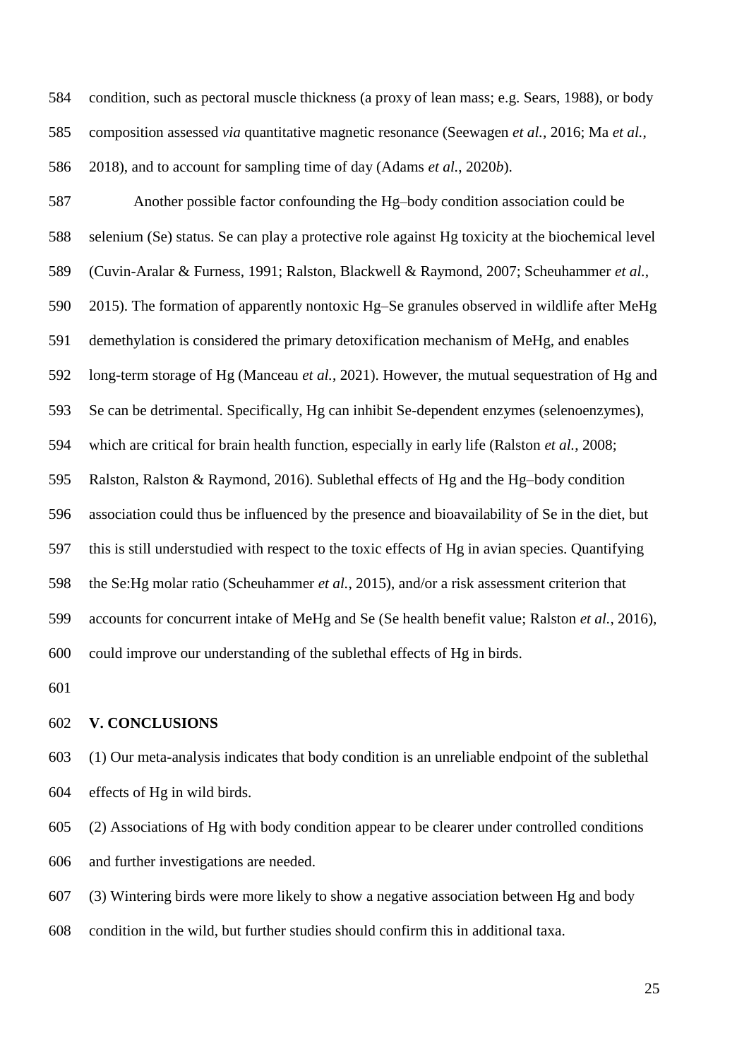condition, such as pectoral muscle thickness (a proxy of lean mass; e.g. Sears, 1988), or body composition assessed *via* quantitative magnetic resonance (Seewagen *et al.*, 2016; Ma *et al.*, 2018), and to account for sampling time of day (Adams *et al.*, 2020*b*).

 Another possible factor confounding the Hg–body condition association could be selenium (Se) status. Se can play a protective role against Hg toxicity at the biochemical level (Cuvin-Aralar & Furness, 1991; Ralston, Blackwell & Raymond, 2007; Scheuhammer *et al.*, 2015). The formation of apparently nontoxic Hg–Se granules observed in wildlife after MeHg demethylation is considered the primary detoxification mechanism of MeHg, and enables long-term storage of Hg (Manceau *et al.*, 2021). However, the mutual sequestration of Hg and Se can be detrimental. Specifically, Hg can inhibit Se-dependent enzymes (selenoenzymes), which are critical for brain health function, especially in early life (Ralston *et al.*, 2008; Ralston, Ralston & Raymond, 2016). Sublethal effects of Hg and the Hg–body condition association could thus be influenced by the presence and bioavailability of Se in the diet, but this is still understudied with respect to the toxic effects of Hg in avian species. Quantifying the Se:Hg molar ratio (Scheuhammer *et al.*, 2015), and/or a risk assessment criterion that accounts for concurrent intake of MeHg and Se (Se health benefit value; Ralston *et al.*, 2016), could improve our understanding of the sublethal effects of Hg in birds.

#### **V. CONCLUSIONS**

 (1) Our meta-analysis indicates that body condition is an unreliable endpoint of the sublethal effects of Hg in wild birds.

 (2) Associations of Hg with body condition appear to be clearer under controlled conditions and further investigations are needed.

 (3) Wintering birds were more likely to show a negative association between Hg and body condition in the wild, but further studies should confirm this in additional taxa.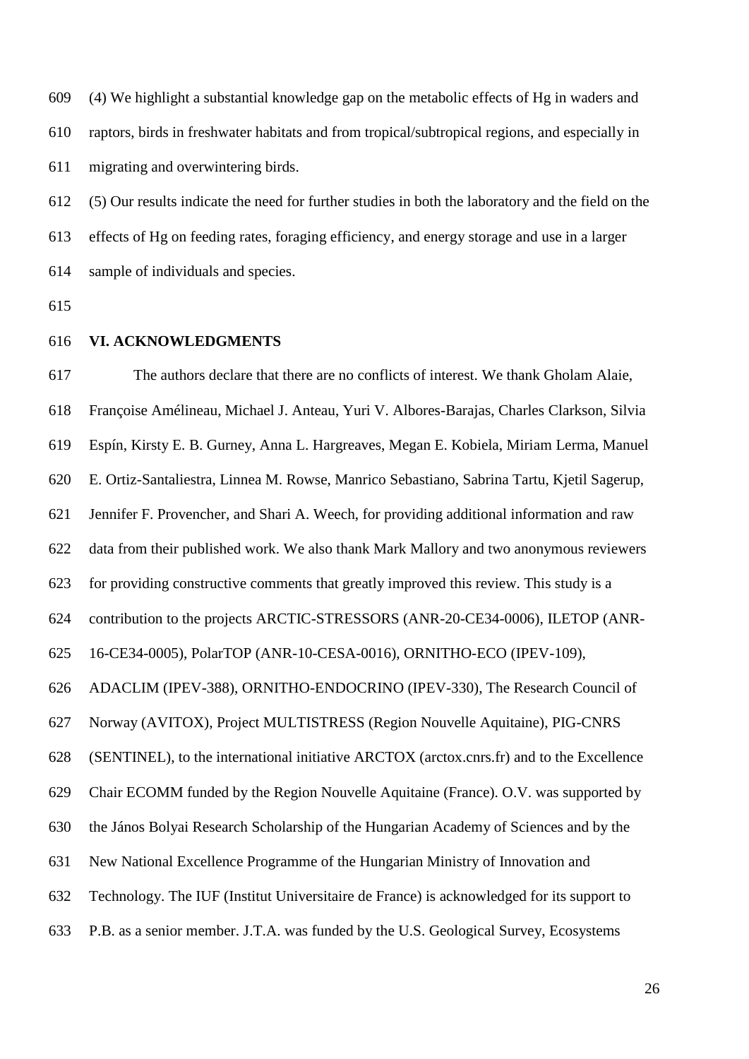(4) We highlight a substantial knowledge gap on the metabolic effects of Hg in waders and raptors, birds in freshwater habitats and from tropical/subtropical regions, and especially in migrating and overwintering birds.

 (5) Our results indicate the need for further studies in both the laboratory and the field on the effects of Hg on feeding rates, foraging efficiency, and energy storage and use in a larger sample of individuals and species.

#### **VI. ACKNOWLEDGMENTS**

 The authors declare that there are no conflicts of interest. We thank Gholam Alaie, Françoise Amélineau, Michael J. Anteau, Yuri V. Albores-Barajas, Charles Clarkson, Silvia Espín, Kirsty E. B. Gurney, Anna L. Hargreaves, Megan E. Kobiela, Miriam Lerma, Manuel E. Ortiz-Santaliestra, Linnea M. Rowse, Manrico Sebastiano, Sabrina Tartu, Kjetil Sagerup, Jennifer F. Provencher, and Shari A. Weech, for providing additional information and raw data from their published work. We also thank Mark Mallory and two anonymous reviewers for providing constructive comments that greatly improved this review. This study is a contribution to the projects ARCTIC-STRESSORS (ANR-20-CE34-0006), ILETOP (ANR- 16-CE34-0005), PolarTOP (ANR-10-CESA-0016), ORNITHO-ECO (IPEV-109), ADACLIM (IPEV-388), ORNITHO-ENDOCRINO (IPEV-330), The Research Council of Norway (AVITOX), Project MULTISTRESS (Region Nouvelle Aquitaine), PIG-CNRS (SENTINEL), to the international initiative ARCTOX (arctox.cnrs.fr) and to the Excellence Chair ECOMM funded by the Region Nouvelle Aquitaine (France). O.V. was supported by the János Bolyai Research Scholarship of the Hungarian Academy of Sciences and by the New National Excellence Programme of the Hungarian Ministry of Innovation and Technology. The IUF (Institut Universitaire de France) is acknowledged for its support to P.B. as a senior member. J.T.A. was funded by the U.S. Geological Survey, Ecosystems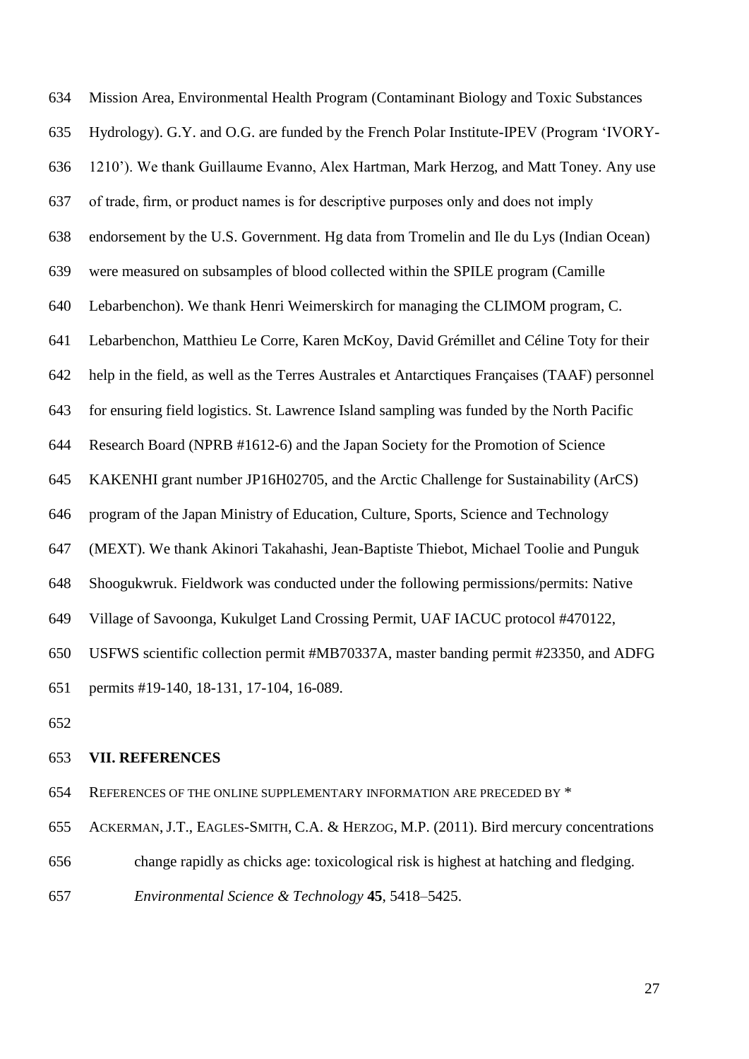Mission Area, Environmental Health Program (Contaminant Biology and Toxic Substances Hydrology). G.Y. and O.G. are funded by the French Polar Institute-IPEV (Program 'IVORY- 1210'). We thank Guillaume Evanno, Alex Hartman, Mark Herzog, and Matt Toney. Any use of trade, firm, or product names is for descriptive purposes only and does not imply endorsement by the U.S. Government. Hg data from Tromelin and Ile du Lys (Indian Ocean) were measured on subsamples of blood collected within the SPILE program (Camille Lebarbenchon). We thank Henri Weimerskirch for managing the CLIMOM program, C. Lebarbenchon, Matthieu Le Corre, Karen McKoy, David Grémillet and Céline Toty for their help in the field, as well as the Terres Australes et Antarctiques Françaises (TAAF) personnel for ensuring field logistics. St. Lawrence Island sampling was funded by the North Pacific Research Board (NPRB #1612-6) and the Japan Society for the Promotion of Science KAKENHI grant number JP16H02705, and the Arctic Challenge for Sustainability (ArCS) program of the Japan Ministry of Education, Culture, Sports, Science and Technology (MEXT). We thank Akinori Takahashi, Jean-Baptiste Thiebot, Michael Toolie and Punguk Shoogukwruk. Fieldwork was conducted under the following permissions/permits: Native Village of Savoonga, Kukulget Land Crossing Permit, UAF IACUC protocol #470122, USFWS scientific collection permit #MB70337A, master banding permit #23350, and ADFG permits #19-140, 18-131, 17-104, 16-089.

#### **VII. REFERENCES**

REFERENCES OF THE ONLINE SUPPLEMENTARY INFORMATION ARE PRECEDED BY \*

- ACKERMAN, J.T., EAGLES-SMITH, C.A. & HERZOG, M.P. (2011). Bird mercury concentrations
- change rapidly as chicks age: toxicological risk is highest at hatching and fledging.
- *Environmental Science & Technology* **45**, 5418–5425.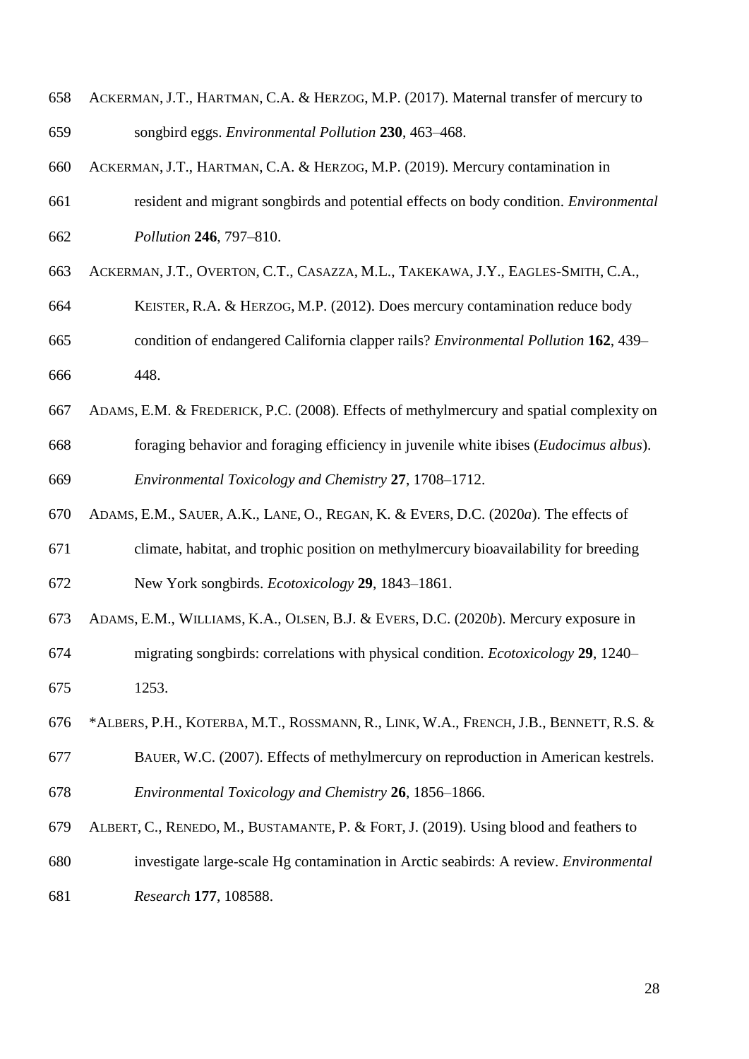- ACKERMAN, J.T., HARTMAN, C.A. & HERZOG, M.P. (2017). Maternal transfer of mercury to songbird eggs. *Environmental Pollution* **230**, 463–468.
- ACKERMAN, J.T., HARTMAN, C.A. & HERZOG, M.P. (2019). Mercury contamination in
- resident and migrant songbirds and potential effects on body condition. *Environmental Pollution* **246**, 797–810.
- ACKERMAN, J.T., OVERTON, C.T., CASAZZA, M.L., TAKEKAWA, J.Y., EAGLES-SMITH, C.A.,
- KEISTER, R.A. & HERZOG, M.P. (2012). Does mercury contamination reduce body
- condition of endangered California clapper rails? *Environmental Pollution* **162**, 439– 448.
- ADAMS, E.M. & FREDERICK, P.C. (2008). Effects of methylmercury and spatial complexity on foraging behavior and foraging efficiency in juvenile white ibises (*Eudocimus albus*). *Environmental Toxicology and Chemistry* **27**, 1708–1712.
- ADAMS, E.M., SAUER, A.K., LANE, O., REGAN, K. & EVERS, D.C. (2020*a*). The effects of
- climate, habitat, and trophic position on methylmercury bioavailability for breeding New York songbirds. *Ecotoxicology* **29**, 1843–1861.
- ADAMS, E.M., WILLIAMS, K.A., OLSEN, B.J. & EVERS, D.C. (2020*b*). Mercury exposure in
- migrating songbirds: correlations with physical condition. *Ecotoxicology* **29**, 1240– 1253.
- \*ALBERS, P.H., KOTERBA, M.T., ROSSMANN, R., LINK, W.A., FRENCH, J.B., BENNETT, R.S. &
- BAUER, W.C. (2007). Effects of methylmercury on reproduction in American kestrels.
- *Environmental Toxicology and Chemistry* **26**, 1856–1866.
- ALBERT, C., RENEDO, M., BUSTAMANTE, P. & FORT, J. (2019). Using blood and feathers to
- investigate large-scale Hg contamination in Arctic seabirds: A review. *Environmental*
- *Research* **177**, 108588.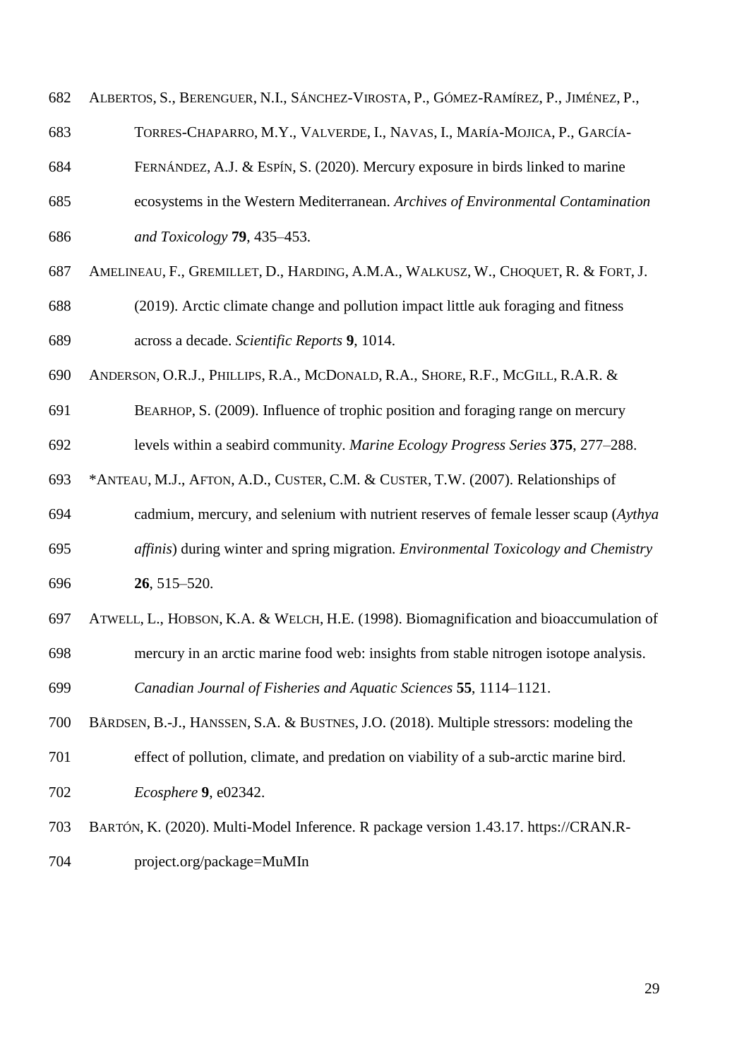|  | 682 ALBERTOS, S., BERENGUER, N.I., SÁNCHEZ-VIROSTA, P., GÓMEZ-RAMÍREZ, P., JIMÉNEZ, P., |  |  |  |  |  |
|--|-----------------------------------------------------------------------------------------|--|--|--|--|--|
|--|-----------------------------------------------------------------------------------------|--|--|--|--|--|

- TORRES-CHAPARRO, M.Y., VALVERDE, I., NAVAS, I., MARÍA-MOJICA, P., GARCÍA-
- FERNÁNDEZ, A.J. & ESPÍN, S. (2020). Mercury exposure in birds linked to marine
- ecosystems in the Western Mediterranean. *Archives of Environmental Contamination and Toxicology* **79**, 435–453.
- AMELINEAU, F., GREMILLET, D., HARDING, A.M.A., WALKUSZ, W., CHOQUET, R. & FORT, J.
- (2019). Arctic climate change and pollution impact little auk foraging and fitness across a decade. *Scientific Reports* **9**, 1014.
- ANDERSON, O.R.J., PHILLIPS, R.A., MCDONALD, R.A., SHORE, R.F., MCGILL, R.A.R. &
- BEARHOP, S. (2009). Influence of trophic position and foraging range on mercury
- levels within a seabird community. *Marine Ecology Progress Series* **375**, 277–288.
- \*ANTEAU, M.J., AFTON, A.D., CUSTER, C.M. & CUSTER, T.W. (2007). Relationships of
- cadmium, mercury, and selenium with nutrient reserves of female lesser scaup (*Aythya*
- *affinis*) during winter and spring migration. *Environmental Toxicology and Chemistry* **26**, 515–520.
- ATWELL, L., HOBSON, K.A. & WELCH, H.E. (1998). Biomagnification and bioaccumulation of
- mercury in an arctic marine food web: insights from stable nitrogen isotope analysis.

*Canadian Journal of Fisheries and Aquatic Sciences* **55**, 1114–1121.

- BÅRDSEN, B.-J., HANSSEN, S.A. & BUSTNES, J.O. (2018). Multiple stressors: modeling the
- effect of pollution, climate, and predation on viability of a sub-arctic marine bird.
- *Ecosphere* **9**, e02342.
- BARTÓN, K. (2020). Multi-Model Inference. R package version 1.43.17. https://CRAN.R-project.org/package=MuMIn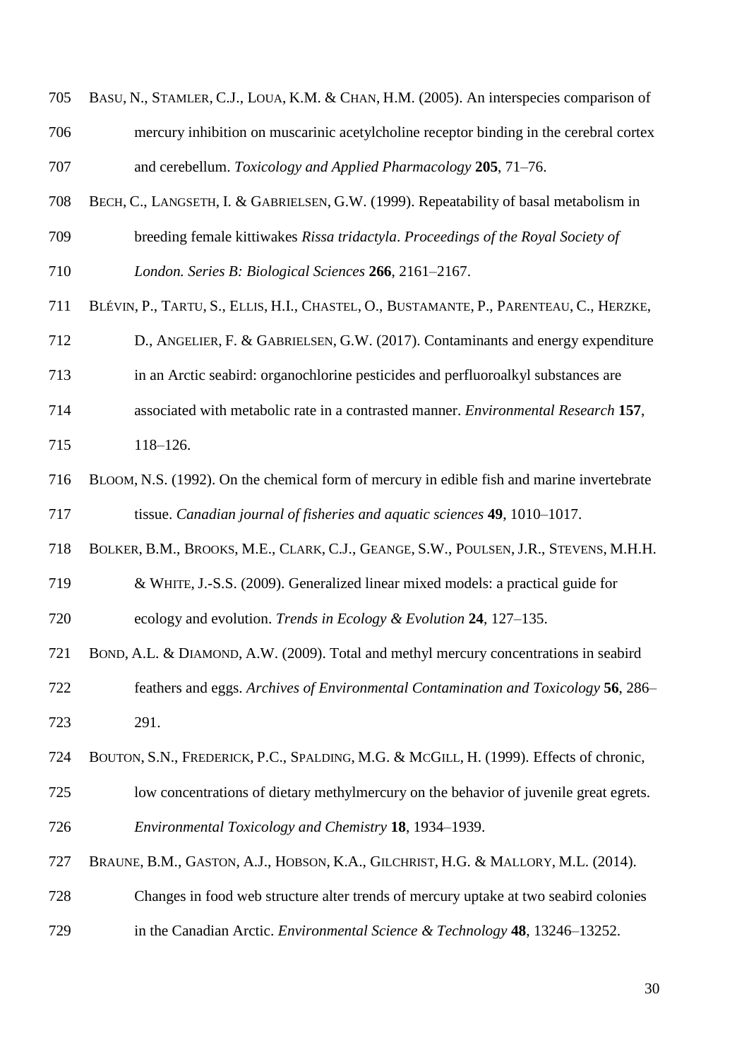| 706 | mercury inhibition on muscarinic acetylcholine receptor binding in the cerebral cortex     |
|-----|--------------------------------------------------------------------------------------------|
| 707 | and cerebellum. Toxicology and Applied Pharmacology 205, 71–76.                            |
| 708 | BECH, C., LANGSETH, I. & GABRIELSEN, G.W. (1999). Repeatability of basal metabolism in     |
| 709 | breeding female kittiwakes Rissa tridactyla. Proceedings of the Royal Society of           |
| 710 | London. Series B: Biological Sciences 266, 2161-2167.                                      |
| 711 | BLÉVIN, P., TARTU, S., ELLIS, H.I., CHASTEL, O., BUSTAMANTE, P., PARENTEAU, C., HERZKE,    |
| 712 | D., ANGELIER, F. & GABRIELSEN, G.W. (2017). Contaminants and energy expenditure            |
| 713 | in an Arctic seabird: organochlorine pesticides and perfluoroalkyl substances are          |
| 714 | associated with metabolic rate in a contrasted manner. Environmental Research 157,         |
| 715 | $118 - 126.$                                                                               |
| 716 | BLOOM, N.S. (1992). On the chemical form of mercury in edible fish and marine invertebrate |
| 717 | tissue. Canadian journal of fisheries and aquatic sciences 49, 1010-1017.                  |
| 718 | BOLKER, B.M., BROOKS, M.E., CLARK, C.J., GEANGE, S.W., POULSEN, J.R., STEVENS, M.H.H.      |
| 719 | & WHITE, J.-S.S. (2009). Generalized linear mixed models: a practical guide for            |
| 720 | ecology and evolution. Trends in Ecology & Evolution 24, 127–135.                          |
| 721 | BOND, A.L. & DIAMOND, A.W. (2009). Total and methyl mercury concentrations in seabird      |
| 722 | feathers and eggs. Archives of Environmental Contamination and Toxicology 56, 286–         |
| 723 | 291.                                                                                       |
| 724 | BOUTON, S.N., FREDERICK, P.C., SPALDING, M.G. & MCGILL, H. (1999). Effects of chronic,     |
| 725 | low concentrations of dietary methylmercury on the behavior of juvenile great egrets.      |
| 726 | Environmental Toxicology and Chemistry 18, 1934–1939.                                      |
| 727 | BRAUNE, B.M., GASTON, A.J., HOBSON, K.A., GILCHRIST, H.G. & MALLORY, M.L. (2014).          |
| 728 | Changes in food web structure alter trends of mercury uptake at two seabird colonies       |
| 729 | in the Canadian Arctic. <i>Environmental Science &amp; Technology</i> 48, 13246–13252.     |
|     |                                                                                            |

BASU, N., STAMLER, C.J., LOUA, K.M. & CHAN, H.M. (2005). An interspecies comparison of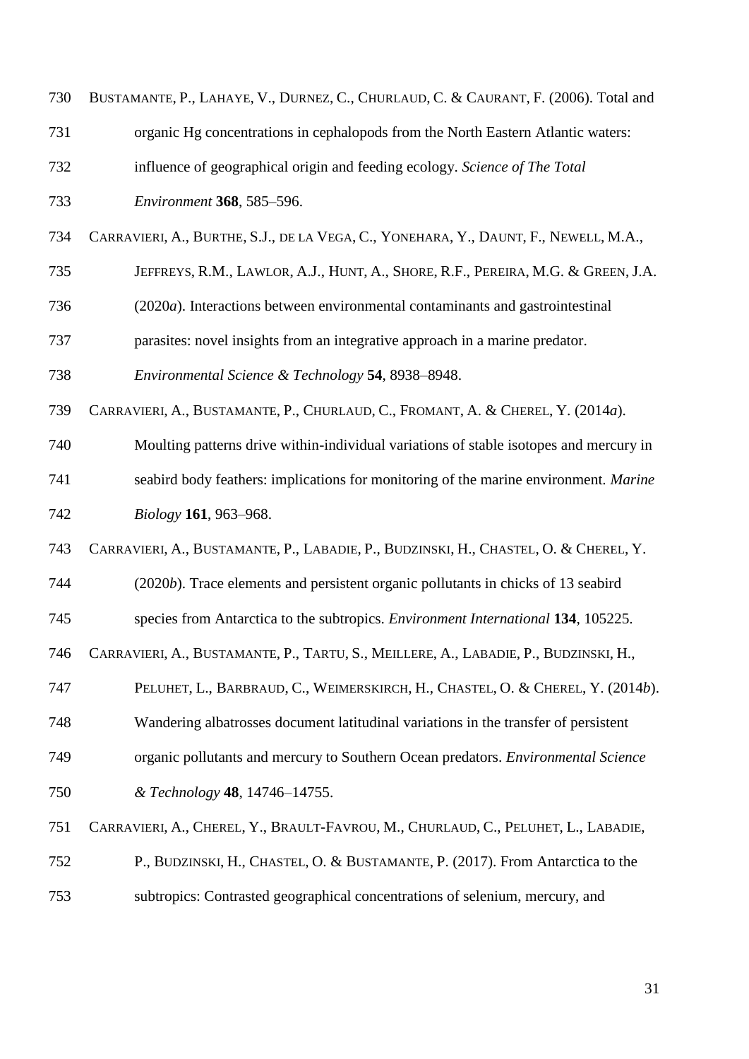| 730 | BUSTAMANTE, P., LAHAYE, V., DURNEZ, C., CHURLAUD, C. & CAURANT, F. (2006). Total and   |
|-----|----------------------------------------------------------------------------------------|
| 731 | organic Hg concentrations in cephalopods from the North Eastern Atlantic waters:       |
| 732 | influence of geographical origin and feeding ecology. Science of The Total             |
| 733 | Environment 368, 585-596.                                                              |
| 734 | CARRAVIERI, A., BURTHE, S.J., DE LA VEGA, C., YONEHARA, Y., DAUNT, F., NEWELL, M.A.,   |
| 735 | JEFFREYS, R.M., LAWLOR, A.J., HUNT, A., SHORE, R.F., PEREIRA, M.G. & GREEN, J.A.       |
| 736 | (2020a). Interactions between environmental contaminants and gastrointestinal          |
| 737 | parasites: novel insights from an integrative approach in a marine predator.           |
| 738 | Environmental Science & Technology 54, 8938-8948.                                      |
| 739 | CARRAVIERI, A., BUSTAMANTE, P., CHURLAUD, C., FROMANT, A. & CHEREL, Y. (2014a).        |
| 740 | Moulting patterns drive within-individual variations of stable isotopes and mercury in |
| 741 | seabird body feathers: implications for monitoring of the marine environment. Marine   |
| 742 | Biology 161, 963-968.                                                                  |
| 743 | CARRAVIERI, A., BUSTAMANTE, P., LABADIE, P., BUDZINSKI, H., CHASTEL, O. & CHEREL, Y.   |
| 744 | (2020b). Trace elements and persistent organic pollutants in chicks of 13 seabird      |
| 745 | species from Antarctica to the subtropics. Environment International 134, 105225.      |
| 746 | CARRAVIERI, A., BUSTAMANTE, P., TARTU, S., MEILLERE, A., LABADIE, P., BUDZINSKI, H.,   |
| 747 | PELUHET, L., BARBRAUD, C., WEIMERSKIRCH, H., CHASTEL, O. & CHEREL, Y. (2014b).         |
| 748 | Wandering albatrosses document latitudinal variations in the transfer of persistent    |
| 749 | organic pollutants and mercury to Southern Ocean predators. Environmental Science      |
| 750 | & Technology 48, 14746-14755.                                                          |
| 751 | CARRAVIERI, A., CHEREL, Y., BRAULT-FAVROU, M., CHURLAUD, C., PELUHET, L., LABADIE,     |
| 752 | P., BUDZINSKI, H., CHASTEL, O. & BUSTAMANTE, P. (2017). From Antarctica to the         |
| 753 | subtropics: Contrasted geographical concentrations of selenium, mercury, and           |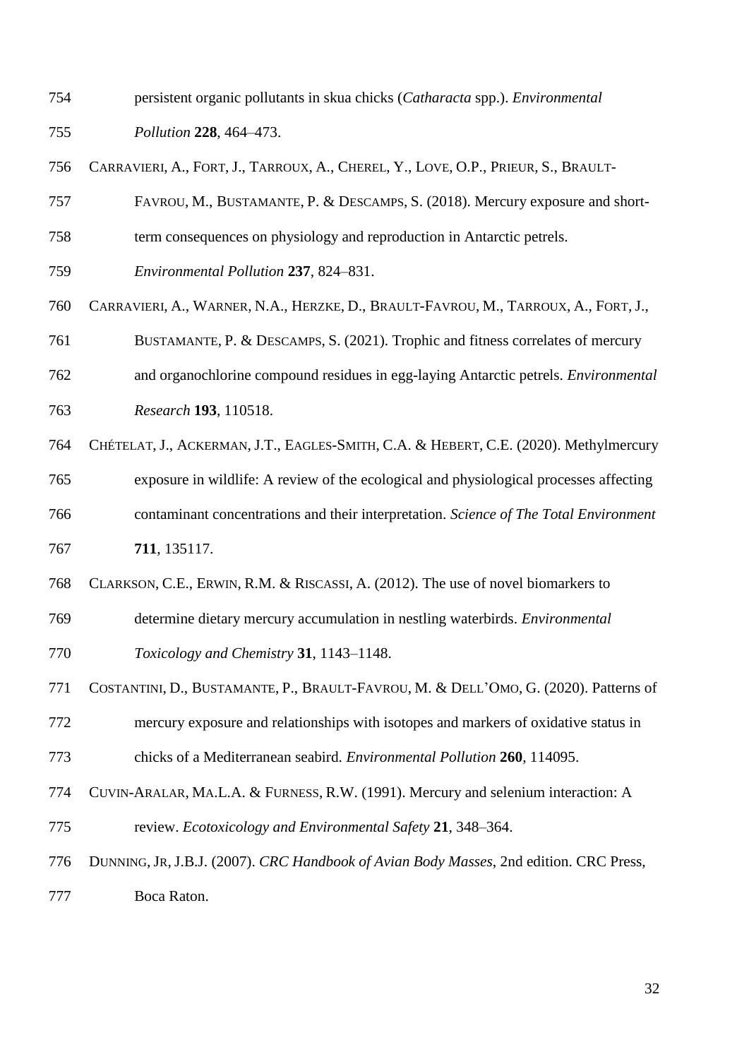persistent organic pollutants in skua chicks (*Catharacta* spp.). *Environmental* 

*Pollution* **228**, 464–473.

- CARRAVIERI, A., FORT, J., TARROUX, A., CHEREL, Y., LOVE, O.P., PRIEUR, S., BRAULT-
- FAVROU, M., BUSTAMANTE, P. & DESCAMPS, S. (2018). Mercury exposure and short-
- term consequences on physiology and reproduction in Antarctic petrels.
- *Environmental Pollution* **237**, 824–831.
- CARRAVIERI, A., WARNER, N.A., HERZKE, D., BRAULT-FAVROU, M., TARROUX, A., FORT, J.,
- BUSTAMANTE, P. & DESCAMPS, S. (2021). Trophic and fitness correlates of mercury
- and organochlorine compound residues in egg-laying Antarctic petrels. *Environmental Research* **193**, 110518.
- CHÉTELAT, J., ACKERMAN, J.T., EAGLES-SMITH, C.A. & HEBERT, C.E. (2020). Methylmercury
- exposure in wildlife: A review of the ecological and physiological processes affecting contaminant concentrations and their interpretation. *Science of The Total Environment* **711**, 135117.
- CLARKSON, C.E., ERWIN, R.M. & RISCASSI, A. (2012). The use of novel biomarkers to
- determine dietary mercury accumulation in nestling waterbirds. *Environmental Toxicology and Chemistry* **31**, 1143–1148.
- COSTANTINI, D., BUSTAMANTE, P., BRAULT-FAVROU, M. & DELL'OMO, G. (2020). Patterns of mercury exposure and relationships with isotopes and markers of oxidative status in chicks of a Mediterranean seabird. *Environmental Pollution* **260**, 114095.
- CUVIN-ARALAR, MA.L.A. & FURNESS, R.W. (1991). Mercury and selenium interaction: A review. *Ecotoxicology and Environmental Safety* **21**, 348–364.
- DUNNING, JR, J.B.J. (2007). *CRC Handbook of Avian Body Masses*, 2nd edition. CRC Press, Boca Raton.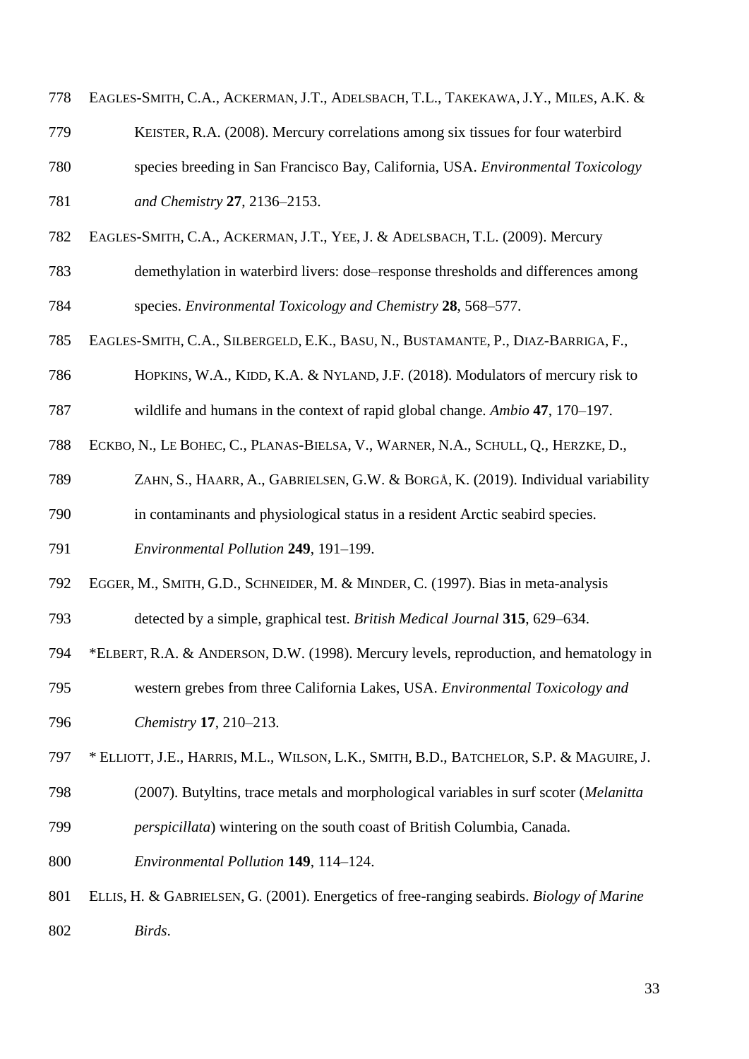| 778 | EAGLES-SMITH, C.A., ACKERMAN, J.T., ADELSBACH, T.L., TAKEKAWA, J.Y., MILES, A.K. &        |
|-----|-------------------------------------------------------------------------------------------|
| 779 | KEISTER, R.A. (2008). Mercury correlations among six tissues for four waterbird           |
| 780 | species breeding in San Francisco Bay, California, USA. Environmental Toxicology          |
| 781 | and Chemistry 27, 2136-2153.                                                              |
| 782 | EAGLES-SMITH, C.A., ACKERMAN, J.T., YEE, J. & ADELSBACH, T.L. (2009). Mercury             |
| 783 | demethylation in waterbird livers: dose–response thresholds and differences among         |
| 784 | species. Environmental Toxicology and Chemistry 28, 568–577.                              |
| 785 | EAGLES-SMITH, C.A., SILBERGELD, E.K., BASU, N., BUSTAMANTE, P., DIAZ-BARRIGA, F.,         |
| 786 | HOPKINS, W.A., KIDD, K.A. & NYLAND, J.F. (2018). Modulators of mercury risk to            |
| 787 | wildlife and humans in the context of rapid global change. Ambio 47, 170–197.             |
| 788 | ECKBO, N., LE BOHEC, C., PLANAS-BIELSA, V., WARNER, N.A., SCHULL, Q., HERZKE, D.,         |
| 789 | ZAHN, S., HAARR, A., GABRIELSEN, G.W. & BORGÅ, K. (2019). Individual variability          |
| 790 | in contaminants and physiological status in a resident Arctic seabird species.            |
| 791 | Environmental Pollution 249, 191-199.                                                     |
| 792 | EGGER, M., SMITH, G.D., SCHNEIDER, M. & MINDER, C. (1997). Bias in meta-analysis          |
| 793 | detected by a simple, graphical test. British Medical Journal 315, 629–634.               |
| 794 | *ELBERT, R.A. & ANDERSON, D.W. (1998). Mercury levels, reproduction, and hematology in    |
| 795 | western grebes from three California Lakes, USA. Environmental Toxicology and             |
| 796 | Chemistry 17, 210-213.                                                                    |
| 797 | * ELLIOTT, J.E., HARRIS, M.L., WILSON, L.K., SMITH, B.D., BATCHELOR, S.P. & MAGUIRE, J.   |
| 798 | (2007). Butyltins, trace metals and morphological variables in surf scoter (Melanitta     |
| 799 | perspicillata) wintering on the south coast of British Columbia, Canada.                  |
| 800 | Environmental Pollution 149, 114-124.                                                     |
| 801 | ELLIS, H. & GABRIELSEN, G. (2001). Energetics of free-ranging seabirds. Biology of Marine |
| 802 | Birds.                                                                                    |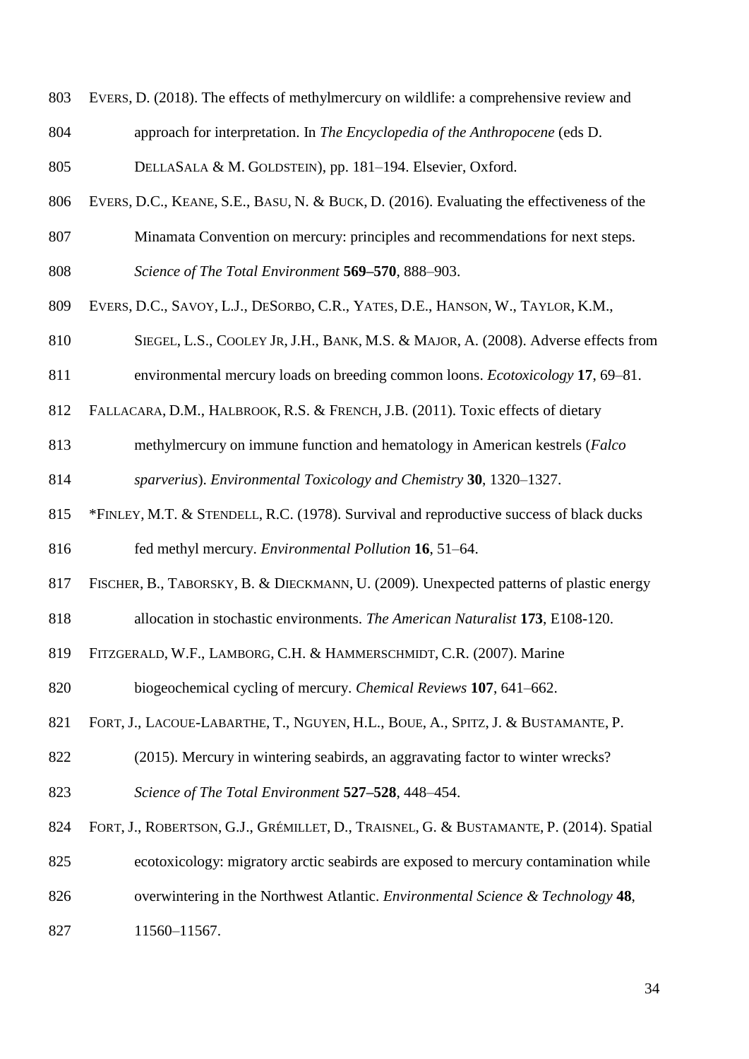- EVERS, D. (2018). The effects of methylmercury on wildlife: a comprehensive review and
- approach for interpretation. In *The Encyclopedia of the Anthropocene* (eds D.
- 805 DELLASALA & M. GOLDSTEIN), pp. 181–194. Elsevier, Oxford.
- EVERS, D.C., KEANE, S.E., BASU, N. & BUCK, D. (2016). Evaluating the effectiveness of the
- Minamata Convention on mercury: principles and recommendations for next steps.
- *Science of The Total Environment* **569–570**, 888–903.
- EVERS, D.C., SAVOY, L.J., DESORBO, C.R., YATES, D.E., HANSON, W., TAYLOR, K.M.,
- SIEGEL, L.S., COOLEY JR,J.H., BANK, M.S. & MAJOR, A. (2008). Adverse effects from
- environmental mercury loads on breeding common loons. *Ecotoxicology* **17**, 69–81.
- FALLACARA, D.M., HALBROOK, R.S. & FRENCH, J.B. (2011). Toxic effects of dietary
- methylmercury on immune function and hematology in American kestrels (*Falco*
- *sparverius*). *Environmental Toxicology and Chemistry* **30**, 1320–1327.
- \*FINLEY, M.T. & STENDELL, R.C. (1978). Survival and reproductive success of black ducks fed methyl mercury. *Environmental Pollution* **16**, 51–64.
- FISCHER, B., TABORSKY, B. & DIECKMANN, U. (2009). Unexpected patterns of plastic energy
- allocation in stochastic environments. *The American Naturalist* **173**, E108-120.
- FITZGERALD, W.F., LAMBORG, C.H. & HAMMERSCHMIDT, C.R. (2007). Marine
- biogeochemical cycling of mercury. *Chemical Reviews* **107**, 641–662.
- FORT, J., LACOUE-LABARTHE, T., NGUYEN, H.L., BOUE, A., SPITZ, J. & BUSTAMANTE, P.
- (2015). Mercury in wintering seabirds, an aggravating factor to winter wrecks?
- *Science of The Total Environment* **527–528**, 448–454.
- FORT, J., ROBERTSON, G.J., GRÉMILLET, D., TRAISNEL, G. & BUSTAMANTE, P. (2014). Spatial
- ecotoxicology: migratory arctic seabirds are exposed to mercury contamination while
- overwintering in the Northwest Atlantic. *Environmental Science & Technology* **48**,
- 11560–11567.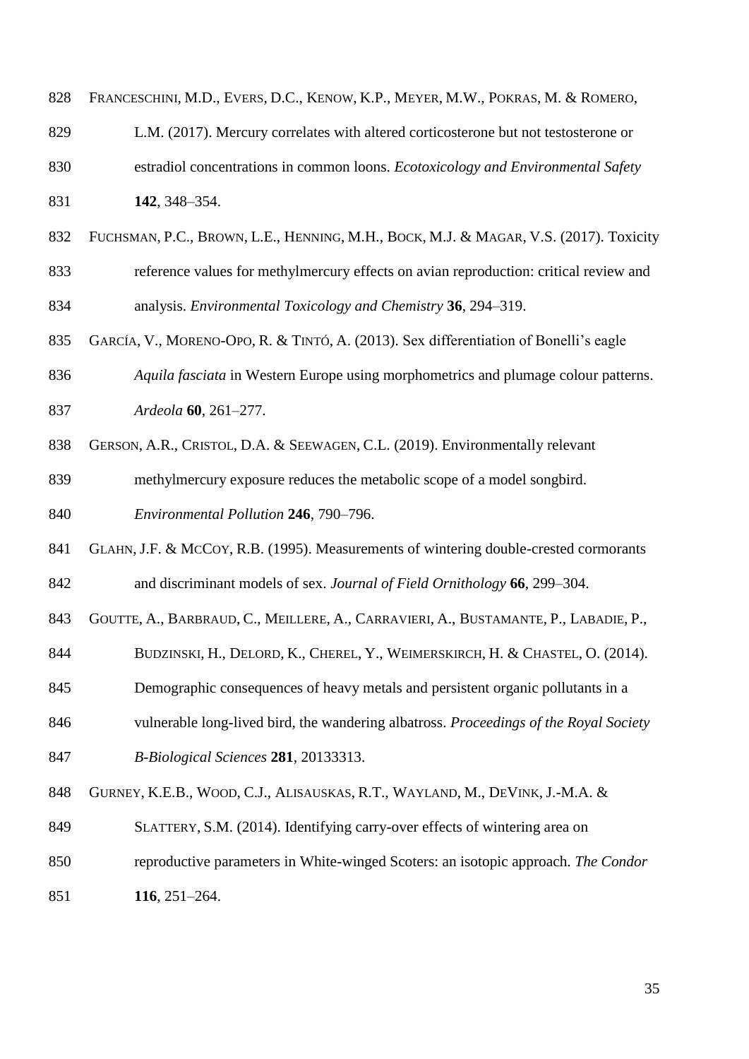| 828 | FRANCESCHINI, M.D., EVERS, D.C., KENOW, K.P., MEYER, M.W., POKRAS, M. & ROMERO,       |
|-----|---------------------------------------------------------------------------------------|
| 829 | L.M. (2017). Mercury correlates with altered corticosterone but not testosterone or   |
| 830 | estradiol concentrations in common loons. Ecotoxicology and Environmental Safety      |
| 831 | 142, 348-354.                                                                         |
| 832 | FUCHSMAN, P.C., BROWN, L.E., HENNING, M.H., BOCK, M.J. & MAGAR, V.S. (2017). Toxicity |
| 833 | reference values for methylmercury effects on avian reproduction: critical review and |
| 834 | analysis. Environmental Toxicology and Chemistry 36, 294–319.                         |
| 835 | GARCÍA, V., MORENO-OPO, R. & TINTÓ, A. (2013). Sex differentiation of Bonelli's eagle |
| 836 | Aquila fasciata in Western Europe using morphometrics and plumage colour patterns.    |
| 837 | Ardeola 60, 261-277.                                                                  |
| 838 | GERSON, A.R., CRISTOL, D.A. & SEEWAGEN, C.L. (2019). Environmentally relevant         |
| 839 | methylmercury exposure reduces the metabolic scope of a model songbird.               |
| 840 | Environmental Pollution 246, 790-796.                                                 |
| 841 | GLAHN, J.F. & McCoy, R.B. (1995). Measurements of wintering double-crested cormorants |
| 842 | and discriminant models of sex. Journal of Field Ornithology 66, 299-304.             |
| 843 | GOUTTE, A., BARBRAUD, C., MEILLERE, A., CARRAVIERI, A., BUSTAMANTE, P., LABADIE, P.,  |
| 844 | BUDZINSKI, H., DELORD, K., CHEREL, Y., WEIMERSKIRCH, H. & CHASTEL, O. (2014).         |
| 845 | Demographic consequences of heavy metals and persistent organic pollutants in a       |
| 846 | vulnerable long-lived bird, the wandering albatross. Proceedings of the Royal Society |
| 847 | B-Biological Sciences 281, 20133313.                                                  |
| 848 | GURNEY, K.E.B., WOOD, C.J., ALISAUSKAS, R.T., WAYLAND, M., DEVINK, J.-M.A. &          |
| 849 | SLATTERY, S.M. (2014). Identifying carry-over effects of wintering area on            |
| 850 | reproductive parameters in White-winged Scoters: an isotopic approach. The Condor     |
| 851 | $116, 251 - 264.$                                                                     |
|     |                                                                                       |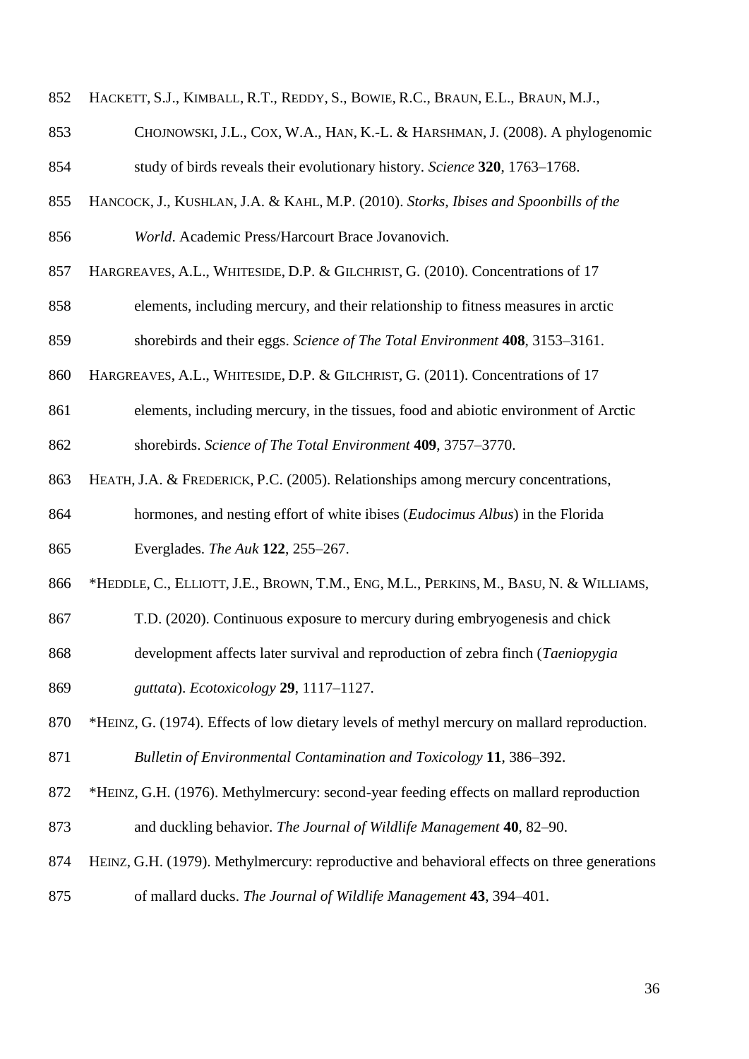- HACKETT, S.J., KIMBALL, R.T., REDDY, S., BOWIE, R.C., BRAUN, E.L., BRAUN, M.J.,
- CHOJNOWSKI, J.L., COX, W.A., HAN, K.-L. & HARSHMAN, J. (2008). A phylogenomic
- study of birds reveals their evolutionary history. *Science* **320**, 1763–1768.
- HANCOCK, J., KUSHLAN, J.A. & KAHL, M.P. (2010). *Storks, Ibises and Spoonbills of the*
- *World*. Academic Press/Harcourt Brace Jovanovich.
- HARGREAVES, A.L., WHITESIDE, D.P. & GILCHRIST, G. (2010). Concentrations of 17
- elements, including mercury, and their relationship to fitness measures in arctic

- 860 HARGREAVES, A.L., WHITESIDE, D.P. & GILCHRIST, G. (2011). Concentrations of 17
- elements, including mercury, in the tissues, food and abiotic environment of Arctic shorebirds. *Science of The Total Environment* **409**, 3757–3770.
- HEATH, J.A. & FREDERICK, P.C. (2005). Relationships among mercury concentrations,
- hormones, and nesting effort of white ibises (*Eudocimus Albus*) in the Florida
- Everglades. *The Auk* **122**, 255–267.
- \*HEDDLE, C., ELLIOTT, J.E., BROWN, T.M., ENG, M.L., PERKINS, M., BASU, N. & WILLIAMS,
- T.D. (2020). Continuous exposure to mercury during embryogenesis and chick
- development affects later survival and reproduction of zebra finch (*Taeniopygia*
- *guttata*). *Ecotoxicology* **29**, 1117–1127.
- \*HEINZ, G. (1974). Effects of low dietary levels of methyl mercury on mallard reproduction. *Bulletin of Environmental Contamination and Toxicology* **11**, 386–392.
- \*HEINZ, G.H. (1976). Methylmercury: second-year feeding effects on mallard reproduction and duckling behavior. *The Journal of Wildlife Management* **40**, 82–90.
- 
- HEINZ, G.H. (1979). Methylmercury: reproductive and behavioral effects on three generations
- of mallard ducks. *The Journal of Wildlife Management* **43**, 394–401.

shorebirds and their eggs. *Science of The Total Environment* **408**, 3153–3161.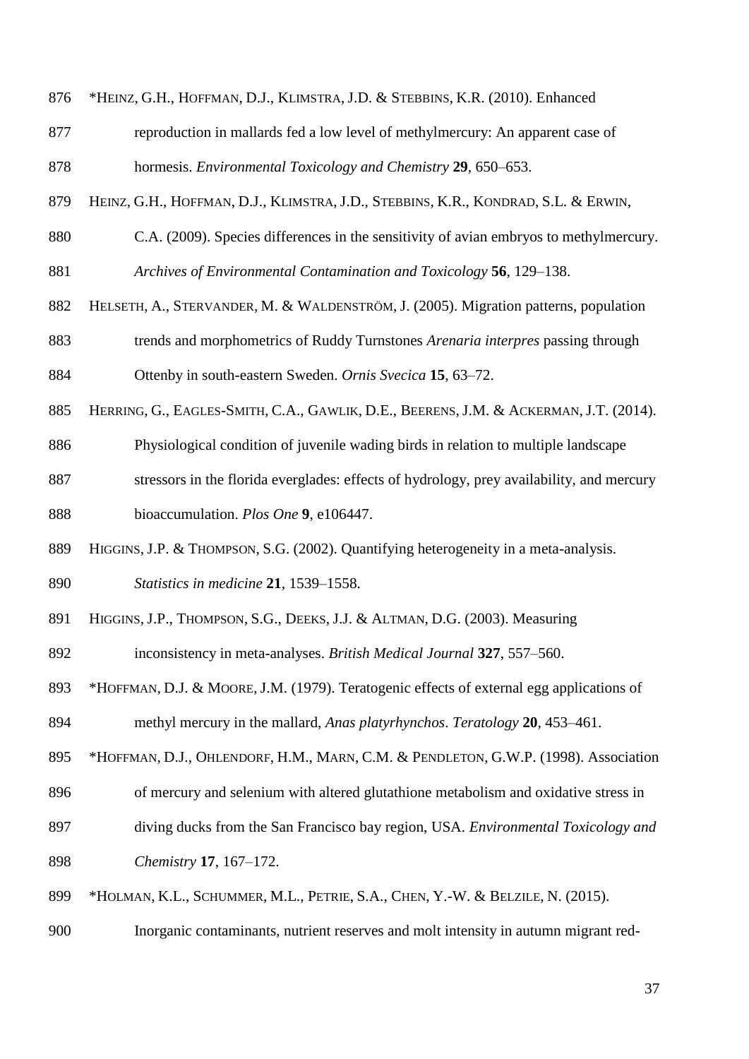- \*HEINZ, G.H., HOFFMAN, D.J., KLIMSTRA, J.D. & STEBBINS, K.R. (2010). Enhanced
- reproduction in mallards fed a low level of methylmercury: An apparent case of hormesis. *Environmental Toxicology and Chemistry* **29**, 650–653.
- HEINZ, G.H., HOFFMAN, D.J., KLIMSTRA, J.D., STEBBINS, K.R., KONDRAD, S.L. & ERWIN,
- C.A. (2009). Species differences in the sensitivity of avian embryos to methylmercury.
- *Archives of Environmental Contamination and Toxicology* **56**, 129–138.
- HELSETH, A., STERVANDER, M. & WALDENSTRÖM, J. (2005). Migration patterns, population trends and morphometrics of Ruddy Turnstones *Arenaria interpres* passing through Ottenby in south-eastern Sweden. *Ornis Svecica* **15**, 63–72.
- HERRING, G., EAGLES-SMITH, C.A., GAWLIK, D.E., BEERENS, J.M. & ACKERMAN, J.T. (2014).
- Physiological condition of juvenile wading birds in relation to multiple landscape
- stressors in the florida everglades: effects of hydrology, prey availability, and mercury bioaccumulation. *Plos One* **9**, e106447.
- HIGGINS, J.P. & THOMPSON, S.G. (2002). Quantifying heterogeneity in a meta-analysis. *Statistics in medicine* **21**, 1539–1558.
- HIGGINS, J.P., THOMPSON, S.G., DEEKS, J.J. & ALTMAN, D.G. (2003). Measuring
- inconsistency in meta-analyses. *British Medical Journal* **327**, 557–560.
- \*HOFFMAN, D.J. & MOORE, J.M. (1979). Teratogenic effects of external egg applications of methyl mercury in the mallard, *Anas platyrhynchos*. *Teratology* **20**, 453–461.
- 895 \*HOFFMAN, D.J., OHLENDORF, H.M., MARN, C.M. & PENDLETON, G.W.P. (1998). Association
- of mercury and selenium with altered glutathione metabolism and oxidative stress in
- diving ducks from the San Francisco bay region, USA. *Environmental Toxicology and*
- *Chemistry* **17**, 167–172.
- \*HOLMAN, K.L., SCHUMMER, M.L., PETRIE, S.A., CHEN, Y.-W. & BELZILE, N. (2015).
- Inorganic contaminants, nutrient reserves and molt intensity in autumn migrant red-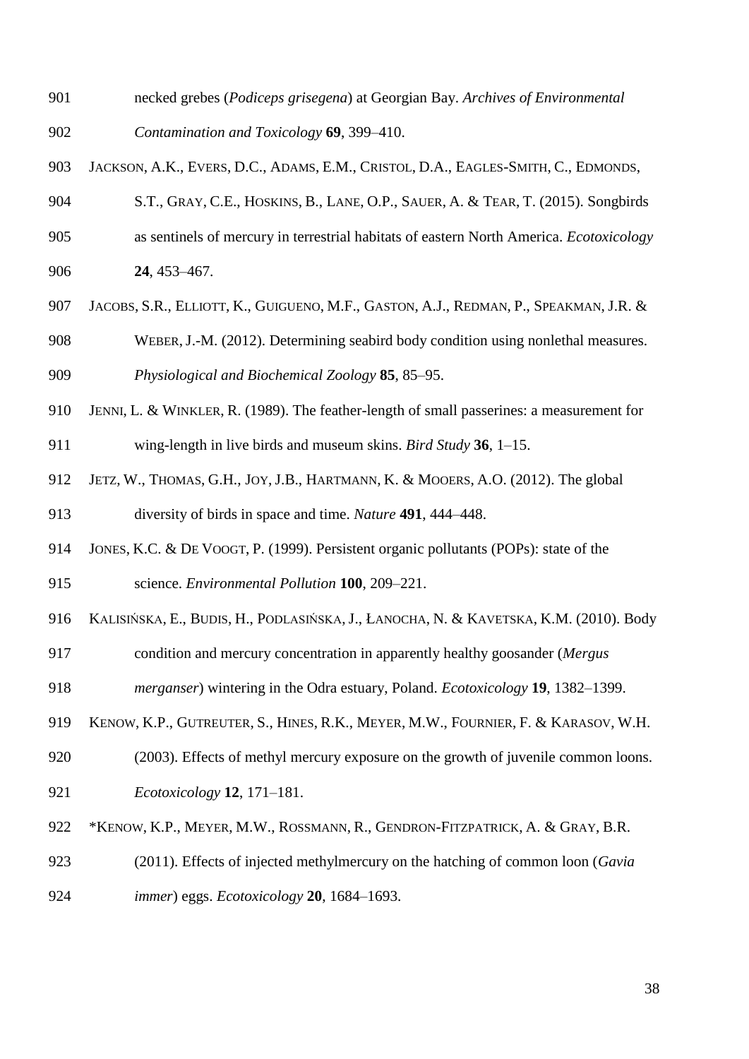necked grebes (*Podiceps grisegena*) at Georgian Bay. *Archives of Environmental* 

*Contamination and Toxicology* **69**, 399–410.

- JACKSON, A.K., EVERS, D.C., ADAMS, E.M., CRISTOL, D.A., EAGLES-SMITH, C., EDMONDS,
- S.T., GRAY, C.E., HOSKINS, B., LANE, O.P., SAUER, A. & TEAR, T. (2015). Songbirds
- as sentinels of mercury in terrestrial habitats of eastern North America. *Ecotoxicology*
- **24**, 453–467.
- JACOBS, S.R., ELLIOTT, K., GUIGUENO, M.F., GASTON, A.J., REDMAN, P., SPEAKMAN, J.R. &
- WEBER,J.-M. (2012). Determining seabird body condition using nonlethal measures. *Physiological and Biochemical Zoology* **85**, 85–95.
- JENNI, L. & WINKLER, R. (1989). The feather-length of small passerines: a measurement for
- wing-length in live birds and museum skins. *Bird Study* **36**, 1–15.
- JETZ, W., THOMAS, G.H., JOY,J.B., HARTMANN, K. & MOOERS, A.O. (2012). The global diversity of birds in space and time. *Nature* **491**, 444–448.
- JONES, K.C. & DE VOOGT, P. (1999). Persistent organic pollutants (POPs): state of the
- science. *Environmental Pollution* **100**, 209–221.
- KALISIŃSKA, E., BUDIS, H., PODLASIŃSKA, J., ŁANOCHA, N. & KAVETSKA, K.M. (2010). Body
- condition and mercury concentration in apparently healthy goosander (*Mergus*
- *merganser*) wintering in the Odra estuary, Poland. *Ecotoxicology* **19**, 1382–1399.
- KENOW, K.P., GUTREUTER, S., HINES, R.K., MEYER, M.W., FOURNIER, F. & KARASOV, W.H.
- (2003). Effects of methyl mercury exposure on the growth of juvenile common loons. *Ecotoxicology* **12**, 171–181.
- \*KENOW, K.P., MEYER, M.W., ROSSMANN, R., GENDRON-FITZPATRICK, A. & GRAY, B.R.
- (2011). Effects of injected methylmercury on the hatching of common loon (*Gavia*
- *immer*) eggs. *Ecotoxicology* **20**, 1684–1693.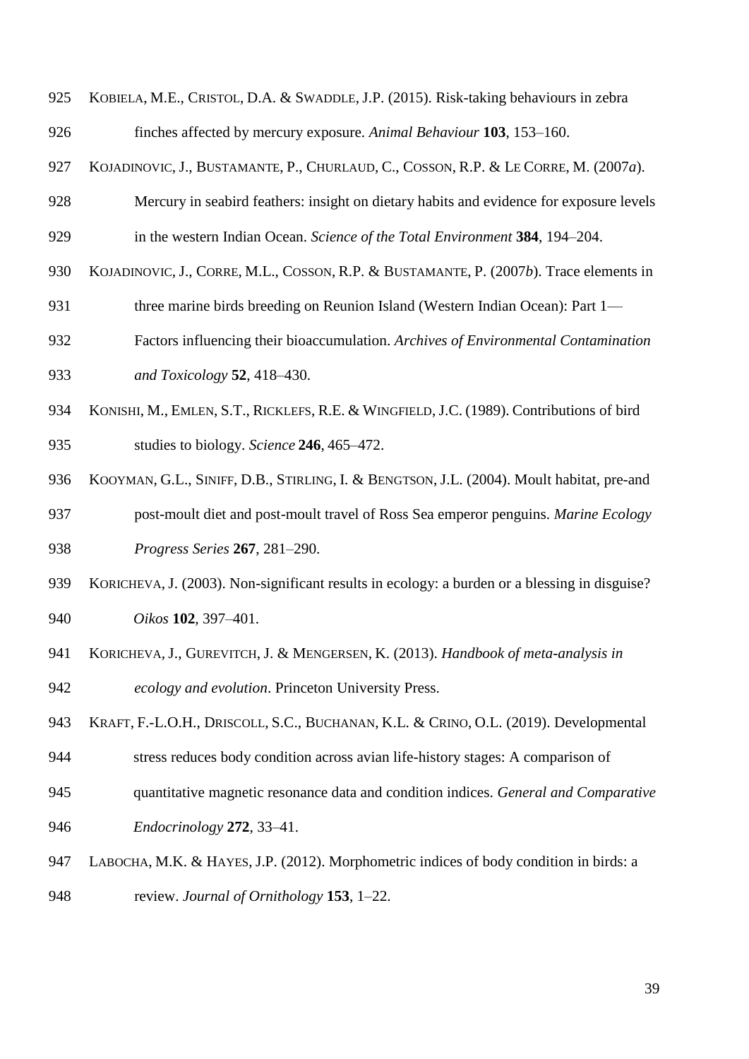| 925 | KOBIELA, M.E., CRISTOL, D.A. & SWADDLE, J.P. (2015). Risk-taking behaviours in zebra          |
|-----|-----------------------------------------------------------------------------------------------|
| 926 | finches affected by mercury exposure. Animal Behaviour 103, 153–160.                          |
| 927 | KOJADINOVIC, J., BUSTAMANTE, P., CHURLAUD, C., COSSON, R.P. & LE CORRE, M. (2007a).           |
| 928 | Mercury in seabird feathers: insight on dietary habits and evidence for exposure levels       |
| 929 | in the western Indian Ocean. Science of the Total Environment 384, 194–204.                   |
| 930 | KOJADINOVIC, J., CORRE, M.L., COSSON, R.P. & BUSTAMANTE, P. (2007b). Trace elements in        |
| 931 | three marine birds breeding on Reunion Island (Western Indian Ocean): Part 1—                 |
| 932 | Factors influencing their bioaccumulation. Archives of Environmental Contamination            |
| 933 | and Toxicology 52, 418-430.                                                                   |
| 934 | KONISHI, M., EMLEN, S.T., RICKLEFS, R.E. & WINGFIELD, J.C. (1989). Contributions of bird      |
| 935 | studies to biology. Science 246, 465–472.                                                     |
| 936 | KOOYMAN, G.L., SINIFF, D.B., STIRLING, I. & BENGTSON, J.L. (2004). Moult habitat, pre-and     |
| 937 | post-moult diet and post-moult travel of Ross Sea emperor penguins. Marine Ecology            |
| 938 | Progress Series 267, 281-290.                                                                 |
| 939 | KORICHEVA, J. (2003). Non-significant results in ecology: a burden or a blessing in disguise? |
| 940 | Oikos 102, 397–401.                                                                           |
| 941 | KORICHEVA, J., GUREVITCH, J. & MENGERSEN, K. (2013). Handbook of meta-analysis in             |
| 942 | ecology and evolution. Princeton University Press.                                            |
| 943 | KRAFT, F.-L.O.H., DRISCOLL, S.C., BUCHANAN, K.L. & CRINO, O.L. (2019). Developmental          |
| 944 | stress reduces body condition across avian life-history stages: A comparison of               |
| 945 | quantitative magnetic resonance data and condition indices. General and Comparative           |
| 946 | Endocrinology 272, 33-41.                                                                     |
| 947 | LABOCHA, M.K. & HAYES, J.P. (2012). Morphometric indices of body condition in birds: a        |
| 948 | review. Journal of Ornithology 153, 1–22.                                                     |
|     |                                                                                               |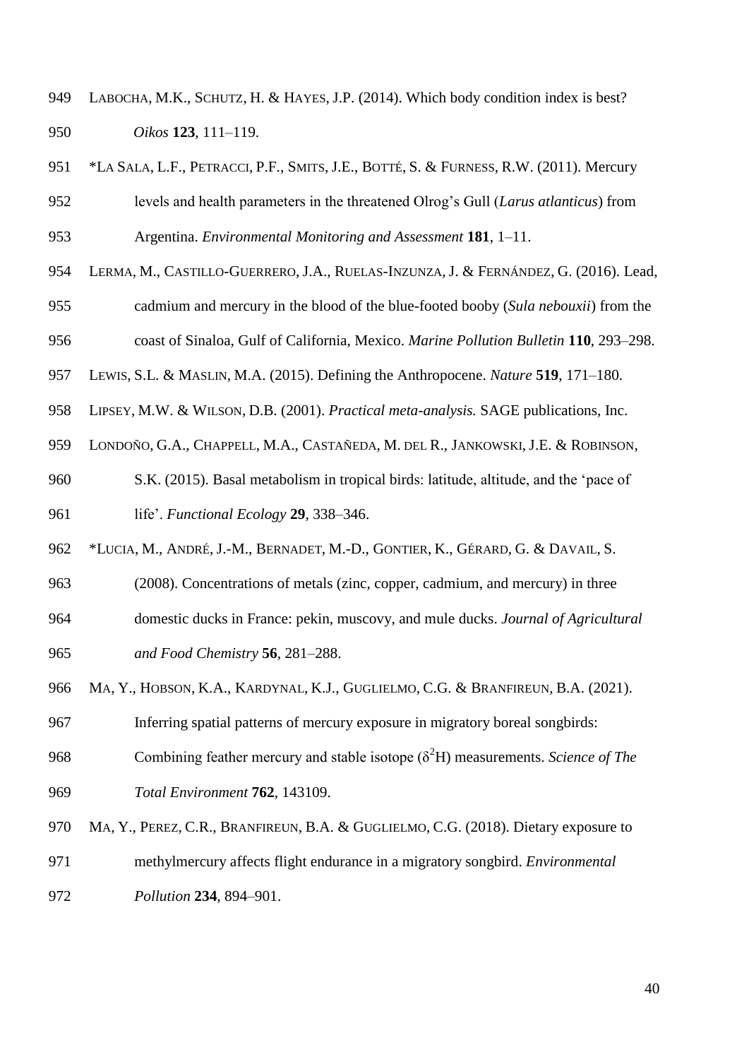- LABOCHA, M.K., SCHUTZ, H. & HAYES, J.P. (2014). Which body condition index is best? *Oikos* **123**, 111–119.
- \*LA SALA, L.F., PETRACCI, P.F., SMITS, J.E., BOTTÉ, S. & FURNESS, R.W. (2011). Mercury levels and health parameters in the threatened Olrog's Gull (*Larus atlanticus*) from Argentina. *Environmental Monitoring and Assessment* **181**, 1–11.
- LERMA, M., CASTILLO-GUERRERO, J.A., RUELAS-INZUNZA, J. & FERNÁNDEZ, G. (2016). Lead,
- cadmium and mercury in the blood of the blue-footed booby (*Sula nebouxii*) from the coast of Sinaloa, Gulf of California, Mexico. *Marine Pollution Bulletin* **110**, 293–298.

LEWIS, S.L. & MASLIN, M.A. (2015). Defining the Anthropocene. *Nature* **519**, 171–180.

LIPSEY, M.W. & WILSON, D.B. (2001). *Practical meta-analysis.* SAGE publications, Inc.

LONDOÑO, G.A., CHAPPELL, M.A., CASTAÑEDA, M. DEL R., JANKOWSKI, J.E. & ROBINSON,

 S.K. (2015). Basal metabolism in tropical birds: latitude, altitude, and the 'pace of life'. *Functional Ecology* **29**, 338–346.

\*LUCIA, M., ANDRÉ, J.-M., BERNADET, M.-D., GONTIER, K., GÉRARD, G. & DAVAIL, S.

(2008). Concentrations of metals (zinc, copper, cadmium, and mercury) in three

- domestic ducks in France: pekin, muscovy, and mule ducks. *Journal of Agricultural and Food Chemistry* **56**, 281–288.
- MA, Y., HOBSON, K.A., KARDYNAL, K.J., GUGLIELMO, C.G. & BRANFIREUN, B.A. (2021).

Inferring spatial patterns of mercury exposure in migratory boreal songbirds:

968 Combining feather mercury and stable isotope  $(\delta^2 H)$  measurements. *Science of The* 

*Total Environment* **762**, 143109.

- MA, Y., PEREZ, C.R., BRANFIREUN, B.A. & GUGLIELMO, C.G. (2018). Dietary exposure to
- methylmercury affects flight endurance in a migratory songbird. *Environmental*

*Pollution* **234**, 894–901.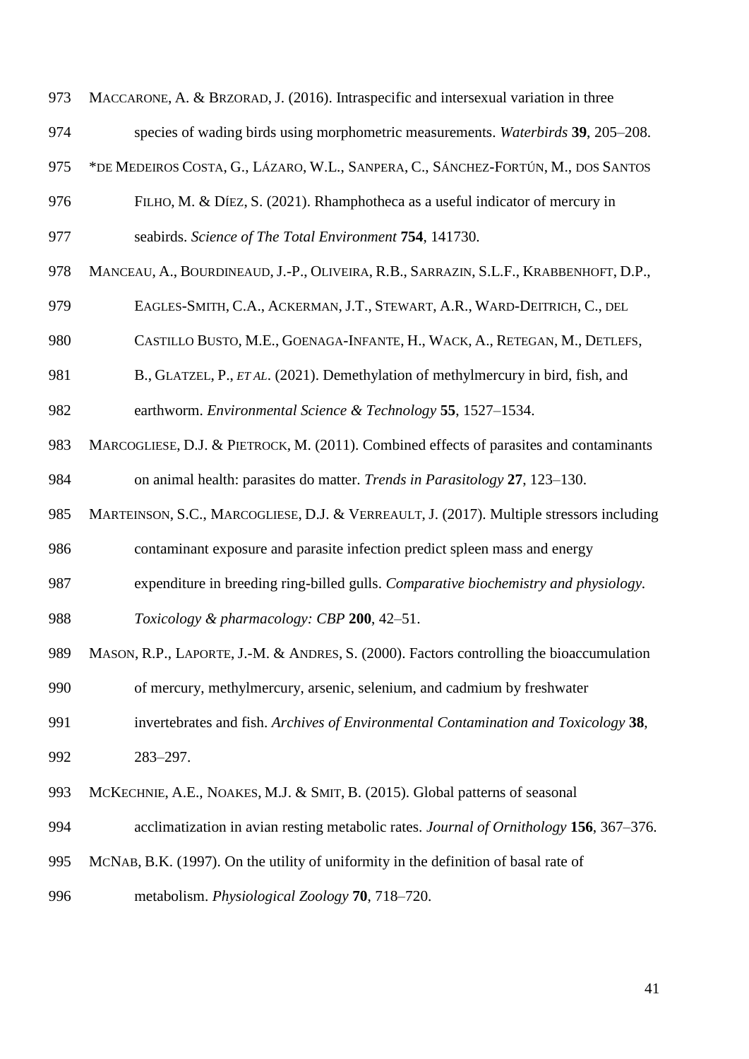MACCARONE, A. & BRZORAD, J. (2016). Intraspecific and intersexual variation in three

- species of wading birds using morphometric measurements. *Waterbirds* **39**, 205–208.
- \*DE MEDEIROS COSTA, G., LÁZARO, W.L., SANPERA, C., SÁNCHEZ-FORTÚN, M., DOS SANTOS
- FILHO, M. & DÍEZ, S. (2021). Rhamphotheca as a useful indicator of mercury in seabirds. *Science of The Total Environment* **754**, 141730.
- MANCEAU, A., BOURDINEAUD, J.-P., OLIVEIRA, R.B., SARRAZIN, S.L.F., KRABBENHOFT, D.P.,
- EAGLES-SMITH, C.A., ACKERMAN, J.T., STEWART, A.R., WARD-DEITRICH, C., DEL
- CASTILLO BUSTO, M.E., GOENAGA-INFANTE, H., WACK, A., RETEGAN, M., DETLEFS,
- B., GLATZEL, P., *ET AL*. (2021). Demethylation of methylmercury in bird, fish, and

earthworm. *Environmental Science & Technology* **55**, 1527–1534.

- MARCOGLIESE, D.J. & PIETROCK, M. (2011). Combined effects of parasites and contaminants on animal health: parasites do matter. *Trends in Parasitology* **27**, 123–130.
- MARTEINSON, S.C., MARCOGLIESE, D.J. & VERREAULT, J. (2017). Multiple stressors including

contaminant exposure and parasite infection predict spleen mass and energy

- expenditure in breeding ring-billed gulls. *Comparative biochemistry and physiology.*
- *Toxicology & pharmacology: CBP* **200**, 42–51.
- MASON, R.P., LAPORTE, J.-M. & ANDRES, S. (2000). Factors controlling the bioaccumulation
- of mercury, methylmercury, arsenic, selenium, and cadmium by freshwater
- invertebrates and fish. *Archives of Environmental Contamination and Toxicology* **38**, 283–297.
- MCKECHNIE, A.E., NOAKES, M.J. & SMIT, B. (2015). Global patterns of seasonal
- acclimatization in avian resting metabolic rates. *Journal of Ornithology* **156**, 367–376.
- MCNAB, B.K. (1997). On the utility of uniformity in the definition of basal rate of
- metabolism. *Physiological Zoology* **70**, 718–720.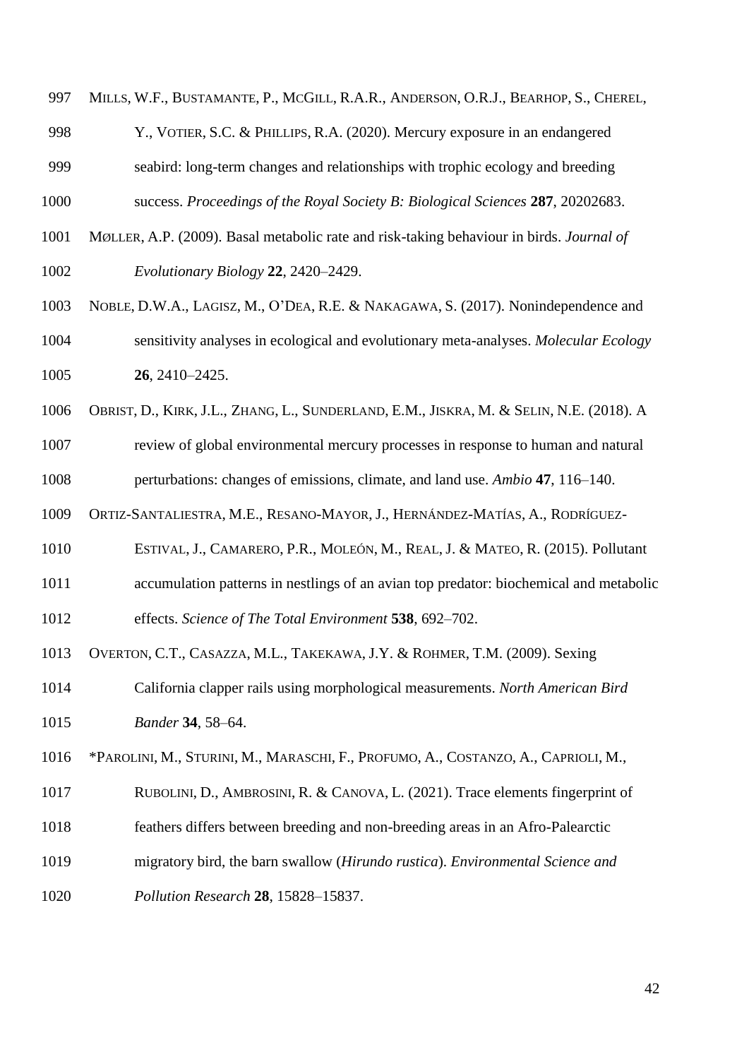997 MILLS, W.F., BUSTAMANTE, P., MCGILL, R.A.R., ANDERSON, O.R.J., BEARHOP, S., CHEREL,

Y., VOTIER, S.C. & PHILLIPS, R.A. (2020). Mercury exposure in an endangered

seabird: long-term changes and relationships with trophic ecology and breeding

success. *Proceedings of the Royal Society B: Biological Sciences* **287**, 20202683.

MØLLER, A.P. (2009). Basal metabolic rate and risk-taking behaviour in birds. *Journal of* 

*Evolutionary Biology* **22**, 2420–2429.

- NOBLE, D.W.A., LAGISZ, M., O'DEA, R.E. & NAKAGAWA, S. (2017). Nonindependence and sensitivity analyses in ecological and evolutionary meta-analyses. *Molecular Ecology* **26**, 2410–2425.
- OBRIST, D., KIRK, J.L., ZHANG, L., SUNDERLAND, E.M., JISKRA, M. & SELIN, N.E. (2018). A
- review of global environmental mercury processes in response to human and natural perturbations: changes of emissions, climate, and land use. *Ambio* **47**, 116–140.
- ORTIZ-SANTALIESTRA, M.E., RESANO-MAYOR, J., HERNÁNDEZ-MATÍAS, A., RODRÍGUEZ-
- ESTIVAL, J., CAMARERO, P.R., MOLEÓN, M., REAL, J. & MATEO, R. (2015). Pollutant
- accumulation patterns in nestlings of an avian top predator: biochemical and metabolic

effects. *Science of The Total Environment* **538**, 692–702.

- OVERTON, C.T., CASAZZA, M.L., TAKEKAWA, J.Y. & ROHMER, T.M. (2009). Sexing
- California clapper rails using morphological measurements. *North American Bird Bander* **34**, 58–64.
- \*PAROLINI, M., STURINI, M., MARASCHI, F., PROFUMO, A., COSTANZO, A., CAPRIOLI, M.,
- RUBOLINI, D., AMBROSINI, R. & CANOVA, L. (2021). Trace elements fingerprint of
- feathers differs between breeding and non-breeding areas in an Afro-Palearctic
- migratory bird, the barn swallow (*Hirundo rustica*). *Environmental Science and*

*Pollution Research* **28**, 15828–15837.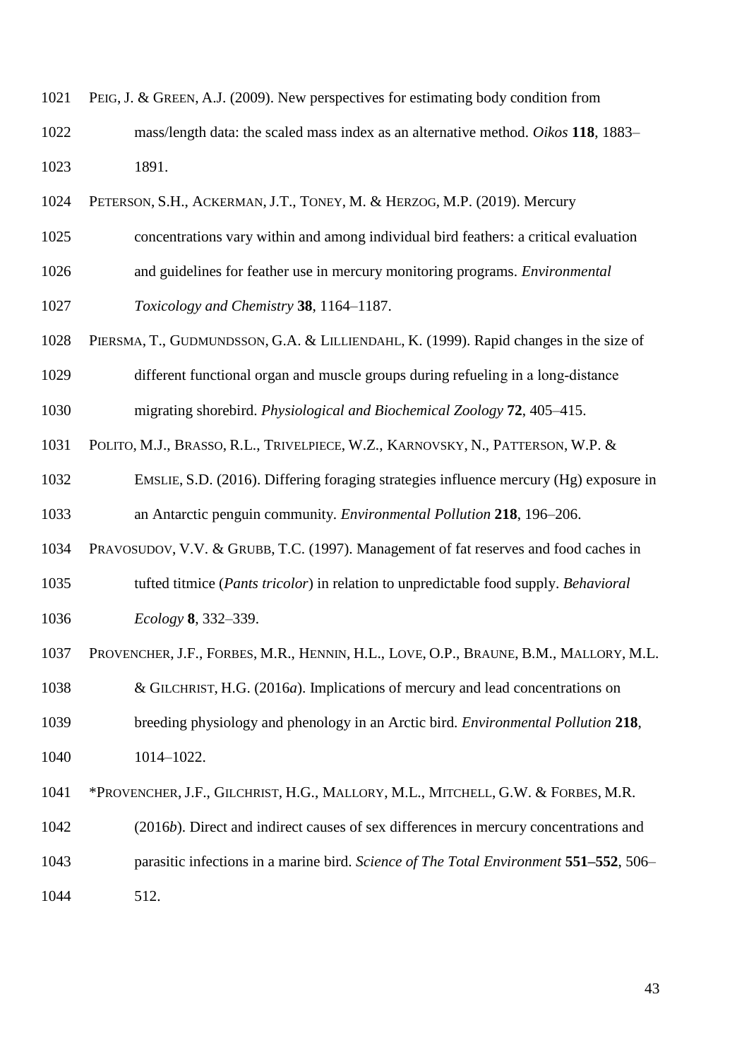PEIG, J. & GREEN, A.J. (2009). New perspectives for estimating body condition from

- mass/length data: the scaled mass index as an alternative method. *Oikos* **118**, 1883– 1891.
- PETERSON, S.H., ACKERMAN, J.T., TONEY, M. & HERZOG, M.P. (2019). Mercury
- concentrations vary within and among individual bird feathers: a critical evaluation
- and guidelines for feather use in mercury monitoring programs. *Environmental*

*Toxicology and Chemistry* **38**, 1164–1187.

PIERSMA, T., GUDMUNDSSON, G.A. & LILLIENDAHL, K. (1999). Rapid changes in the size of

 different functional organ and muscle groups during refueling in a long‐distance migrating shorebird. *Physiological and Biochemical Zoology* **72**, 405–415.

POLITO, M.J., BRASSO, R.L., TRIVELPIECE, W.Z., KARNOVSKY, N., PATTERSON, W.P. &

 EMSLIE, S.D. (2016). Differing foraging strategies influence mercury (Hg) exposure in an Antarctic penguin community. *Environmental Pollution* **218**, 196–206.

PRAVOSUDOV, V.V. & GRUBB, T.C. (1997). Management of fat reserves and food caches in

- tufted titmice (*Pants tricolor*) in relation to unpredictable food supply. *Behavioral Ecology* **8**, 332–339.
- PROVENCHER, J.F., FORBES, M.R., HENNIN, H.L., LOVE, O.P., BRAUNE, B.M., MALLORY, M.L.
- & GILCHRIST, H.G. (2016*a*). Implications of mercury and lead concentrations on

 breeding physiology and phenology in an Arctic bird. *Environmental Pollution* **218**, 1014–1022.

\*PROVENCHER, J.F., GILCHRIST, H.G., MALLORY, M.L., MITCHELL, G.W. & FORBES, M.R.

- (2016*b*). Direct and indirect causes of sex differences in mercury concentrations and parasitic infections in a marine bird. *Science of The Total Environment* **551–552**, 506–
- 512.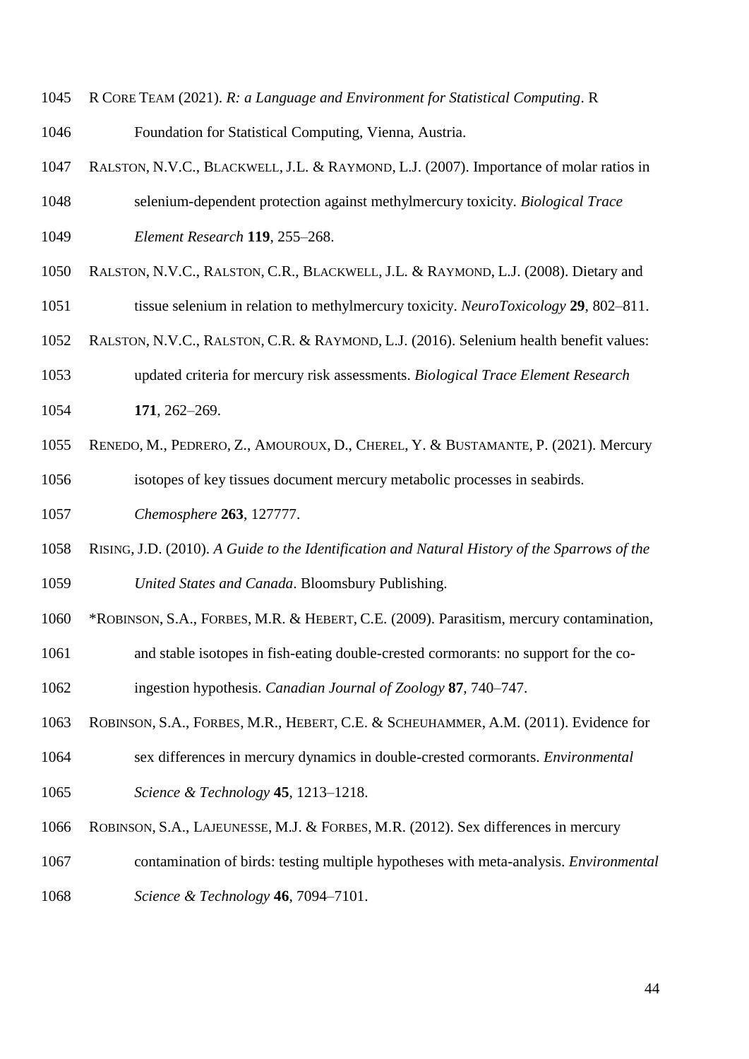- R CORE TEAM (2021). *R: a Language and Environment for Statistical Computing*. R
- Foundation for Statistical Computing, Vienna, Austria.
- RALSTON, N.V.C., BLACKWELL, J.L. & RAYMOND, L.J. (2007). Importance of molar ratios in
- selenium-dependent protection against methylmercury toxicity. *Biological Trace Element Research* **119**, 255–268.
- RALSTON, N.V.C., RALSTON, C.R., BLACKWELL, J.L. & RAYMOND, L.J. (2008). Dietary and
- tissue selenium in relation to methylmercury toxicity. *NeuroToxicology* **29**, 802–811.
- RALSTON, N.V.C., RALSTON, C.R. & RAYMOND, L.J. (2016). Selenium health benefit values:
- updated criteria for mercury risk assessments. *Biological Trace Element Research* **171**, 262–269.
- RENEDO, M., PEDRERO, Z., AMOUROUX, D., CHEREL, Y. & BUSTAMANTE, P. (2021). Mercury
- isotopes of key tissues document mercury metabolic processes in seabirds.
- *Chemosphere* **263**, 127777.
- RISING, J.D. (2010). *A Guide to the Identification and Natural History of the Sparrows of the United States and Canada*. Bloomsbury Publishing.
- \*ROBINSON, S.A., FORBES, M.R. & HEBERT, C.E. (2009). Parasitism, mercury contamination,
- and stable isotopes in fish-eating double-crested cormorants: no support for the co-
- ingestion hypothesis. *Canadian Journal of Zoology* **87**, 740–747.
- ROBINSON, S.A., FORBES, M.R., HEBERT, C.E. & SCHEUHAMMER, A.M. (2011). Evidence for
- sex differences in mercury dynamics in double-crested cormorants. *Environmental*
- *Science & Technology* **45**, 1213–1218.
- ROBINSON, S.A., LAJEUNESSE, M.J. & FORBES, M.R. (2012). Sex differences in mercury
- contamination of birds: testing multiple hypotheses with meta-analysis. *Environmental Science & Technology* **46**, 7094–7101.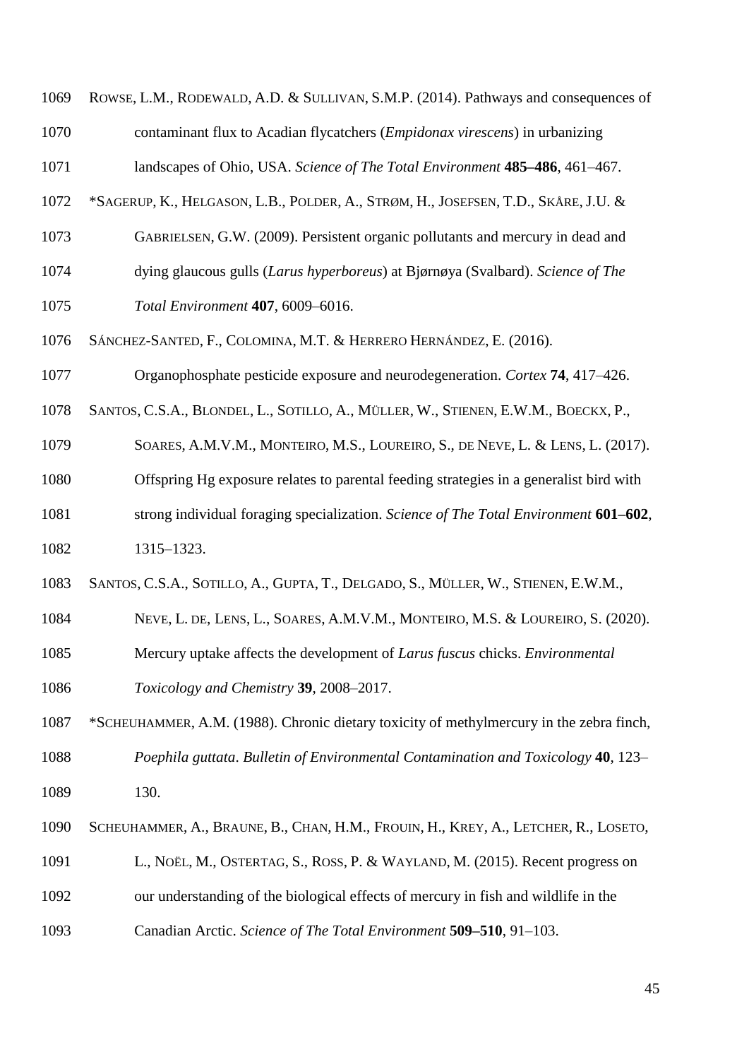ROWSE, L.M., RODEWALD, A.D. & SULLIVAN, S.M.P. (2014). Pathways and consequences of contaminant flux to Acadian flycatchers (*Empidonax virescens*) in urbanizing

landscapes of Ohio, USA. *Science of The Total Environment* **485–486**, 461–467.

- \*SAGERUP, K., HELGASON, L.B., POLDER, A., STRØM, H., JOSEFSEN, T.D., SKÅRE, J.U. &
- GABRIELSEN, G.W. (2009). Persistent organic pollutants and mercury in dead and
- dying glaucous gulls (*Larus hyperboreus*) at Bjørnøya (Svalbard). *Science of The*
- *Total Environment* **407**, 6009–6016.
- SÁNCHEZ-SANTED, F., COLOMINA, M.T. & HERRERO HERNÁNDEZ, E. (2016).
- Organophosphate pesticide exposure and neurodegeneration. *Cortex* **74**, 417–426.
- SANTOS, C.S.A., BLONDEL, L., SOTILLO, A., MÜLLER, W., STIENEN, E.W.M., BOECKX, P.,
- SOARES, A.M.V.M., MONTEIRO, M.S., LOUREIRO, S., DE NEVE, L. & LENS, L. (2017).
- Offspring Hg exposure relates to parental feeding strategies in a generalist bird with
- strong individual foraging specialization. *Science of The Total Environment* **601–602**,
- 1315–1323.
- SANTOS, C.S.A., SOTILLO, A., GUPTA, T., DELGADO, S., MÜLLER, W., STIENEN, E.W.M.,
- NEVE, L. DE, LENS, L., SOARES, A.M.V.M., MONTEIRO, M.S. & LOUREIRO, S. (2020).
- Mercury uptake affects the development of *Larus fuscus* chicks. *Environmental*
- *Toxicology and Chemistry* **39**, 2008–2017.
- \*SCHEUHAMMER, A.M. (1988). Chronic dietary toxicity of methylmercury in the zebra finch, *Poephila guttata*. *Bulletin of Environmental Contamination and Toxicology* **40**, 123–
- 130.
- SCHEUHAMMER, A., BRAUNE, B., CHAN, H.M., FROUIN, H., KREY, A., LETCHER, R., LOSETO,
- L., NOËL, M., OSTERTAG, S., ROSS, P. & WAYLAND, M. (2015). Recent progress on
- our understanding of the biological effects of mercury in fish and wildlife in the
- Canadian Arctic. *Science of The Total Environment* **509–510**, 91–103.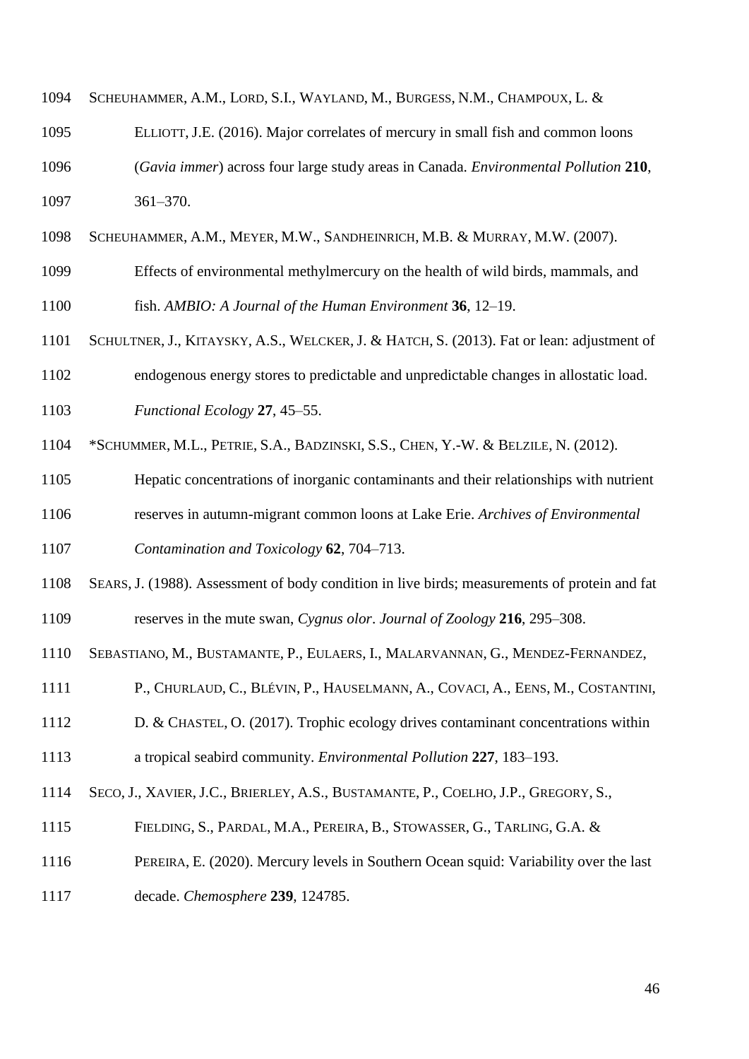|  | 1094 SCHEUHAMMER, A.M., LORD, S.I., WAYLAND, M., BURGESS, N.M., CHAMPOUX, L. & |  |  |  |  |
|--|--------------------------------------------------------------------------------|--|--|--|--|
|--|--------------------------------------------------------------------------------|--|--|--|--|

- ELLIOTT, J.E. (2016). Major correlates of mercury in small fish and common loons (*Gavia immer*) across four large study areas in Canada. *Environmental Pollution* **210**, 361–370.
- SCHEUHAMMER, A.M., MEYER, M.W., SANDHEINRICH, M.B. & MURRAY, M.W. (2007).
- Effects of environmental methylmercury on the health of wild birds, mammals, and

fish. *AMBIO: A Journal of the Human Environment* **36**, 12–19.

- SCHULTNER, J., KITAYSKY, A.S., WELCKER, J. & HATCH, S. (2013). Fat or lean: adjustment of
- endogenous energy stores to predictable and unpredictable changes in allostatic load.
- *Functional Ecology* **27**, 45–55.
- \*SCHUMMER, M.L., PETRIE, S.A., BADZINSKI, S.S., CHEN, Y.-W. & BELZILE, N. (2012).
- Hepatic concentrations of inorganic contaminants and their relationships with nutrient
- reserves in autumn-migrant common loons at Lake Erie. *Archives of Environmental*
- *Contamination and Toxicology* **62**, 704–713.
- SEARS, J. (1988). Assessment of body condition in live birds; measurements of protein and fat reserves in the mute swan, *Cygnus olor*. *Journal of Zoology* **216**, 295–308.
- SEBASTIANO, M., BUSTAMANTE, P., EULAERS, I., MALARVANNAN, G., MENDEZ-FERNANDEZ,
- P., CHURLAUD, C., BLÉVIN, P., HAUSELMANN, A., COVACI, A., EENS, M., COSTANTINI,
- D. & CHASTEL, O. (2017). Trophic ecology drives contaminant concentrations within
- a tropical seabird community. *Environmental Pollution* **227**, 183–193.
- SECO, J., XAVIER, J.C., BRIERLEY, A.S., BUSTAMANTE, P., COELHO, J.P., GREGORY, S.,
- 1115 FIELDING, S., PARDAL, M.A., PEREIRA, B., STOWASSER, G., TARLING, G.A. &
- PEREIRA, E. (2020). Mercury levels in Southern Ocean squid: Variability over the last
- decade. *Chemosphere* **239**, 124785.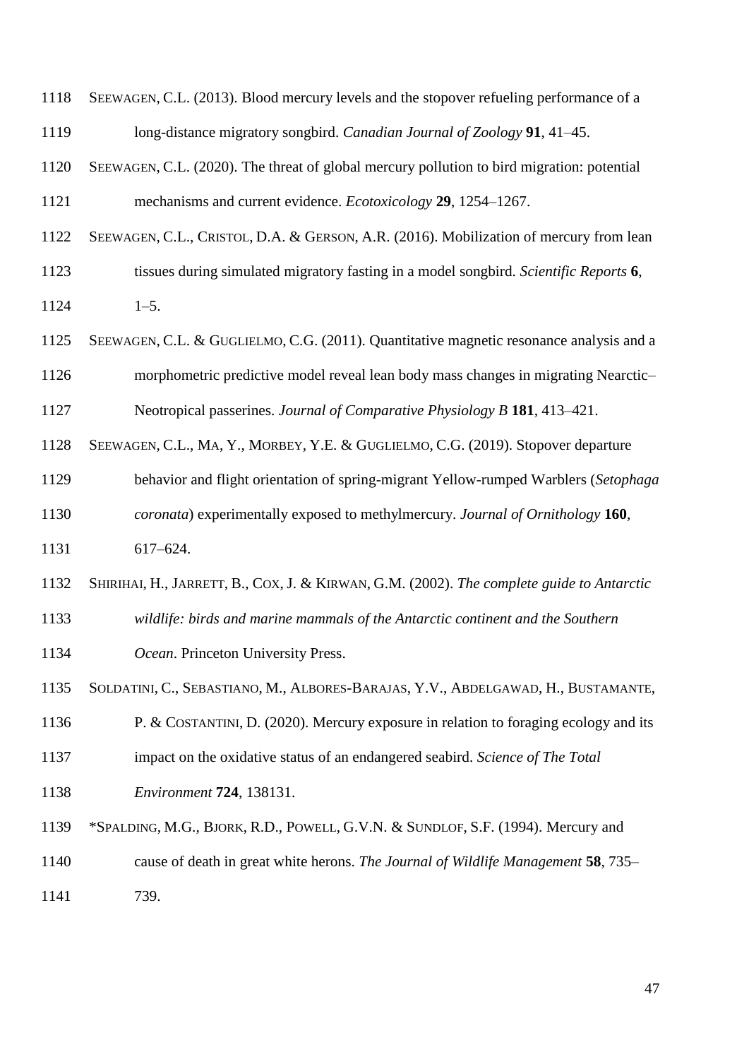| 1119 | long-distance migratory songbird. Canadian Journal of Zoology 91, 41–45.                   |
|------|--------------------------------------------------------------------------------------------|
| 1120 | SEEWAGEN, C.L. (2020). The threat of global mercury pollution to bird migration: potential |
| 1121 | mechanisms and current evidence. <i>Ecotoxicology</i> 29, 1254–1267.                       |
| 1122 | SEEWAGEN, C.L., CRISTOL, D.A. & GERSON, A.R. (2016). Mobilization of mercury from lean     |
| 1123 | tissues during simulated migratory fasting in a model songbird. Scientific Reports 6,      |
| 1124 | $1 - 5$ .                                                                                  |
| 1125 | SEEWAGEN, C.L. & GUGLIELMO, C.G. (2011). Quantitative magnetic resonance analysis and a    |
| 1126 | morphometric predictive model reveal lean body mass changes in migrating Nearctic-         |
| 1127 | Neotropical passerines. Journal of Comparative Physiology B 181, 413–421.                  |
| 1128 | SEEWAGEN, C.L., MA, Y., MORBEY, Y.E. & GUGLIELMO, C.G. (2019). Stopover departure          |
| 1129 | behavior and flight orientation of spring-migrant Yellow-rumped Warblers (Setophaga        |
| 1130 | coronata) experimentally exposed to methylmercury. Journal of Ornithology 160,             |
| 1131 | $617 - 624.$                                                                               |
| 1132 | SHIRIHAI, H., JARRETT, B., COX, J. & KIRWAN, G.M. (2002). The complete guide to Antarctic  |
| 1133 | wildlife: birds and marine mammals of the Antarctic continent and the Southern             |
| 1134 | Ocean. Princeton University Press.                                                         |
| 1135 | SOLDATINI, C., SEBASTIANO, M., ALBORES-BARAJAS, Y.V., ABDELGAWAD, H., BUSTAMANTE,          |
| 1136 | P. & COSTANTINI, D. (2020). Mercury exposure in relation to foraging ecology and its       |
| 1137 | impact on the oxidative status of an endangered seabird. Science of The Total              |
| 1138 | <i>Environment</i> <b>724</b> , 138131.                                                    |
| 1139 | *SPALDING, M.G., BJORK, R.D., POWELL, G.V.N. & SUNDLOF, S.F. (1994). Mercury and           |
| 1140 | cause of death in great white herons. The Journal of Wildlife Management 58, 735–          |
| 1141 | 739.                                                                                       |
|      |                                                                                            |

SEEWAGEN, C.L. (2013). Blood mercury levels and the stopover refueling performance of a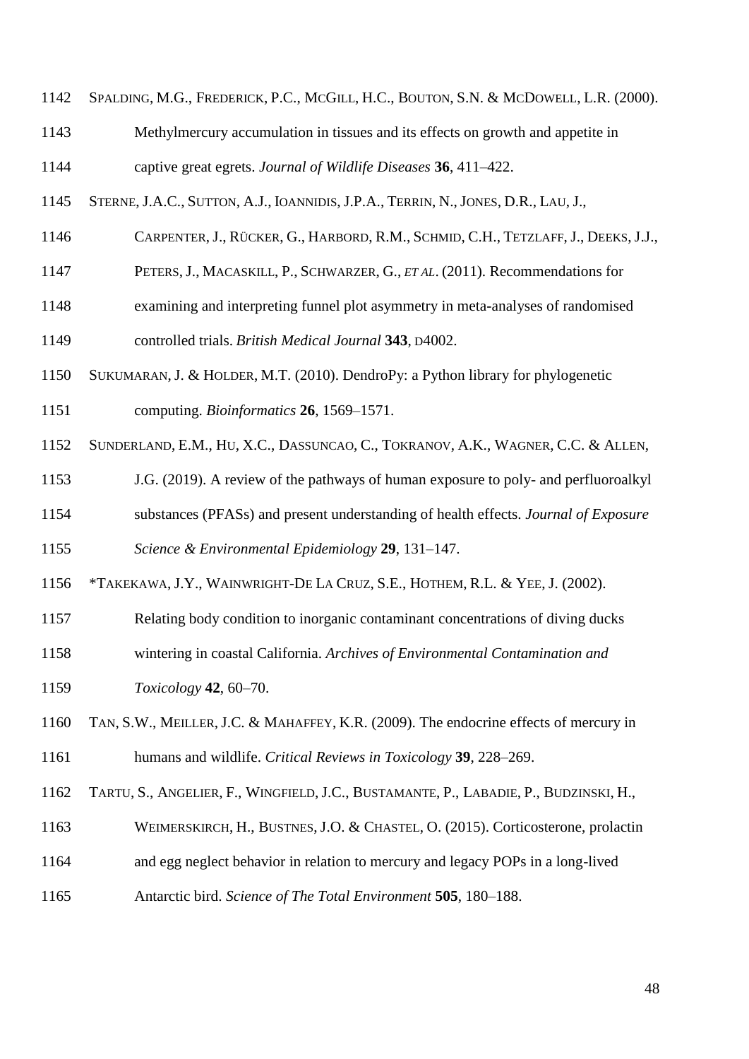- SPALDING, M.G., FREDERICK, P.C., MCGILL, H.C., BOUTON, S.N. & MCDOWELL, L.R. (2000).
- Methylmercury accumulation in tissues and its effects on growth and appetite in captive great egrets. *Journal of Wildlife Diseases* **36**, 411–422.
- STERNE, J.A.C., SUTTON, A.J., IOANNIDIS, J.P.A., TERRIN, N., JONES, D.R., LAU, J.,
- CARPENTER, J., RÜCKER, G., HARBORD, R.M., SCHMID, C.H., TETZLAFF, J., DEEKS, J.J.,
- PETERS, J., MACASKILL, P., SCHWARZER, G., *ET AL*. (2011). Recommendations for
- examining and interpreting funnel plot asymmetry in meta-analyses of randomised

controlled trials. *British Medical Journal* **343**, D4002.

- SUKUMARAN, J. & HOLDER, M.T. (2010). DendroPy: a Python library for phylogenetic computing. *Bioinformatics* **26**, 1569–1571.
- SUNDERLAND, E.M., HU, X.C., DASSUNCAO, C., TOKRANOV, A.K., WAGNER, C.C. & ALLEN,
- J.G. (2019). A review of the pathways of human exposure to poly- and perfluoroalkyl
- substances (PFASs) and present understanding of health effects. *Journal of Exposure*

*Science & Environmental Epidemiology* **29**, 131–147.

- \*TAKEKAWA, J.Y., WAINWRIGHT-DE LA CRUZ, S.E., HOTHEM, R.L. & YEE, J. (2002).
- Relating body condition to inorganic contaminant concentrations of diving ducks
- wintering in coastal California. *Archives of Environmental Contamination and*
- *Toxicology* **42**, 60–70.
- TAN, S.W., MEILLER, J.C. & MAHAFFEY, K.R. (2009). The endocrine effects of mercury in humans and wildlife. *Critical Reviews in Toxicology* **39**, 228–269.
- TARTU, S., ANGELIER, F., WINGFIELD, J.C., BUSTAMANTE, P., LABADIE, P., BUDZINSKI, H.,
- WEIMERSKIRCH, H., BUSTNES, J.O. & CHASTEL, O. (2015). Corticosterone, prolactin
- and egg neglect behavior in relation to mercury and legacy POPs in a long-lived
- Antarctic bird. *Science of The Total Environment* **505**, 180–188.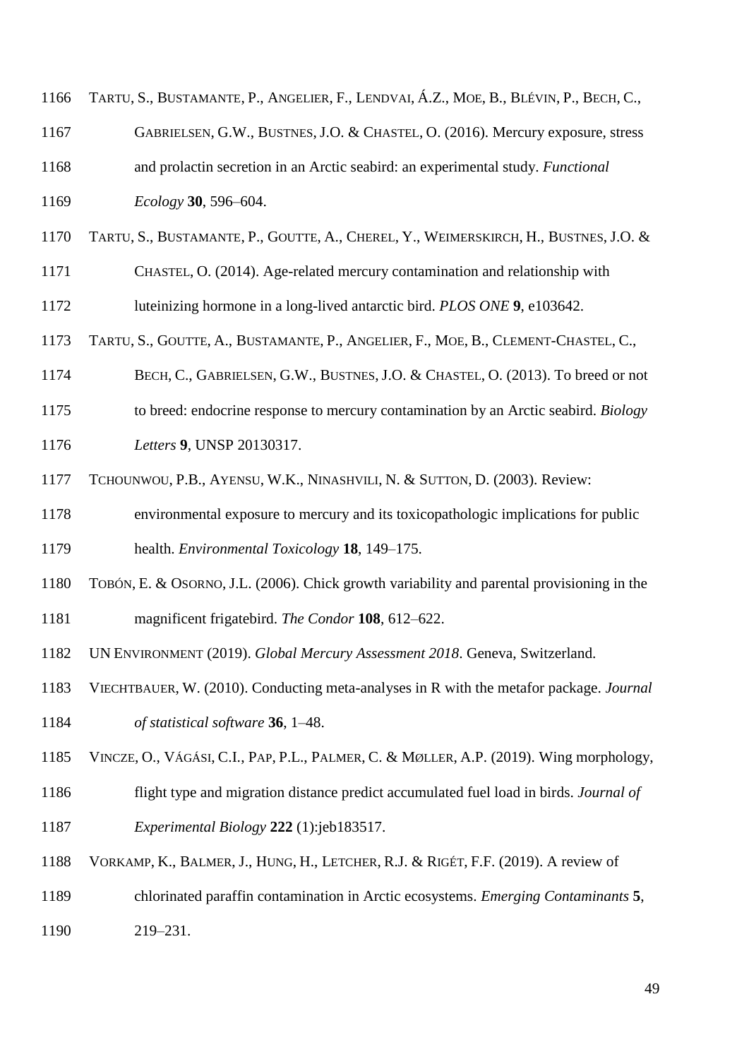| 1166 | TARTU, S., BUSTAMANTE, P., ANGELIER, F., LENDVAI, Á.Z., MOE, B., BLÉVIN, P., BECH, C., |
|------|----------------------------------------------------------------------------------------|
| 1167 | GABRIELSEN, G.W., BUSTNES, J.O. & CHASTEL, O. (2016). Mercury exposure, stress         |
| 1168 | and prolactin secretion in an Arctic seabird: an experimental study. <i>Functional</i> |
| 1169 | <i>Ecology</i> 30, 596–604.                                                            |
| 1170 | TARTU, S., BUSTAMANTE, P., GOUTTE, A., CHEREL, Y., WEIMERSKIRCH, H., BUSTNES, J.O. &   |
| 1171 | CHASTEL, O. (2014). Age-related mercury contamination and relationship with            |
|      |                                                                                        |

luteinizing hormone in a long-lived antarctic bird. *PLOS ONE* **9**, e103642.

- TARTU, S., GOUTTE, A., BUSTAMANTE, P., ANGELIER, F., MOE, B., CLEMENT-CHASTEL, C.,
- BECH, C., GABRIELSEN, G.W., BUSTNES, J.O. & CHASTEL, O. (2013). To breed or not
- to breed: endocrine response to mercury contamination by an Arctic seabird. *Biology*
- *Letters* **9**, UNSP 20130317.
- TCHOUNWOU, P.B., AYENSU, W.K., NINASHVILI, N. & SUTTON, D. (2003). Review:
- environmental exposure to mercury and its toxicopathologic implications for public health. *Environmental Toxicology* **18**, 149–175.
- TOBÓN, E. & OSORNO, J.L. (2006). Chick growth variability and parental provisioning in the magnificent frigatebird. *The Condor* **108**, 612–622.
- UN ENVIRONMENT (2019). *Global Mercury Assessment 2018*. Geneva, Switzerland.
- VIECHTBAUER, W. (2010). Conducting meta-analyses in R with the metafor package. *Journal of statistical software* **36**, 1–48.
- VINCZE, O., VÁGÁSI, C.I., PAP, P.L., PALMER, C. & MØLLER, A.P. (2019). Wing morphology,
- flight type and migration distance predict accumulated fuel load in birds. *Journal of Experimental Biology* **222** (1):jeb183517.
- VORKAMP, K., BALMER, J., HUNG, H., LETCHER, R.J. & RIGÉT, F.F. (2019). A review of
- chlorinated paraffin contamination in Arctic ecosystems. *Emerging Contaminants* **5**,
- 219–231.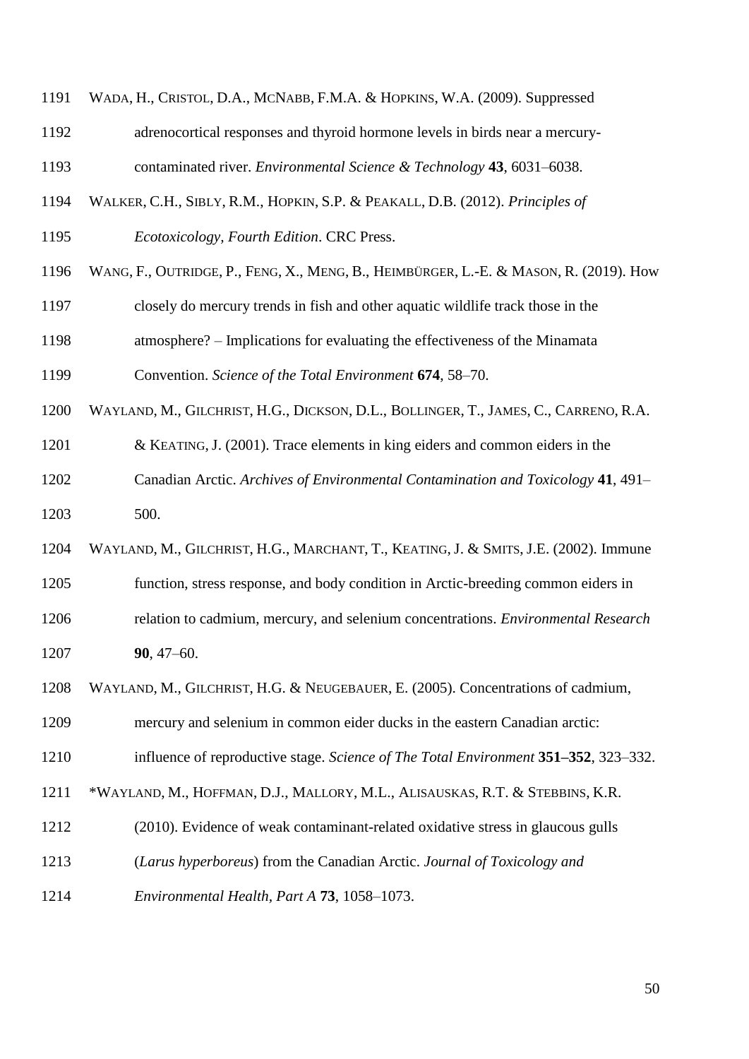- WADA, H., CRISTOL, D.A., MCNABB, F.M.A. & HOPKINS, W.A. (2009). Suppressed
- adrenocortical responses and thyroid hormone levels in birds near a mercury-

contaminated river. *Environmental Science & Technology* **43**, 6031–6038.

- WALKER, C.H., SIBLY, R.M., HOPKIN, S.P. & PEAKALL, D.B. (2012). *Principles of*
- *Ecotoxicology, Fourth Edition*. CRC Press.
- WANG, F., OUTRIDGE, P., FENG, X., MENG, B., HEIMBÜRGER, L.-E. & MASON, R. (2019). How
- closely do mercury trends in fish and other aquatic wildlife track those in the

atmosphere? – Implications for evaluating the effectiveness of the Minamata

Convention. *Science of the Total Environment* **674**, 58–70.

- WAYLAND, M., GILCHRIST, H.G., DICKSON, D.L., BOLLINGER, T., JAMES, C., CARRENO, R.A.
- & KEATING, J. (2001). Trace elements in king eiders and common eiders in the
- Canadian Arctic. *Archives of Environmental Contamination and Toxicology* **41**, 491– 500.
- WAYLAND, M., GILCHRIST, H.G., MARCHANT, T., KEATING, J. & SMITS, J.E. (2002). Immune
- function, stress response, and body condition in Arctic-breeding common eiders in
- relation to cadmium, mercury, and selenium concentrations. *Environmental Research* **90**, 47–60.
- WAYLAND, M., GILCHRIST, H.G. & NEUGEBAUER, E. (2005). Concentrations of cadmium,

mercury and selenium in common eider ducks in the eastern Canadian arctic:

- influence of reproductive stage. *Science of The Total Environment* **351–352**, 323–332.
- \*WAYLAND, M., HOFFMAN, D.J., MALLORY, M.L., ALISAUSKAS, R.T. & STEBBINS, K.R.
- (2010). Evidence of weak contaminant-related oxidative stress in glaucous gulls
- (*Larus hyperboreus*) from the Canadian Arctic. *Journal of Toxicology and*
- *Environmental Health, Part A* **73**, 1058–1073.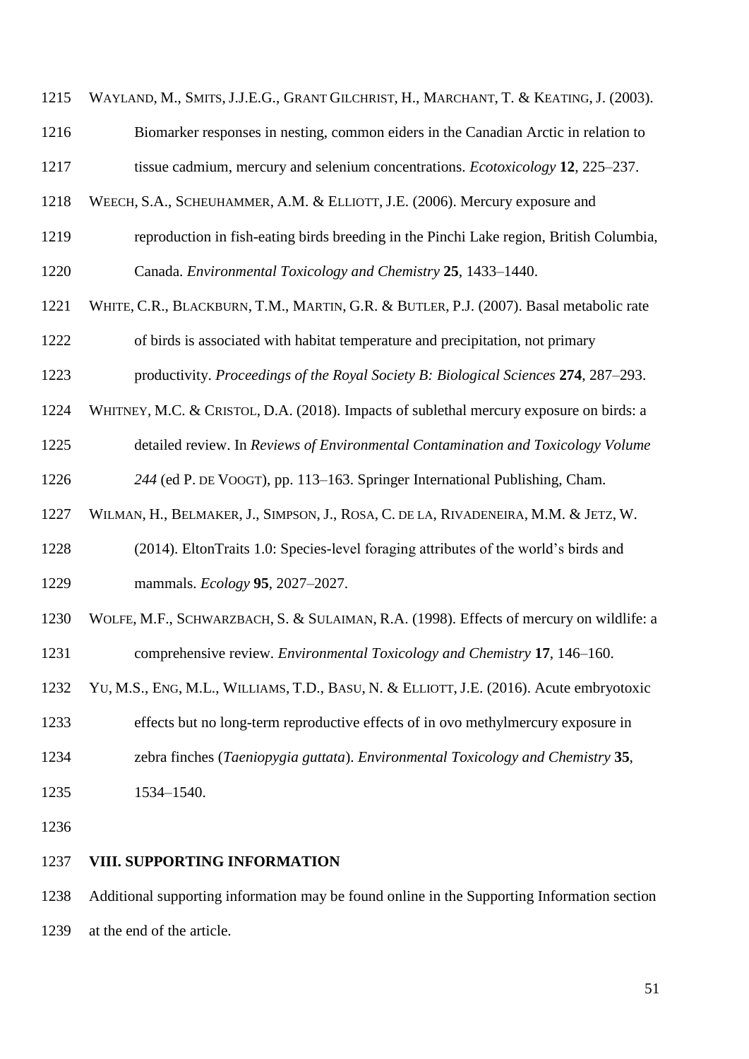WAYLAND, M., SMITS, J.J.E.G., GRANT GILCHRIST, H., MARCHANT, T. & KEATING, J. (2003).

Biomarker responses in nesting, common eiders in the Canadian Arctic in relation to

tissue cadmium, mercury and selenium concentrations. *Ecotoxicology* **12**, 225–237.

- WEECH, S.A., SCHEUHAMMER, A.M. & ELLIOTT, J.E. (2006). Mercury exposure and
- reproduction in fish-eating birds breeding in the Pinchi Lake region, British Columbia,
- Canada. *Environmental Toxicology and Chemistry* **25**, 1433–1440.
- WHITE, C.R., BLACKBURN, T.M., MARTIN, G.R. & BUTLER, P.J. (2007). Basal metabolic rate of birds is associated with habitat temperature and precipitation, not primary
- productivity. *Proceedings of the Royal Society B: Biological Sciences* **274**, 287–293.
- WHITNEY, M.C. & CRISTOL, D.A. (2018). Impacts of sublethal mercury exposure on birds: a
- detailed review. In *Reviews of Environmental Contamination and Toxicology Volume*
- *244* (ed P. DE VOOGT), pp. 113–163. Springer International Publishing, Cham.
- WILMAN, H., BELMAKER, J., SIMPSON, J., ROSA, C. DE LA, RIVADENEIRA, M.M. & JETZ, W.
- (2014). EltonTraits 1.0: Species-level foraging attributes of the world's birds and mammals. *Ecology* **95**, 2027–2027.
- WOLFE, M.F., SCHWARZBACH, S. & SULAIMAN, R.A. (1998). Effects of mercury on wildlife: a
- comprehensive review. *Environmental Toxicology and Chemistry* **17**, 146–160.
- YU, M.S., ENG, M.L., WILLIAMS, T.D., BASU, N. & ELLIOTT, J.E. (2016). Acute embryotoxic
- effects but no long-term reproductive effects of in ovo methylmercury exposure in
- zebra finches (*Taeniopygia guttata*). *Environmental Toxicology and Chemistry* **35**,
- 1534–1540.
- 

# **VIII. SUPPORTING INFORMATION**

 Additional supporting information may be found online in the Supporting Information section at the end of the article.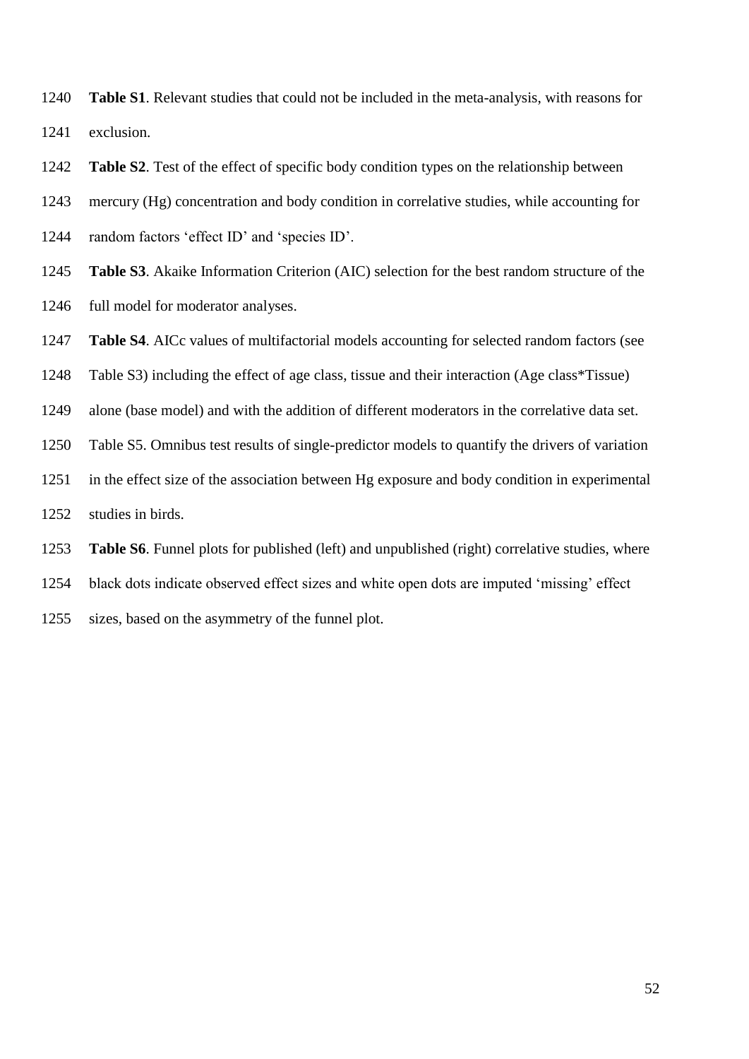- **Table S1**. Relevant studies that could not be included in the meta-analysis, with reasons for exclusion.
- **Table S2**. Test of the effect of specific body condition types on the relationship between
- mercury (Hg) concentration and body condition in correlative studies, while accounting for
- random factors 'effect ID' and 'species ID'.
- **Table S3**. Akaike Information Criterion (AIC) selection for the best random structure of the full model for moderator analyses.
- **Table S4**. AICc values of multifactorial models accounting for selected random factors (see
- Table S3) including the effect of age class, tissue and their interaction (Age class\*Tissue)
- alone (base model) and with the addition of different moderators in the correlative data set.
- Table S5. Omnibus test results of single-predictor models to quantify the drivers of variation
- in the effect size of the association between Hg exposure and body condition in experimental
- studies in birds.
- **Table S6**. Funnel plots for published (left) and unpublished (right) correlative studies, where
- black dots indicate observed effect sizes and white open dots are imputed 'missing' effect
- sizes, based on the asymmetry of the funnel plot.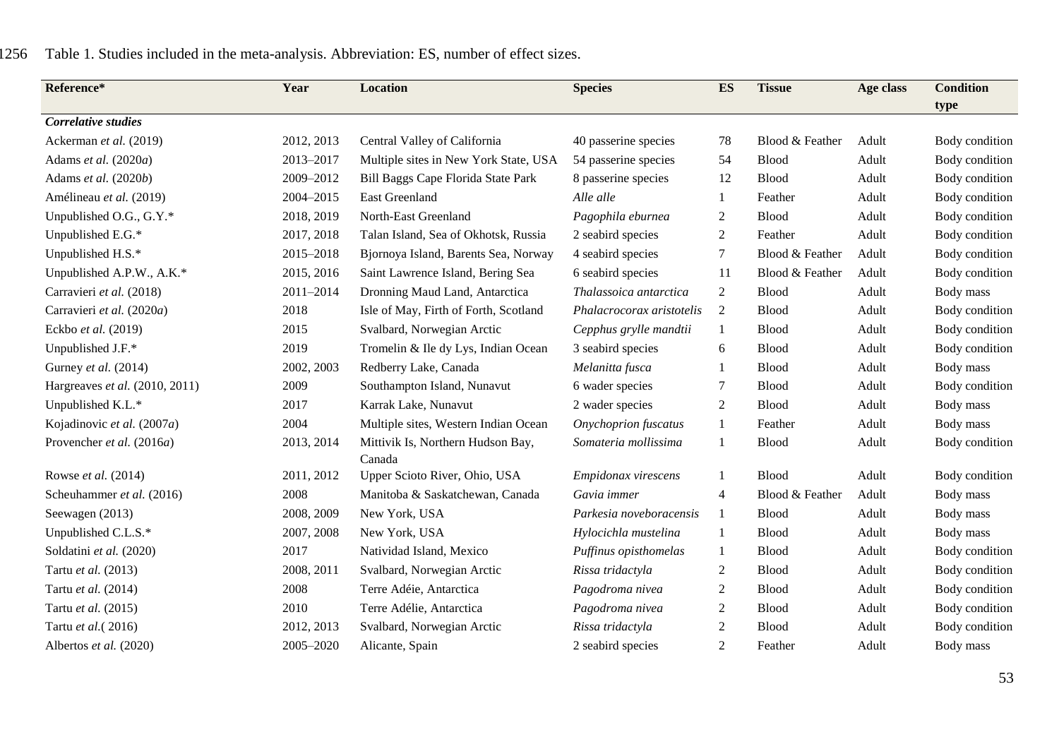| Reference*                     | Year       | Location                              | <b>Species</b>              | <b>ES</b>      | <b>Tissue</b>   | Age class | <b>Condition</b> |
|--------------------------------|------------|---------------------------------------|-----------------------------|----------------|-----------------|-----------|------------------|
| Correlative studies            |            |                                       |                             |                |                 |           | type             |
| Ackerman et al. (2019)         | 2012, 2013 | Central Valley of California          | 40 passerine species        | 78             | Blood & Feather | Adult     | Body condition   |
| Adams et al. (2020a)           | 2013-2017  | Multiple sites in New York State, USA | 54 passerine species        | 54             | Blood           | Adult     | Body condition   |
| Adams et al. (2020b)           | 2009-2012  | Bill Baggs Cape Florida State Park    | 8 passerine species         | 12             | <b>Blood</b>    | Adult     | Body condition   |
| Amélineau et al. (2019)        | 2004-2015  | East Greenland                        | Alle alle                   | 1              | Feather         | Adult     | Body condition   |
| Unpublished O.G., G.Y.*        | 2018, 2019 | North-East Greenland                  | Pagophila eburnea           | $\overline{c}$ | <b>Blood</b>    | Adult     | Body condition   |
| Unpublished E.G.*              | 2017, 2018 | Talan Island, Sea of Okhotsk, Russia  | 2 seabird species           | $\overline{2}$ | Feather         | Adult     | Body condition   |
| Unpublished H.S.*              | 2015-2018  | Bjornoya Island, Barents Sea, Norway  | 4 seabird species           | 7              | Blood & Feather | Adult     | Body condition   |
| Unpublished A.P.W., A.K.*      | 2015, 2016 | Saint Lawrence Island, Bering Sea     | 6 seabird species           | 11             | Blood & Feather | Adult     | Body condition   |
| Carravieri et al. (2018)       | 2011-2014  | Dronning Maud Land, Antarctica        | Thalassoica antarctica      | $\overline{2}$ | Blood           | Adult     | Body mass        |
| Carravieri et al. (2020a)      | 2018       | Isle of May, Firth of Forth, Scotland | Phalacrocorax aristotelis   | 2              | Blood           | Adult     | Body condition   |
| Eckbo et al. (2019)            | 2015       | Svalbard, Norwegian Arctic            | Cepphus grylle mandtii      | $\mathbf{1}$   | <b>Blood</b>    | Adult     | Body condition   |
| Unpublished J.F.*              | 2019       | Tromelin & Ile dy Lys, Indian Ocean   | 3 seabird species           | 6              | <b>Blood</b>    | Adult     | Body condition   |
| Gurney et al. (2014)           | 2002, 2003 | Redberry Lake, Canada                 | Melanitta fusca             | 1              | Blood           | Adult     | Body mass        |
| Hargreaves et al. (2010, 2011) | 2009       | Southampton Island, Nunavut           | 6 wader species             | 7              | Blood           | Adult     | Body condition   |
| Unpublished K.L.*              | 2017       | Karrak Lake, Nunavut                  | 2 wader species             | $\mathfrak{2}$ | Blood           | Adult     | Body mass        |
| Kojadinovic et al. (2007a)     | 2004       | Multiple sites, Western Indian Ocean  | <b>Onychoprion</b> fuscatus | 1              | Feather         | Adult     | Body mass        |
| Provencher et al. (2016a)      | 2013, 2014 | Mittivik Is, Northern Hudson Bay,     | Somateria mollissima        | 1              | <b>Blood</b>    | Adult     | Body condition   |
|                                |            | Canada                                |                             |                |                 |           |                  |
| Rowse et al. (2014)            | 2011, 2012 | Upper Scioto River, Ohio, USA         | Empidonax virescens         | 1              | <b>Blood</b>    | Adult     | Body condition   |
| Scheuhammer et al. (2016)      | 2008       | Manitoba & Saskatchewan, Canada       | Gavia immer                 | 4              | Blood & Feather | Adult     | Body mass        |
| Seewagen (2013)                | 2008, 2009 | New York, USA                         | Parkesia noveboracensis     | 1              | <b>Blood</b>    | Adult     | Body mass        |
| Unpublished C.L.S.*            | 2007, 2008 | New York, USA                         | Hylocichla mustelina        | 1              | Blood           | Adult     | Body mass        |
| Soldatini et al. (2020)        | 2017       | Natividad Island, Mexico              | Puffinus opisthomelas       | 1              | <b>Blood</b>    | Adult     | Body condition   |
| Tartu et al. (2013)            | 2008, 2011 | Svalbard, Norwegian Arctic            | Rissa tridactyla            | 2              | <b>Blood</b>    | Adult     | Body condition   |
| Tartu et al. (2014)            | 2008       | Terre Adéie, Antarctica               | Pagodroma nivea             | 2              | Blood           | Adult     | Body condition   |
| Tartu et al. (2015)            | 2010       | Terre Adélie, Antarctica              | Pagodroma nivea             | $\overline{c}$ | <b>Blood</b>    | Adult     | Body condition   |
| Tartu et al. (2016)            | 2012, 2013 | Svalbard, Norwegian Arctic            | Rissa tridactyla            | $\overline{c}$ | <b>Blood</b>    | Adult     | Body condition   |
| Albertos et al. (2020)         | 2005-2020  | Alicante, Spain                       | 2 seabird species           | 2              | Feather         | Adult     | Body mass        |

# 1256 Table 1. Studies included in the meta-analysis. Abbreviation: ES, number of effect sizes.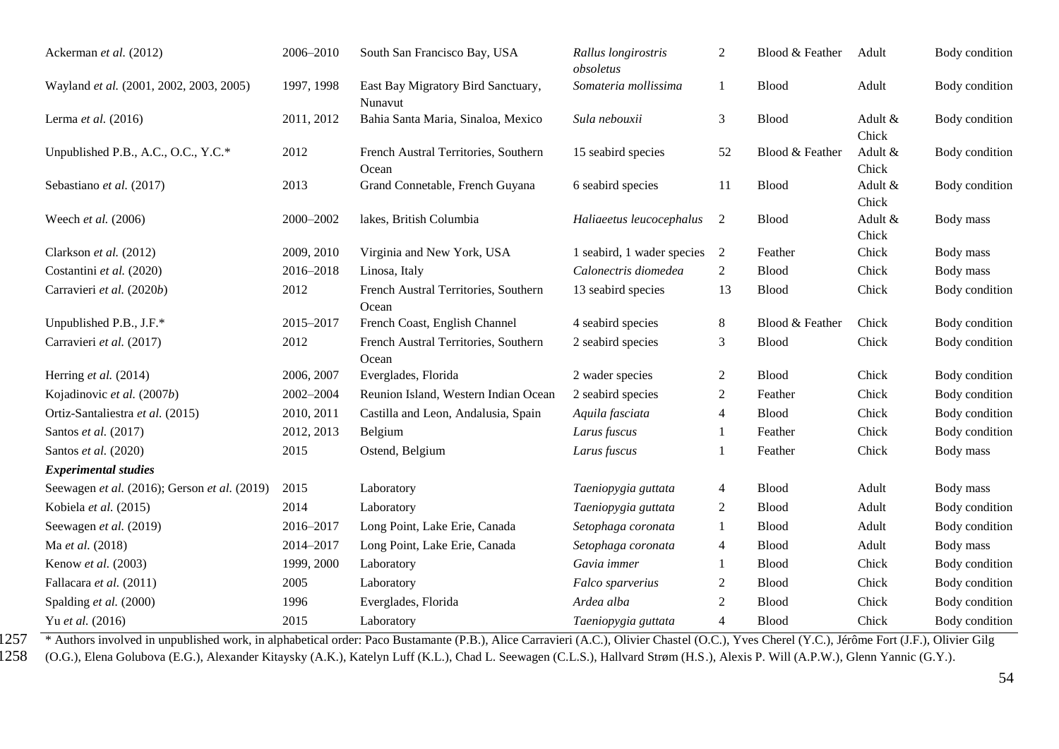| Ackerman et al. (2012)                       | 2006-2010                            | South San Francisco Bay, USA                  | Rallus longirostris<br>obsoletus | 2              | Blood & Feather | Adult            | Body condition |
|----------------------------------------------|--------------------------------------|-----------------------------------------------|----------------------------------|----------------|-----------------|------------------|----------------|
| Wayland et al. (2001, 2002, 2003, 2005)      | 1997, 1998                           | East Bay Migratory Bird Sanctuary,<br>Nunavut | Somateria mollissima             | 1              | <b>Blood</b>    | Adult            | Body condition |
| Lerma et al. (2016)                          | 2011, 2012                           | Bahia Santa Maria, Sinaloa, Mexico            | Sula nebouxii                    | $\mathfrak{Z}$ | <b>Blood</b>    | Adult &<br>Chick | Body condition |
| Unpublished P.B., A.C., O.C., Y.C.*          | 2012                                 | French Austral Territories, Southern<br>Ocean | 15 seabird species               | 52             | Blood & Feather | Adult &<br>Chick | Body condition |
| Sebastiano et al. (2017)                     | 2013                                 | Grand Connetable, French Guyana               | 6 seabird species                | 11             | <b>Blood</b>    | Adult &<br>Chick | Body condition |
| Weech et al. (2006)                          | 2000-2002<br>lakes, British Columbia |                                               | Haliaeetus leucocephalus<br>2    |                | <b>Blood</b>    | Adult &<br>Chick | Body mass      |
| Clarkson et al. (2012)                       | 2009, 2010                           | Virginia and New York, USA                    | 1 seabird, 1 wader species       | 2              | Feather         | Chick            | Body mass      |
| Costantini et al. (2020)                     | 2016-2018                            | Linosa, Italy                                 | Calonectris diomedea             | $\overline{2}$ | <b>Blood</b>    | Chick            | Body mass      |
| Carravieri et al. (2020b)                    | 2012                                 | French Austral Territories, Southern<br>Ocean | 13 seabird species               | 13             | <b>Blood</b>    | Chick            | Body condition |
| Unpublished P.B., J.F.*                      | 2015-2017                            | French Coast, English Channel                 | 4 seabird species                | $8\phantom{.}$ | Blood & Feather | Chick            | Body condition |
| Carravieri et al. (2017)                     | 2012                                 | French Austral Territories, Southern<br>Ocean | 2 seabird species                | 3              | <b>Blood</b>    | Chick            | Body condition |
| Herring et al. (2014)                        | 2006, 2007                           | Everglades, Florida                           | 2 wader species                  | $\overline{2}$ | <b>Blood</b>    | Chick            | Body condition |
| Kojadinovic et al. (2007b)                   | 2002-2004                            | Reunion Island, Western Indian Ocean          | 2 seabird species                | $\mathfrak{2}$ | Feather         | Chick            | Body condition |
| Ortiz-Santaliestra et al. (2015)             | 2010, 2011                           | Castilla and Leon, Andalusia, Spain           | Aquila fasciata                  | 4              | <b>Blood</b>    | Chick            | Body condition |
| Santos et al. (2017)                         | 2012, 2013                           | Belgium                                       | Larus fuscus                     | $\mathbf{1}$   | Feather         | Chick            | Body condition |
| Santos et al. (2020)                         | 2015                                 | Ostend, Belgium                               | Larus fuscus                     | 1              | Feather         | Chick            | Body mass      |
| <b>Experimental studies</b>                  |                                      |                                               |                                  |                |                 |                  |                |
| Seewagen et al. (2016); Gerson et al. (2019) | 2015<br>Laboratory                   |                                               | Taeniopygia guttata              | $\overline{4}$ | <b>Blood</b>    | Adult            | Body mass      |
| Kobiela et al. (2015)                        | 2014                                 | Laboratory                                    | Taeniopygia guttata              | 2              | <b>Blood</b>    | Adult            | Body condition |
| Seewagen et al. (2019)                       | 2016-2017                            | Long Point, Lake Erie, Canada                 | Setophaga coronata               | 1              | <b>Blood</b>    | Adult            | Body condition |
| Ma et al. (2018)                             | 2014-2017                            | Long Point, Lake Erie, Canada                 | Setophaga coronata               | $\overline{4}$ | <b>Blood</b>    | Adult            | Body mass      |
| Kenow et al. (2003)                          | 1999, 2000                           | Laboratory                                    | Gavia immer                      | 1              | <b>Blood</b>    | Chick            | Body condition |
| Fallacara et al. (2011)                      | 2005                                 | Laboratory                                    | Falco sparverius                 | $\overline{2}$ | <b>Blood</b>    | Chick            | Body condition |
| Spalding et al. (2000)                       | 1996                                 | Everglades, Florida                           | Ardea alba                       | 2              | <b>Blood</b>    | Chick            | Body condition |
| Yu et al. (2016)                             | 2015                                 | Laboratory                                    | Taeniopygia guttata              | $\overline{4}$ | <b>Blood</b>    | Chick            | Body condition |

<sup>\*</sup> Authors involved in unpublished work, in alphabetical order: Paco Bustamante (P.B.), Alice Carravieri (A.C.), Olivier Chastel (O.C.), Yves Cherel (Y.C.), Jérôme Fort (J.F.), Olivier Gilg

1258 (O.G.), Elena Golubova (E.G.), Alexander Kitaysky (A.K.), Katelyn Luff (K.L.), Chad L. Seewagen (C.L.S.), Hallvard Strøm (H.S.), Alexis P. Will (A.P.W.), Glenn Yannic (G.Y.).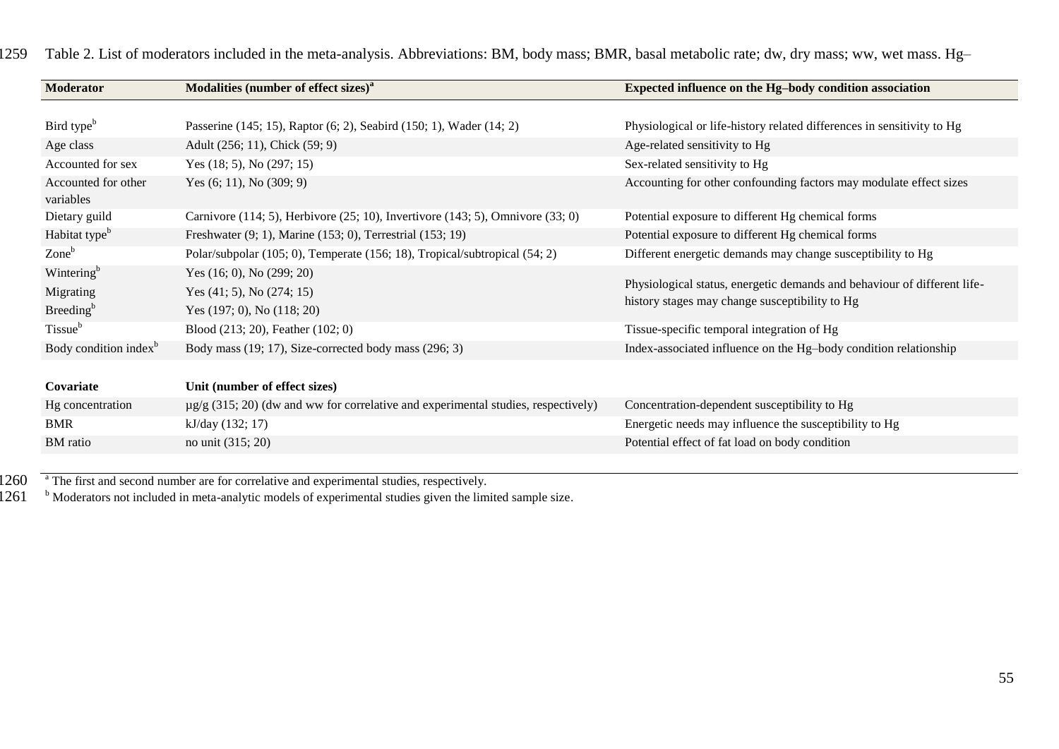| <b>Moderator</b>                  | Modalities (number of effect sizes) <sup>a</sup>                                       | Expected influence on the Hg-body condition association                                                                    |  |  |  |  |
|-----------------------------------|----------------------------------------------------------------------------------------|----------------------------------------------------------------------------------------------------------------------------|--|--|--|--|
|                                   |                                                                                        |                                                                                                                            |  |  |  |  |
| Bird type <sup>b</sup>            | Passerine (145; 15), Raptor (6; 2), Seabird (150; 1), Wader (14; 2)                    | Physiological or life-history related differences in sensitivity to Hg                                                     |  |  |  |  |
| Age class                         | Adult (256; 11), Chick (59; 9)                                                         | Age-related sensitivity to Hg                                                                                              |  |  |  |  |
| Accounted for sex                 | Yes $(18; 5)$ , No $(297; 15)$                                                         | Sex-related sensitivity to Hg                                                                                              |  |  |  |  |
| Accounted for other<br>variables  | Yes $(6; 11)$ , No $(309; 9)$                                                          | Accounting for other confounding factors may modulate effect sizes                                                         |  |  |  |  |
| Dietary guild                     | Carnivore (114; 5), Herbivore (25; 10), Invertivore (143; 5), Omnivore (33; 0)         | Potential exposure to different Hg chemical forms                                                                          |  |  |  |  |
| Habitat type <sup>b</sup>         | Freshwater (9; 1), Marine (153; 0), Terrestrial (153; 19)                              | Potential exposure to different Hg chemical forms                                                                          |  |  |  |  |
| $\mathrm{Zone}^{\mathrm{b}}$      | Polar/subpolar (105; 0), Temperate (156; 18), Tropical/subtropical (54; 2)             | Different energetic demands may change susceptibility to Hg                                                                |  |  |  |  |
| Wintering <sup>b</sup>            | Yes $(16; 0)$ , No $(299; 20)$                                                         |                                                                                                                            |  |  |  |  |
| Migrating                         | Yes $(41; 5)$ , No $(274; 15)$                                                         | Physiological status, energetic demands and behaviour of different life-<br>history stages may change susceptibility to Hg |  |  |  |  |
| Breeding <sup>b</sup>             | Yes $(197; 0)$ , No $(118; 20)$                                                        |                                                                                                                            |  |  |  |  |
| Tissue <sup>b</sup>               | Blood $(213; 20)$ , Feather $(102; 0)$                                                 | Tissue-specific temporal integration of Hg                                                                                 |  |  |  |  |
| Body condition index <sup>b</sup> | Body mass (19; 17), Size-corrected body mass (296; 3)                                  | Index-associated influence on the Hg-body condition relationship                                                           |  |  |  |  |
|                                   |                                                                                        |                                                                                                                            |  |  |  |  |
| Covariate                         | Unit (number of effect sizes)                                                          |                                                                                                                            |  |  |  |  |
| Hg concentration                  | $\mu$ g/g (315; 20) (dw and ww for correlative and experimental studies, respectively) | Concentration-dependent susceptibility to Hg                                                                               |  |  |  |  |
| <b>BMR</b>                        | kJ/day (132; 17)                                                                       | Energetic needs may influence the susceptibility to Hg                                                                     |  |  |  |  |
| BM ratio                          | no unit (315; 20)                                                                      | Potential effect of fat load on body condition                                                                             |  |  |  |  |
|                                   |                                                                                        |                                                                                                                            |  |  |  |  |

1259 Table 2. List of moderators included in the meta-analysis. Abbreviations: BM, body mass; BMR, basal metabolic rate; dw, dry mass; ww, wet mass. Hg–

1260 The first and second number are for correlative and experimental studies, respectively.

1261 b Moderators not included in meta-analytic models of experimental studies given the limited sample size.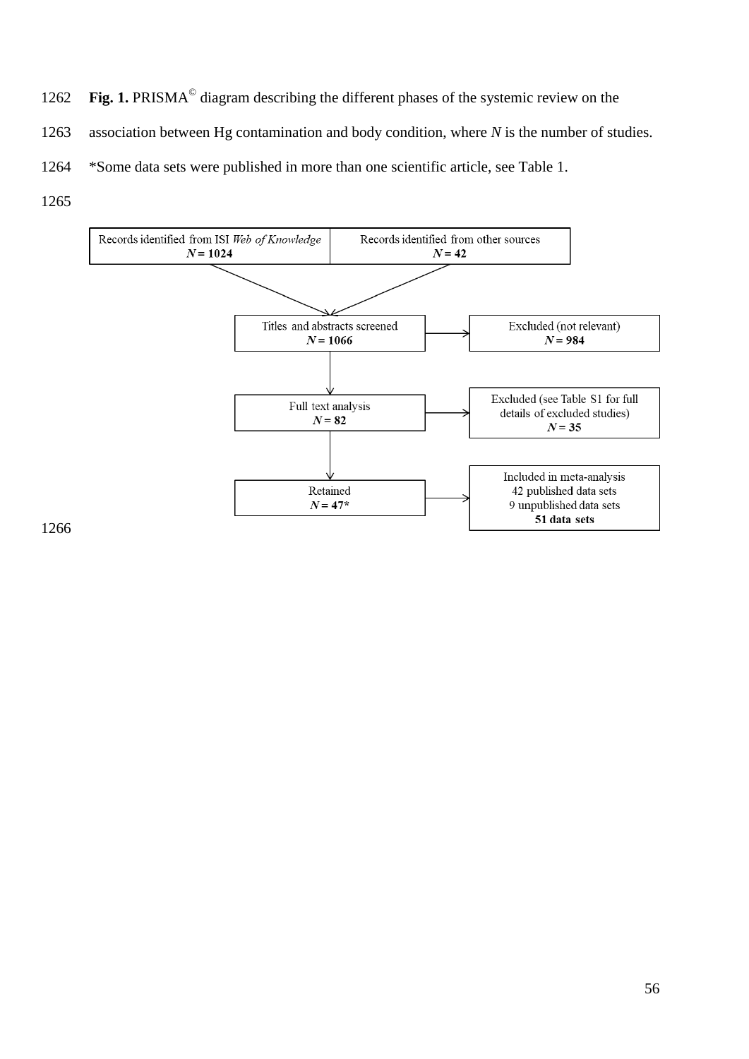- 1262 Fig. 1. PRISMA<sup>©</sup> diagram describing the different phases of the systemic review on the
- association between Hg contamination and body condition, where *N* is the number of studies.
- \*Some data sets were published in more than one scientific article, see Table 1.
- 

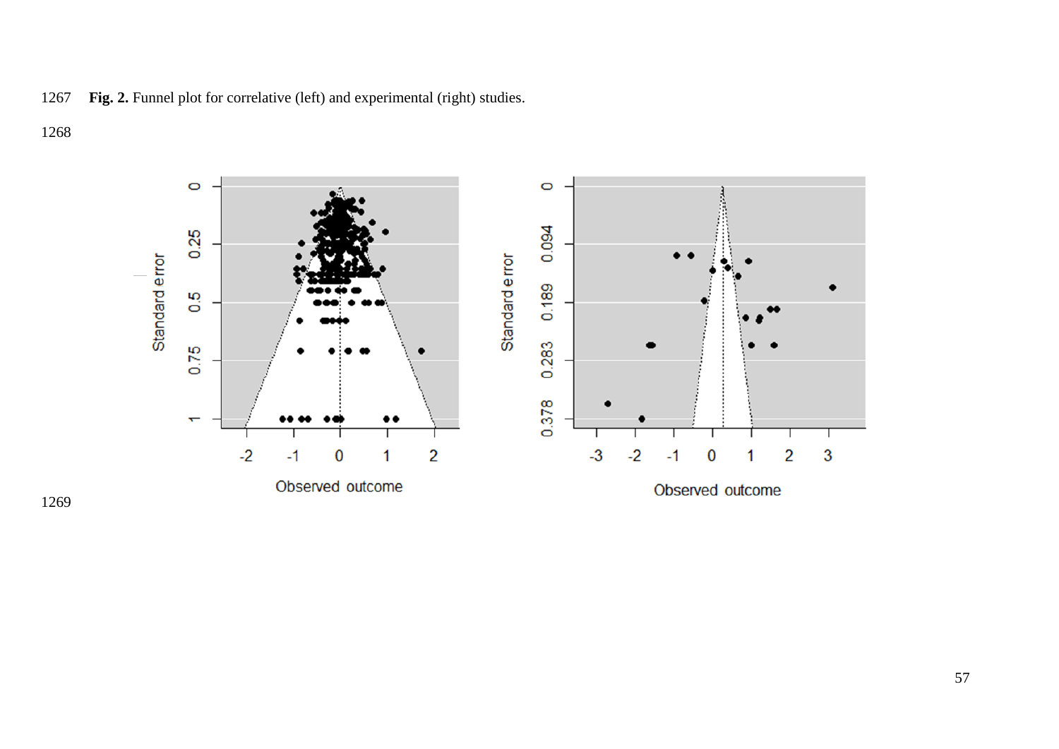

**Fig. 2.** Funnel plot for correlative (left) and experimental (right) studies.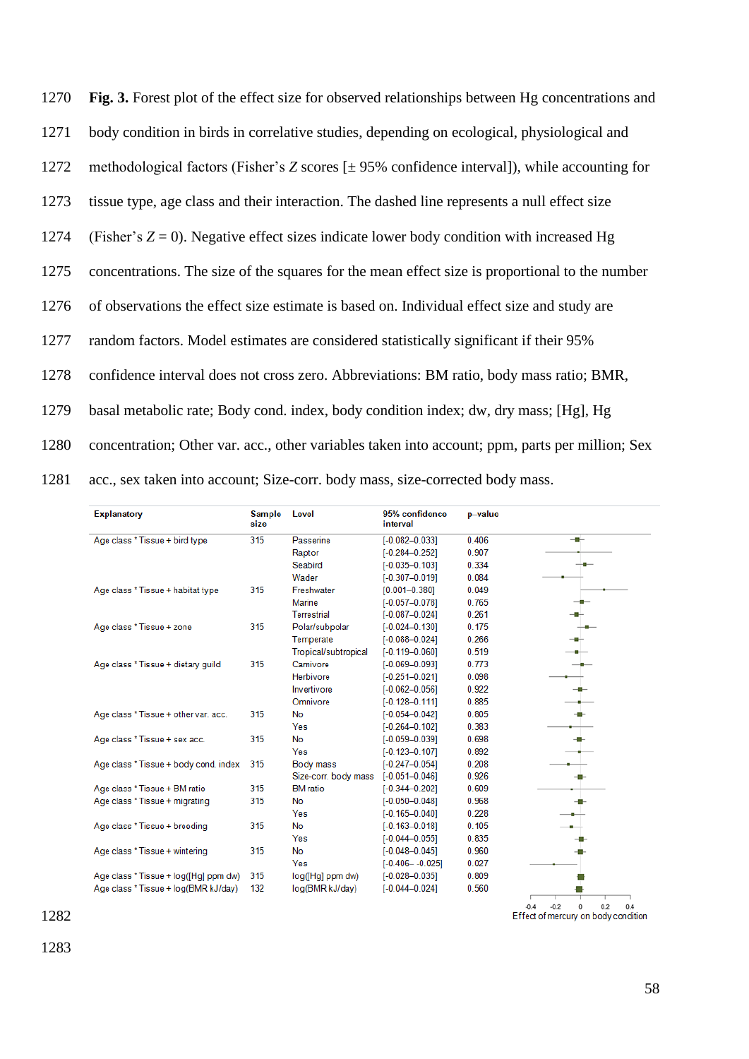| 1270 | Fig. 3. Forest plot of the effect size for observed relationships between Hg concentrations and |
|------|-------------------------------------------------------------------------------------------------|
| 1271 | body condition in birds in correlative studies, depending on ecological, physiological and      |
| 1272 | methodological factors (Fisher's Z scores $[± 95%$ confidence interval]), while accounting for  |
| 1273 | tissue type, age class and their interaction. The dashed line represents a null effect size     |
| 1274 | (Fisher's $Z = 0$ ). Negative effect sizes indicate lower body condition with increased Hg      |
| 1275 | concentrations. The size of the squares for the mean effect size is proportional to the number  |
| 1276 | of observations the effect size estimate is based on. Individual effect size and study are      |
| 1277 | random factors. Model estimates are considered statistically significant if their 95%           |
| 1278 | confidence interval does not cross zero. Abbreviations: BM ratio, body mass ratio; BMR,         |
| 1279 | basal metabolic rate; Body cond. index, body condition index; dw, dry mass; [Hg], Hg            |
| 1280 | concentration; Other var. acc., other variables taken into account; ppm, parts per million; Sex |
| 1281 | acc., sex taken into account; Size-corr. body mass, size-corrected body mass.                   |

| <b>Explanatory</b>                    | <b>Sample</b><br>size | Level                | 95% confidence<br>interval | p-value |     |
|---------------------------------------|-----------------------|----------------------|----------------------------|---------|-----|
| Age class * Tissue + bird type        | 315                   | Passerine            | $[-0.082 - 0.033]$         | 0.406   | -0- |
|                                       |                       | Raptor               | $[-0.284 - 0.252]$         | 0.907   |     |
|                                       |                       | Seabird              | $[-0.035 - 0.103]$         | 0.334   |     |
|                                       |                       | Wader                | $[-0.307 - 0.019]$         | 0.084   |     |
| Age class * Tissue + habitat type     | 315                   | Freshwater           | $[0.001 - 0.380]$          | 0.049   |     |
|                                       |                       | Marine               | $[-0.057 - 0.078]$         | 0.765   |     |
|                                       |                       | <b>Terrestrial</b>   | $[-0.087 - 0.024]$         | 0.261   |     |
| Age class * Tissue + zone             | 315                   | Polar/subpolar       | $[-0.024 - 0.130]$         | 0.175   |     |
|                                       |                       | Temperate            | $[-0.088 - 0.024]$         | 0.266   |     |
|                                       |                       | Tropical/subtropical | $[-0.119 - 0.060]$         | 0.519   |     |
| Age class * Tissue + dietary quild    | 315                   | Carnivore            | $[-0.069 - 0.093]$         | 0.773   |     |
|                                       |                       | Herbivore            | $[-0.251 - 0.021]$         | 0.098   |     |
|                                       |                       | Invertivore          | $[-0.062 - 0.056]$         | 0.922   |     |
|                                       |                       | Omnivore             | $[-0.128 - 0.111]$         | 0.885   |     |
| Age class * Tissue + other var. acc.  | 315                   | <b>No</b>            | $[-0.054 - 0.042]$         | 0.805   |     |
|                                       |                       | Yes                  | $[-0.264 - 0.102]$         | 0.383   |     |
| Age class * Tissue + sex acc.         | 315                   | No                   | $[-0.059 - 0.039]$         | 0.698   |     |
|                                       |                       | Yes                  | $[-0.123 - 0.107]$         | 0.892   |     |
| Age class * Tissue + body cond. index | 315                   | <b>Body mass</b>     | $[-0.247 - 0.054]$         | 0.208   |     |
|                                       |                       | Size-corr. body mass | $[-0.051 - 0.046]$         | 0.926   |     |
| Age class * Tissue + BM ratio         | 315                   | <b>BM</b> ratio      | $[-0.344 - 0.202]$         | 0.609   |     |
| Age class * Tissue + migrating        | 315                   | <b>No</b>            | $[-0.050 - 0.048]$         | 0.968   |     |
|                                       |                       | Yes                  | $[-0.165 - 0.040]$         | 0.228   |     |
| Age class * Tissue + breeding         | 315                   | <b>No</b>            | $[-0.163 - 0.018]$         | 0.105   |     |
|                                       |                       | Yes                  | $[-0.044 - 0.055]$         | 0.835   |     |
| Age class * Tissue + wintering        | 315                   | No                   | $[-0.048 - 0.045]$         | 0.960   |     |
|                                       |                       | Yes                  | $[-0.406 - -0.025]$        | 0.027   |     |
| Age class * Tissue + log([Hg] ppm dw) | 315                   | log([Hg] ppm dw)     | $[-0.028 - 0.035]$         | 0.809   |     |
| Age class * Tissue + log(BMR kJ/day)  | 132                   | log(BMR kJ/day)      | $[-0.044 - 0.024]$         | 0.560   |     |